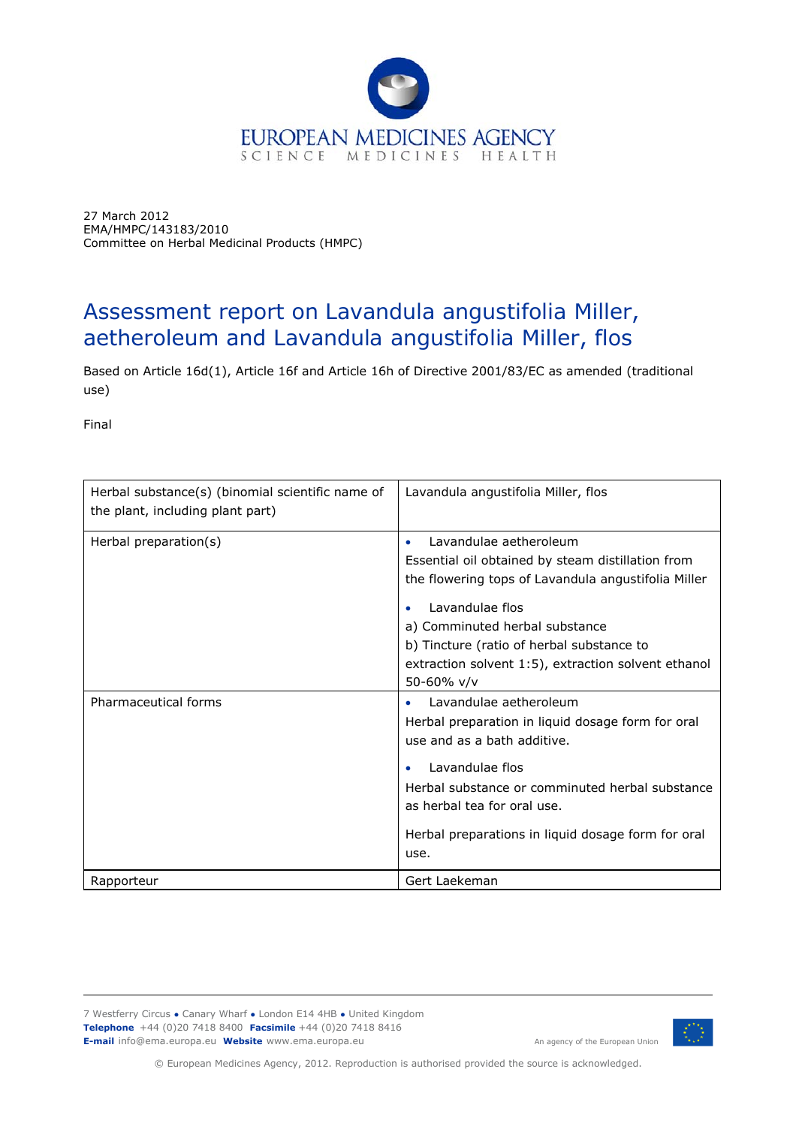

27 March 2012 EMA/HMPC/143183/2010 Committee on Herbal Medicinal Products (HMPC)

# Assessment report on *Lavandula angustifolia* Miller, aetheroleum and *Lavandula angustifolia* Miller, flos

Based on Article 16d(1), Article 16f and Article 16h of Directive 2001/83/EC as amended (traditional use)

Final

| Herbal substance(s) (binomial scientific name of<br>the plant, including plant part) | Lavandula angustifolia Miller, flos                                                                                                                                                                                                                                                         |
|--------------------------------------------------------------------------------------|---------------------------------------------------------------------------------------------------------------------------------------------------------------------------------------------------------------------------------------------------------------------------------------------|
| Herbal preparation(s)                                                                | Lavandulae aetheroleum<br>Essential oil obtained by steam distillation from<br>the flowering tops of Lavandula angustifolia Miller<br>Lavandulae flos<br>a) Comminuted herbal substance<br>b) Tincture (ratio of herbal substance to<br>extraction solvent 1:5), extraction solvent ethanol |
| Pharmaceutical forms                                                                 | 50-60% v/v<br>Lavandulae aetheroleum<br>Herbal preparation in liquid dosage form for oral<br>use and as a bath additive.<br>Lavandulae flos<br>Herbal substance or comminuted herbal substance<br>as herbal tea for oral use.<br>Herbal preparations in liquid dosage form for oral<br>use. |
| Rapporteur                                                                           | Gert Laekeman                                                                                                                                                                                                                                                                               |

7 Westferry Circus **●** Canary Wharf **●** London E14 4HB **●** United Kingdom **Telephone** +44 (0)20 7418 8400 **Facsimile** +44 (0)20 7418 8416 **E-mail** info@ema.europa.eu **Website** www.ema.europa.eu



An agency of the European Union

© European Medicines Agency, 2012. Reproduction is authorised provided the source is acknowledged.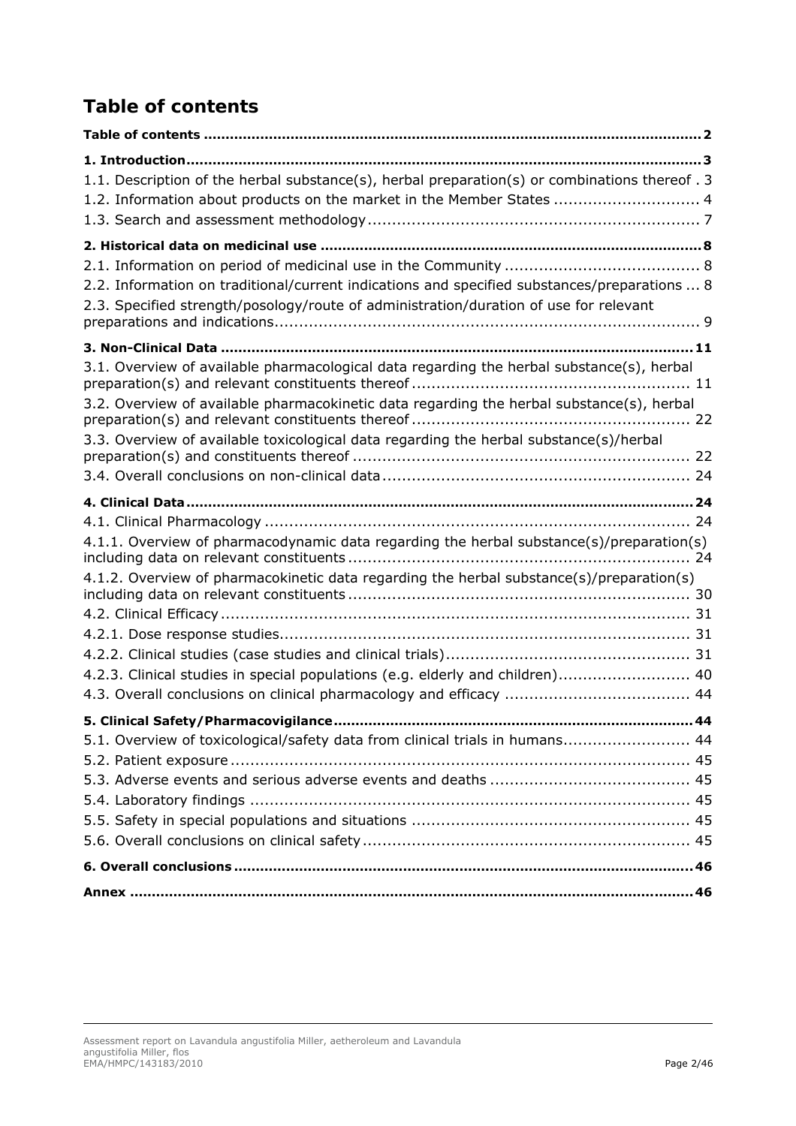# *Table of contents*

| 1.1. Description of the herbal substance(s), herbal preparation(s) or combinations thereof . 3<br>1.2. Information about products on the market in the Member States  4               |
|---------------------------------------------------------------------------------------------------------------------------------------------------------------------------------------|
|                                                                                                                                                                                       |
|                                                                                                                                                                                       |
| 2.2. Information on traditional/current indications and specified substances/preparations  8<br>2.3. Specified strength/posology/route of administration/duration of use for relevant |
|                                                                                                                                                                                       |
| 3.1. Overview of available pharmacological data regarding the herbal substance(s), herbal                                                                                             |
| 3.2. Overview of available pharmacokinetic data regarding the herbal substance(s), herbal                                                                                             |
| 3.3. Overview of available toxicological data regarding the herbal substance(s)/herbal                                                                                                |
|                                                                                                                                                                                       |
|                                                                                                                                                                                       |
|                                                                                                                                                                                       |
| 4.1.1. Overview of pharmacodynamic data regarding the herbal substance(s)/preparation(s)                                                                                              |
| 4.1.2. Overview of pharmacokinetic data regarding the herbal substance(s)/preparation(s)                                                                                              |
|                                                                                                                                                                                       |
|                                                                                                                                                                                       |
| 4.2.3. Clinical studies in special populations (e.g. elderly and children) 40                                                                                                         |
|                                                                                                                                                                                       |
|                                                                                                                                                                                       |
| 5.1. Overview of toxicological/safety data from clinical trials in humans 44                                                                                                          |
|                                                                                                                                                                                       |
|                                                                                                                                                                                       |
|                                                                                                                                                                                       |
|                                                                                                                                                                                       |
|                                                                                                                                                                                       |
|                                                                                                                                                                                       |
|                                                                                                                                                                                       |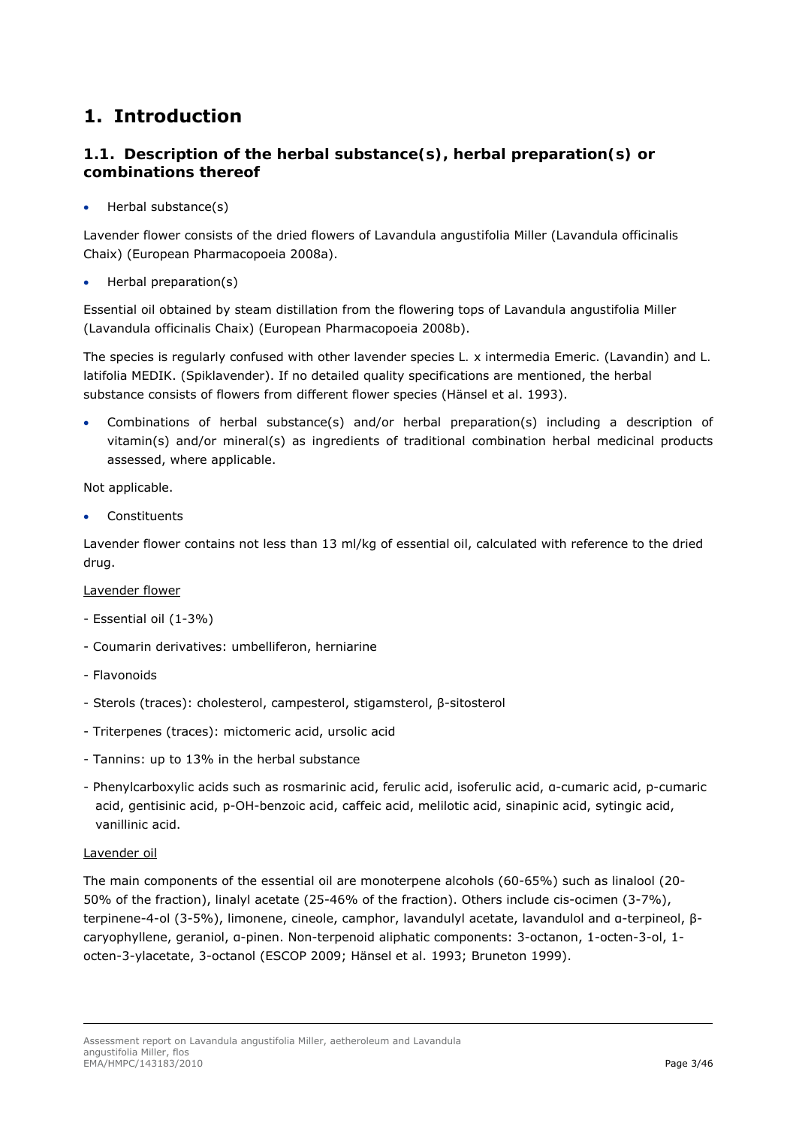# **1. Introduction**

# *1.1. Description of the herbal substance(s), herbal preparation(s) or combinations thereof*

Herbal substance(s)

Lavender flower consists of the dried flowers of *Lavandula angustifolia* Miller (*Lavandula officinalis* Chaix) (European Pharmacopoeia 2008a).

Herbal preparation(s)

Essential oil obtained by steam distillation from the flowering tops of *Lavandula angustifolia* Miller (*Lavandula officinalis* Chaix) (European Pharmacopoeia 2008b).

The species is regularly confused with other lavender species *L. x intermedia* Emeric. (Lavandin) and *L. latifolia* MEDIK. (Spiklavender). If no detailed quality specifications are mentioned, the herbal substance consists of flowers from different flower species (Hänsel et al. 1993).

 Combinations of herbal substance(s) and/or herbal preparation(s) including a description of vitamin(s) and/or mineral(s) as ingredients of traditional combination herbal medicinal products assessed, where applicable.

Not applicable.

Constituents

Lavender flower contains not less than 13 ml/kg of essential oil, calculated with reference to the dried drug.

## Lavender flower

- Essential oil (1-3%)
- Coumarin derivatives: umbelliferon, herniarine
- Flavonoids
- Sterols (traces): cholesterol, campesterol, stigamsterol, β-sitosterol
- Triterpenes (traces): mictomeric acid, ursolic acid
- Tannins: up to 13% in the herbal substance
- Phenylcarboxylic acids such as rosmarinic acid, ferulic acid, isoferulic acid, α-cumaric acid, p-cumaric acid, gentisinic acid, p-OH-benzoic acid, caffeic acid, melilotic acid, sinapinic acid, sytingic acid, vanillinic acid.

## Lavender oil

The main components of the essential oil are monoterpene alcohols (60-65%) such as linalool (20- 50% of the fraction), linalyl acetate (25-46% of the fraction). Others include cis-ocimen (3-7%), terpinene-4-ol (3-5%), limonene, cineole, camphor, lavandulyl acetate, lavandulol and α-terpineol, βcaryophyllene, geraniol, α-pinen. Non-terpenoid aliphatic components: 3-octanon, 1-octen-3-ol, 1 octen-3-ylacetate, 3-octanol (ESCOP 2009; Hänsel *et al*. 1993; Bruneton 1999).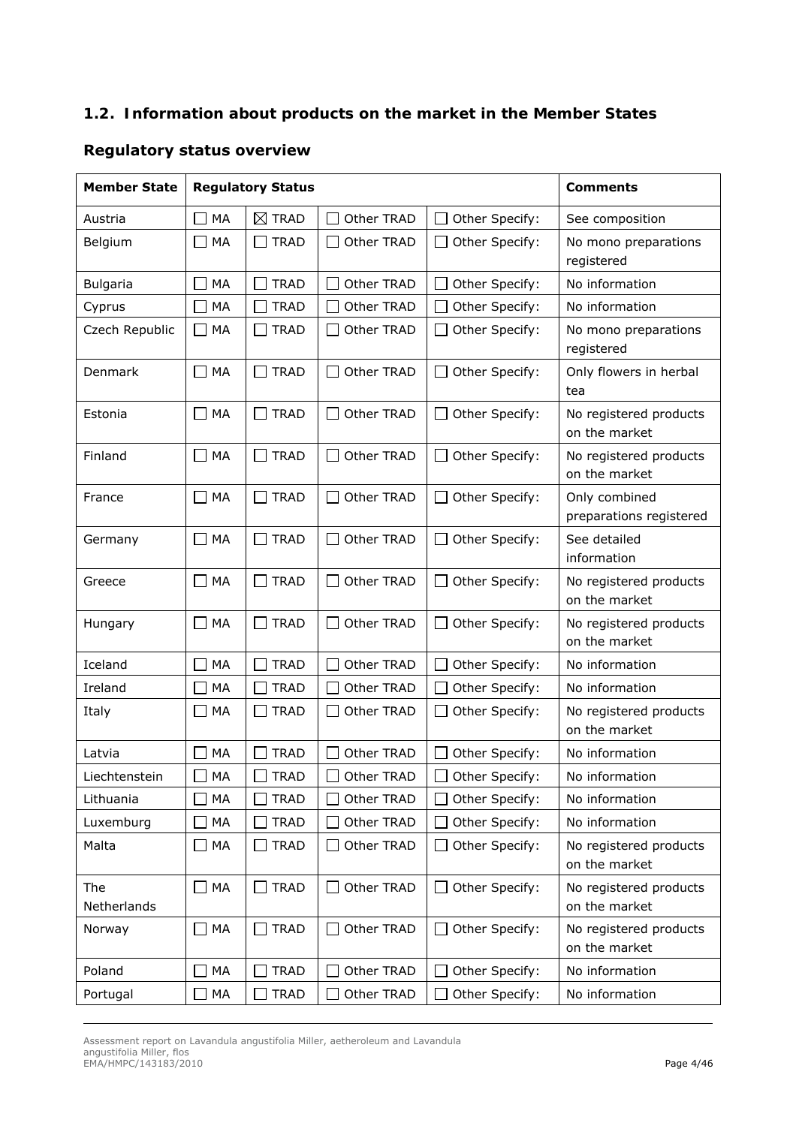# *1.2. Information about products on the market in the Member States*

# **Regulatory status overview**

| <b>Member State</b> |                    | <b>Regulatory Status</b>    |            |                | <b>Comments</b>                          |
|---------------------|--------------------|-----------------------------|------------|----------------|------------------------------------------|
| Austria             | MA                 | $\boxtimes$ TRAD            | Other TRAD | Other Specify: | See composition                          |
| Belgium             | MA                 | <b>TRAD</b>                 | Other TRAD | Other Specify: | No mono preparations<br>registered       |
| <b>Bulgaria</b>     | MA                 | <b>TRAD</b>                 | Other TRAD | Other Specify: | No information                           |
| Cyprus              | MA                 | <b>TRAD</b>                 | Other TRAD | Other Specify: | No information                           |
| Czech Republic      | MA                 | <b>TRAD</b>                 | Other TRAD | Other Specify: | No mono preparations<br>registered       |
| Denmark             | MA<br>$\mathsf{L}$ | <b>TRAD</b><br>$\perp$      | Other TRAD | Other Specify: | Only flowers in herbal<br>tea            |
| Estonia             | MA<br>$\mathbf{I}$ | <b>TRAD</b><br>$\Box$       | Other TRAD | Other Specify: | No registered products<br>on the market  |
| Finland             | MA<br>$\perp$      | <b>TRAD</b><br>$\perp$      | Other TRAD | Other Specify: | No registered products<br>on the market  |
| France              | MA                 | <b>TRAD</b><br>$\mathbf{L}$ | Other TRAD | Other Specify: | Only combined<br>preparations registered |
| Germany             | MA                 | <b>TRAD</b>                 | Other TRAD | Other Specify: | See detailed<br>information              |
| Greece              | MA                 | <b>TRAD</b><br>$\mathsf{L}$ | Other TRAD | Other Specify: | No registered products<br>on the market  |
| Hungary             | MA                 | <b>TRAD</b><br>$\mathbf{L}$ | Other TRAD | Other Specify: | No registered products<br>on the market  |
| Iceland             | MA                 | <b>TRAD</b>                 | Other TRAD | Other Specify: | No information                           |
| Ireland             | MA                 | <b>TRAD</b>                 | Other TRAD | Other Specify: | No information                           |
| Italy               | MA                 | <b>TRAD</b>                 | Other TRAD | Other Specify: | No registered products<br>on the market  |
| Latvia              | MA                 | <b>TRAD</b>                 | Other TRAD | Other Specify: | No information                           |
| Liechtenstein       | MA                 | <b>TRAD</b>                 | Other TRAD | Other Specify: | No information                           |
| Lithuania           | MA                 | <b>TRAD</b>                 | Other TRAD | Other Specify: | No information                           |
| Luxemburg           | MA                 | <b>TRAD</b>                 | Other TRAD | Other Specify: | No information                           |
| Malta               | MA                 | <b>TRAD</b><br>ΙI           | Other TRAD | Other Specify: | No registered products<br>on the market  |
| The                 | MA<br>$\mathsf{L}$ | <b>TRAD</b><br>$\mathsf{L}$ | Other TRAD | Other Specify: | No registered products                   |
| Netherlands         |                    |                             |            |                | on the market                            |
| Norway              | MA                 | <b>TRAD</b><br>ΙI           | Other TRAD | Other Specify: | No registered products<br>on the market  |
| Poland              | MA                 | <b>TRAD</b>                 | Other TRAD | Other Specify: | No information                           |
| Portugal            | MA                 | <b>TRAD</b>                 | Other TRAD | Other Specify: | No information                           |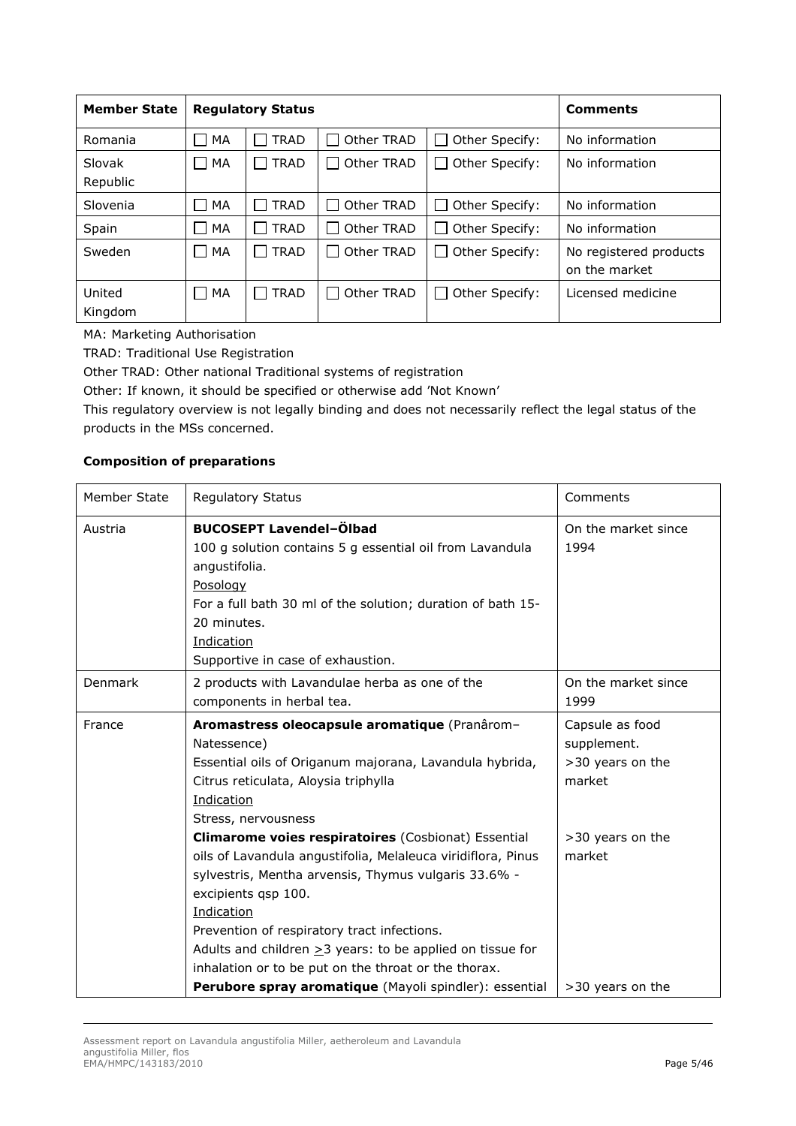| <b>Member State</b> |           | <b>Regulatory Status</b>    |            |                | <b>Comments</b>                         |
|---------------------|-----------|-----------------------------|------------|----------------|-----------------------------------------|
| Romania             | MA        | <b>TRAD</b>                 | Other TRAD | Other Specify: | No information                          |
| Slovak<br>Republic  | $\Box$ MA | <b>TRAD</b>                 | Other TRAD | Other Specify: | No information                          |
| Slovenia            | MA        | <b>TRAD</b>                 | Other TRAD | Other Specify: | No information                          |
| Spain               | MA        | <b>TRAD</b>                 | Other TRAD | Other Specify: | No information                          |
| Sweden              | П<br>MA   | <b>TRAD</b><br>$\mathbf{I}$ | Other TRAD | Other Specify: | No registered products<br>on the market |
| United<br>Kingdom   | $\Box$ MA | <b>TRAD</b>                 | Other TRAD | Other Specify: | Licensed medicine                       |

MA: Marketing Authorisation

TRAD: Traditional Use Registration

Other TRAD: Other national Traditional systems of registration

Other: If known, it should be specified or otherwise add 'Not Known'

This regulatory overview is not legally binding and does not necessarily reflect the legal status of the products in the MSs concerned.

#### *Composition of preparations*

| Member State | <b>Regulatory Status</b>                                                                                                                                                                                                                                                                                                                                                                                                                             | Comments                                                     |
|--------------|------------------------------------------------------------------------------------------------------------------------------------------------------------------------------------------------------------------------------------------------------------------------------------------------------------------------------------------------------------------------------------------------------------------------------------------------------|--------------------------------------------------------------|
| Austria      | <b>BUCOSEPT Lavendel-Ölbad</b><br>100 g solution contains 5 g essential oil from Lavandula<br>angustifolia.<br>Posology<br>For a full bath 30 ml of the solution; duration of bath 15-<br>20 minutes.<br>Indication<br>Supportive in case of exhaustion.                                                                                                                                                                                             | On the market since<br>1994                                  |
| Denmark      | 2 products with Lavandulae herba as one of the<br>components in herbal tea.                                                                                                                                                                                                                                                                                                                                                                          | On the market since<br>1999                                  |
| France       | Aromastress oleocapsule aromatique (Pranârom-<br>Natessence)<br>Essential oils of Origanum majorana, Lavandula hybrida,<br>Citrus reticulata, Aloysia triphylla<br>Indication<br>Stress, nervousness                                                                                                                                                                                                                                                 | Capsule as food<br>supplement.<br>>30 years on the<br>market |
|              | Climarome voies respiratoires (Cosbionat) Essential<br>oils of Lavandula angustifolia, Melaleuca viridiflora, Pinus<br>sylvestris, Mentha arvensis, Thymus vulgaris 33.6% -<br>excipients qsp 100.<br>Indication<br>Prevention of respiratory tract infections.<br>Adults and children $\geq$ 3 years: to be applied on tissue for<br>inhalation or to be put on the throat or the thorax.<br>Perubore spray aromatique (Mayoli spindler): essential | >30 years on the<br>market<br>>30 years on the               |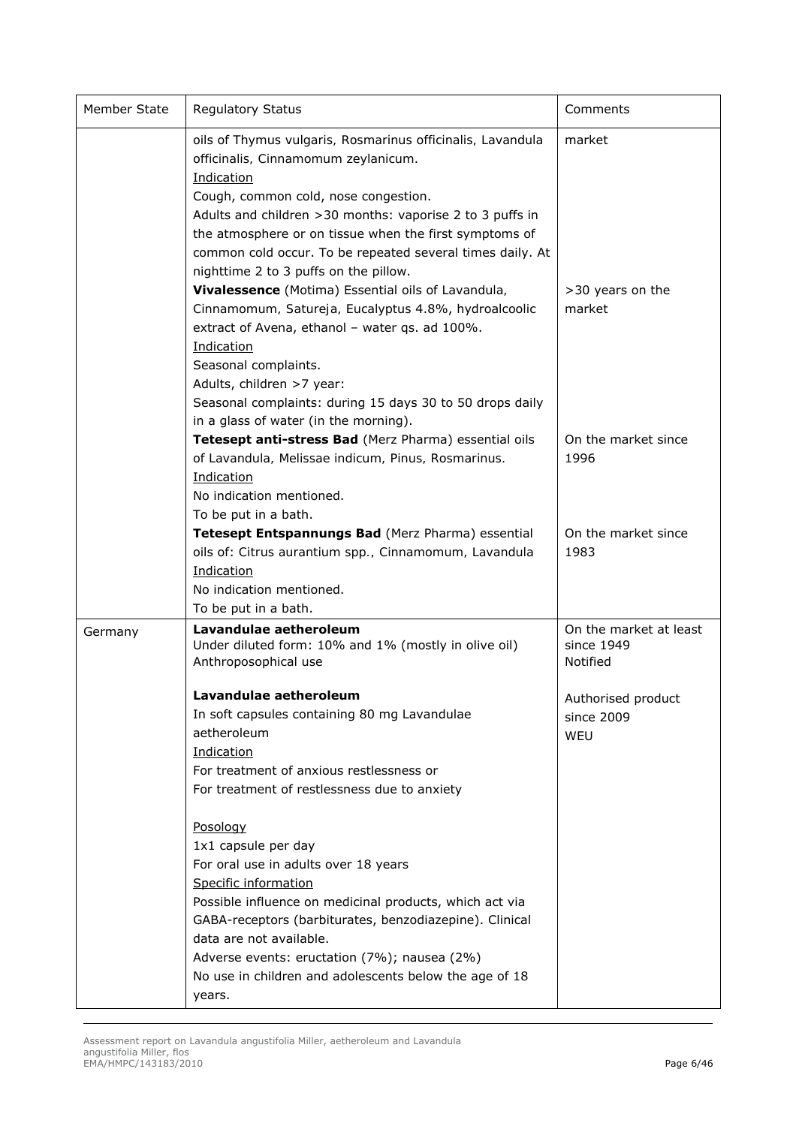| Member State | <b>Regulatory Status</b>                                                                                                                                                                                                                                                                                                                                                             | Comments                                         |
|--------------|--------------------------------------------------------------------------------------------------------------------------------------------------------------------------------------------------------------------------------------------------------------------------------------------------------------------------------------------------------------------------------------|--------------------------------------------------|
|              | oils of Thymus vulgaris, Rosmarinus officinalis, Lavandula<br>officinalis, Cinnamomum zeylanicum.<br>Indication<br>Cough, common cold, nose congestion.<br>Adults and children > 30 months: vaporise 2 to 3 puffs in<br>the atmosphere or on tissue when the first symptoms of<br>common cold occur. To be repeated several times daily. At<br>nighttime 2 to 3 puffs on the pillow. | market                                           |
|              | Vivalessence (Motima) Essential oils of Lavandula,<br>Cinnamomum, Satureja, Eucalyptus 4.8%, hydroalcoolic<br>extract of Avena, ethanol - water qs. ad 100%.<br>Indication<br>Seasonal complaints.<br>Adults, children >7 year:<br>Seasonal complaints: during 15 days 30 to 50 drops daily<br>in a glass of water (in the morning).                                                 | >30 years on the<br>market                       |
|              | Tetesept anti-stress Bad (Merz Pharma) essential oils<br>of Lavandula, Melissae indicum, Pinus, Rosmarinus.<br>Indication<br>No indication mentioned.<br>To be put in a bath.                                                                                                                                                                                                        | On the market since<br>1996                      |
|              | Tetesept Entspannungs Bad (Merz Pharma) essential<br>oils of: Citrus aurantium spp., Cinnamomum, Lavandula<br>Indication<br>No indication mentioned.<br>To be put in a bath.                                                                                                                                                                                                         | On the market since<br>1983                      |
| Germany      | Lavandulae aetheroleum<br>Under diluted form: 10% and 1% (mostly in olive oil)<br>Anthroposophical use                                                                                                                                                                                                                                                                               | On the market at least<br>since 1949<br>Notified |
|              | Lavandulae aetheroleum<br>In soft capsules containing 80 mg Lavandulae<br>aetheroleum<br>Indication<br>For treatment of anxious restlessness or<br>For treatment of restlessness due to anxiety                                                                                                                                                                                      | Authorised product<br>since 2009<br>WEU          |
|              | Posology<br>1x1 capsule per day<br>For oral use in adults over 18 years<br>Specific information<br>Possible influence on medicinal products, which act via<br>GABA-receptors (barbiturates, benzodiazepine). Clinical<br>data are not available.<br>Adverse events: eructation (7%); nausea (2%)<br>No use in children and adolescents below the age of 18<br>years.                 |                                                  |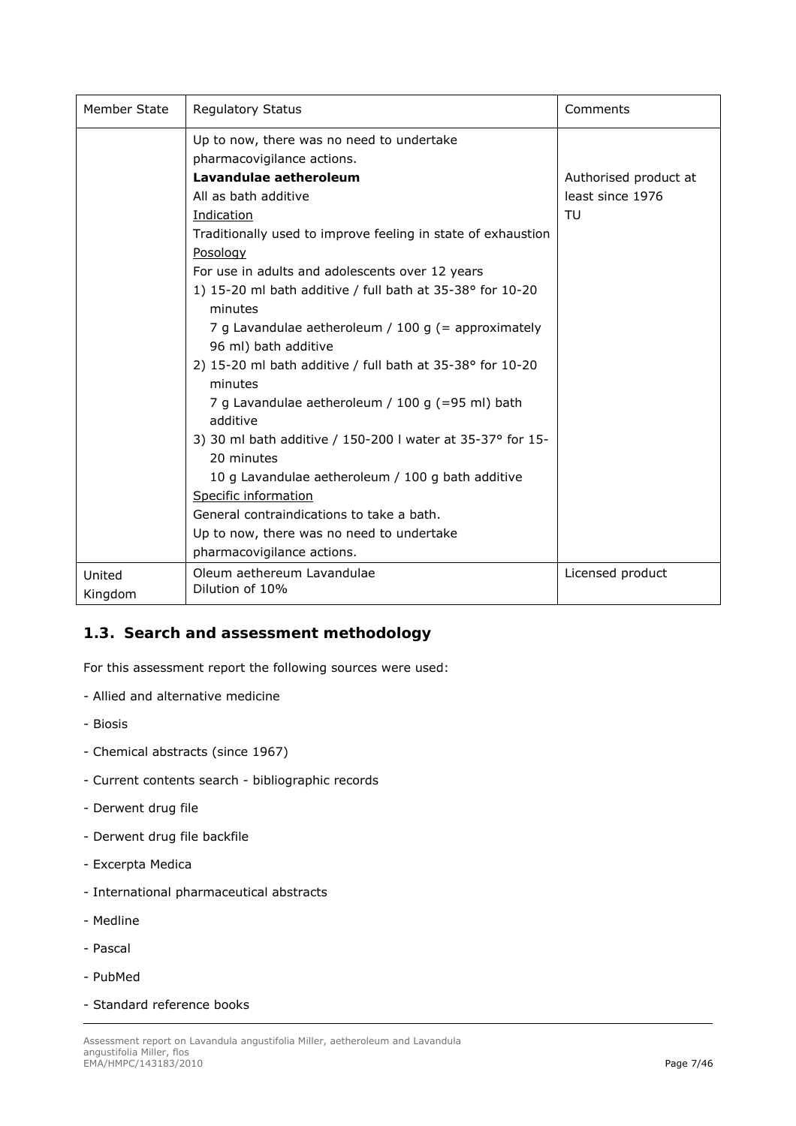| Member State | <b>Regulatory Status</b>                                       | Comments              |
|--------------|----------------------------------------------------------------|-----------------------|
|              | Up to now, there was no need to undertake                      |                       |
|              | pharmacovigilance actions.                                     |                       |
|              | Lavandulae aetheroleum                                         | Authorised product at |
|              | All as bath additive                                           | least since 1976      |
|              | Indication                                                     | TU                    |
|              | Traditionally used to improve feeling in state of exhaustion   |                       |
|              | Posology                                                       |                       |
|              | For use in adults and adolescents over 12 years                |                       |
|              | 1) 15-20 ml bath additive / full bath at 35-38° for 10-20      |                       |
|              | minutes                                                        |                       |
|              | 7 g Lavandulae aetheroleum / 100 g (= approximately            |                       |
|              | 96 ml) bath additive                                           |                       |
|              | 2) 15-20 ml bath additive / full bath at $35-38$ ° for $10-20$ |                       |
|              | minutes                                                        |                       |
|              | 7 g Lavandulae aetheroleum / 100 g (=95 ml) bath<br>additive   |                       |
|              | 3) 30 ml bath additive / 150-200 l water at 35-37° for 15-     |                       |
|              | 20 minutes                                                     |                       |
|              | 10 g Lavandulae aetheroleum / 100 g bath additive              |                       |
|              | Specific information                                           |                       |
|              | General contraindications to take a bath.                      |                       |
|              | Up to now, there was no need to undertake                      |                       |
|              | pharmacovigilance actions.                                     |                       |
| United       | Oleum aethereum Lavandulae                                     | Licensed product      |
| Kingdom      | Dilution of 10%                                                |                       |

# *1.3. Search and assessment methodology*

For this assessment report the following sources were used:

- Allied and alternative medicine
- Biosis
- Chemical abstracts (since 1967)
- Current contents search bibliographic records
- Derwent drug file
- Derwent drug file backfile
- Excerpta Medica
- International pharmaceutical abstracts
- Medline
- Pascal
- PubMed
- Standard reference books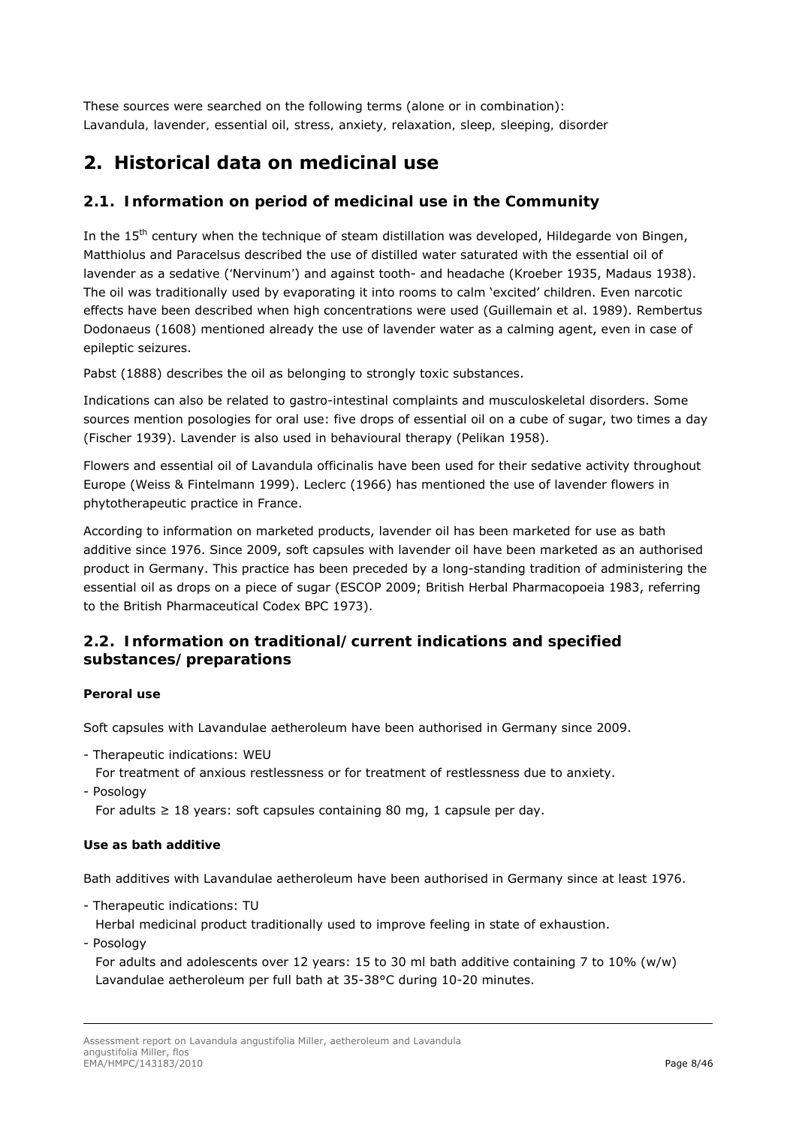These sources were searched on the following terms (alone or in combination): *Lavandula, lavender, essential oil, stress, anxiety, relaxation, sleep, sleeping, disorder*

# **2. Historical data on medicinal use**

# *2.1. Information on period of medicinal use in the Community*

In the 15<sup>th</sup> century when the technique of steam distillation was developed, Hildegarde von Bingen, Matthiolus and Paracelsus described the use of distilled water saturated with the essential oil of lavender as a sedative (*'Nervinum'*) and against tooth- and headache (Kroeber 1935, Madaus 1938). The oil was traditionally used by evaporating it into rooms to calm 'excited' children. Even narcotic effects have been described when high concentrations were used (Guillemain *et al*. 1989). Rembertus Dodonaeus (1608) mentioned already the use of lavender water as a calming agent, even in case of epileptic seizures.

Pabst (1888) describes the oil as belonging to strongly toxic substances.

Indications can also be related to gastro-intestinal complaints and musculoskeletal disorders. Some sources mention posologies for oral use: five drops of essential oil on a cube of sugar, two times a day (Fischer 1939). Lavender is also used in behavioural therapy (Pelikan 1958).

Flowers and essential oil of *Lavandula officinalis* have been used for their sedative activity throughout Europe (Weiss & Fintelmann 1999). Leclerc (1966) has mentioned the use of lavender flowers in phytotherapeutic practice in France.

According to information on marketed products, lavender oil has been marketed for use as bath additive since 1976. Since 2009, soft capsules with lavender oil have been marketed as an authorised product in Germany. This practice has been preceded by a long-standing tradition of administering the essential oil as drops on a piece of sugar (ESCOP 2009; British Herbal Pharmacopoeia 1983, referring to the British Pharmaceutical Codex BPC 1973).

# *2.2. Information on traditional/current indications and specified substances/preparations*

## *Peroral use*

Soft capsules with Lavandulae aetheroleum have been authorised in Germany since 2009.

- Therapeutic indications: WEU
- For treatment of anxious restlessness or for treatment of restlessness due to anxiety.

- Posology

For adults  $\geq 18$  years: soft capsules containing 80 mg, 1 capsule per day.

## *Use as bath additive*

Bath additives with Lavandulae aetheroleum have been authorised in Germany since at least 1976.

- Therapeutic indications: TU

Herbal medicinal product traditionally used to improve feeling in state of exhaustion.

- Posology

For adults and adolescents over 12 years: 15 to 30 ml bath additive containing 7 to 10% (w/w) Lavandulae aetheroleum per full bath at 35-38°C during 10-20 minutes.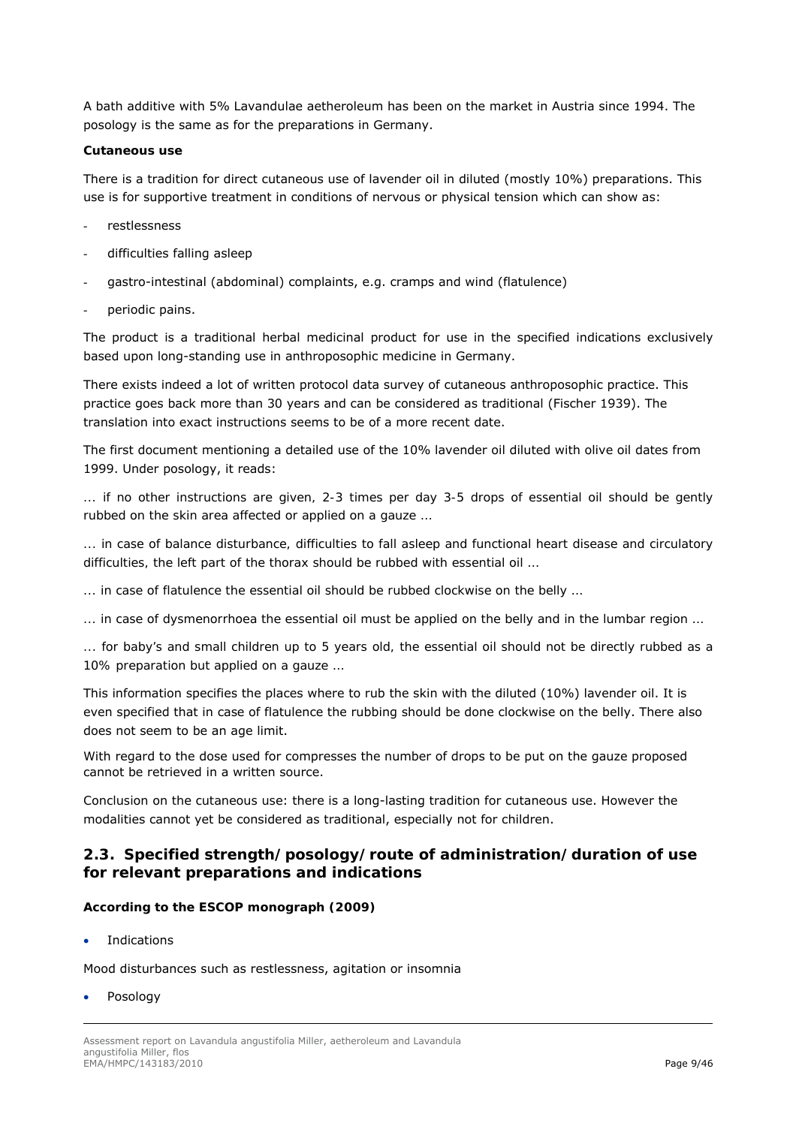A bath additive with 5% Lavandulae aetheroleum has been on the market in Austria since 1994. The posology is the same as for the preparations in Germany.

#### *Cutaneous use*

There is a tradition for direct cutaneous use of lavender oil in diluted (mostly 10%) preparations. This use is for supportive treatment in conditions of nervous or physical tension which can show as:

- restlessness
- difficulties falling asleep
- gastro-intestinal (abdominal) complaints, e.g. cramps and wind (flatulence)
- periodic pains.

The product is a traditional herbal medicinal product for use in the specified indications exclusively based upon long-standing use in anthroposophic medicine in Germany.

There exists indeed a lot of written protocol data survey of cutaneous anthroposophic practice. This practice goes back more than 30 years and can be considered as traditional (Fischer 1939). The translation into exact instructions seems to be of a more recent date.

The first document mentioning a detailed use of the 10% lavender oil diluted with olive oil dates from 1999. Under posology, it reads:

*... if no other instructions are given, 2-3 times per day 3-5 drops of essential oil should be gently rubbed on the skin area affected or applied on a gauze …* 

*... in case of balance disturbance, difficulties to fall asleep and functional heart disease and circulatory difficulties, the left part of the thorax should be rubbed with essential oil …* 

*... in case of flatulence the essential oil should be rubbed clockwise on the belly …* 

*... in case of dysmenorrhoea the essential oil must be applied on the belly and in the lumbar region …* 

*... for baby's and small children up to 5 years old, the essential oil should not be directly rubbed as a 10% preparation but applied on a gauze …* 

This information specifies the places where to rub the skin with the diluted (10%) lavender oil. It is even specified that in case of flatulence the rubbing should be done clockwise on the belly. There also does not seem to be an age limit.

With regard to the dose used for compresses the number of drops to be put on the gauze proposed cannot be retrieved in a written source.

*Conclusion on the cutaneous use*: there is a long-lasting tradition for cutaneous use. However the modalities cannot yet be considered as traditional, especially not for children.

## *2.3. Specified strength/posology/route of administration/duration of use for relevant preparations and indications*

## *According to the ESCOP monograph (2009)*

**•** Indications

Mood disturbances such as restlessness, agitation or insomnia

Posology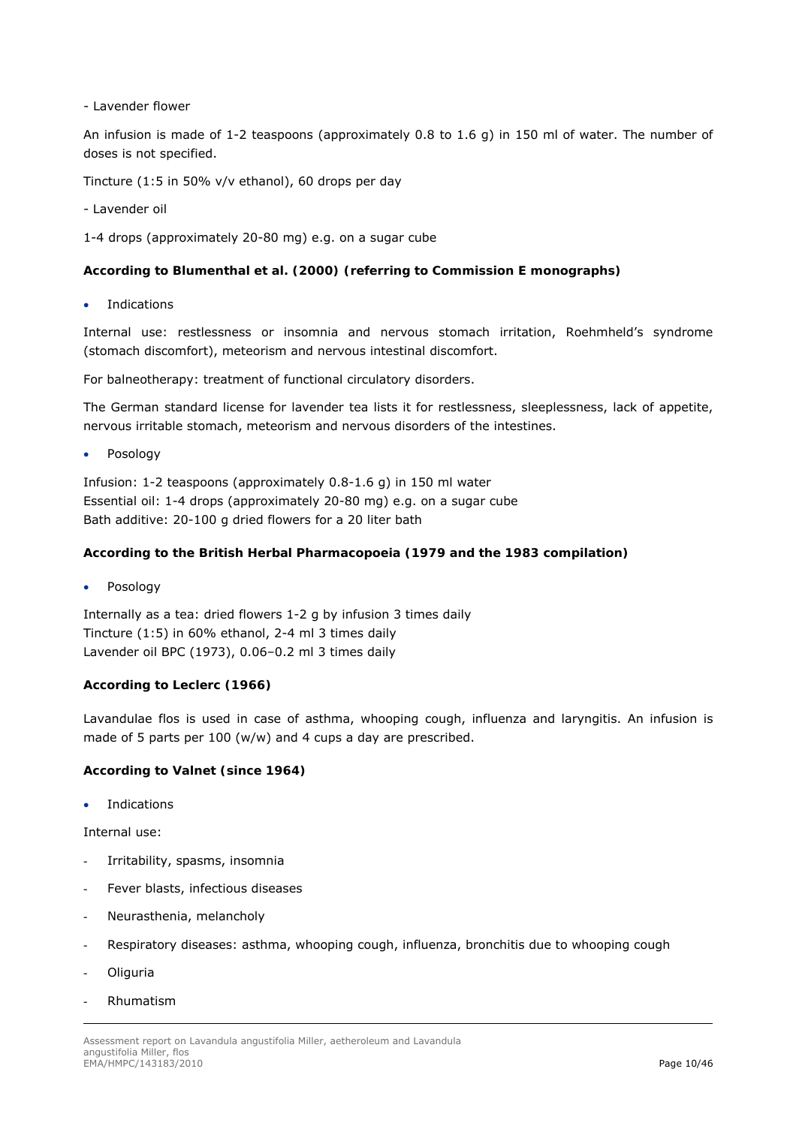- Lavender flower

An infusion is made of 1-2 teaspoons (approximately 0.8 to 1.6 g) in 150 ml of water. The number of doses is not specified.

Tincture (1:5 in 50% v/v ethanol), 60 drops per day

- Lavender oil

1-4 drops (approximately 20-80 mg) e.g. on a sugar cube

#### *According to Blumenthal et al. (2000) (referring to Commission E monographs)*

Indications

Internal use: restlessness or insomnia and nervous stomach irritation, Roehmheld's syndrome (stomach discomfort), meteorism and nervous intestinal discomfort.

For balneotherapy: treatment of functional circulatory disorders.

The German standard license for lavender tea lists it for restlessness, sleeplessness, lack of appetite, nervous irritable stomach, meteorism and nervous disorders of the intestines.

Posology

Infusion: 1-2 teaspoons (approximately 0.8-1.6 g) in 150 ml water Essential oil: 1-4 drops (approximately 20-80 mg) e.g. on a sugar cube Bath additive: 20-100 g dried flowers for a 20 liter bath

#### *According to the British Herbal Pharmacopoeia (1979 and the 1983 compilation)*

Posology

Internally as a tea: dried flowers 1-2 g by infusion 3 times daily Tincture (1:5) in 60% ethanol, 2-4 ml 3 times daily Lavender oil BPC (1973), 0.06–0.2 ml 3 times daily

## *According to Leclerc (1966)*

Lavandulae flos is used in case of asthma, whooping cough, influenza and laryngitis. An infusion is made of 5 parts per 100 (w/w) and 4 cups a day are prescribed.

## *According to Valnet (since 1964)*

**•** Indications

Internal use:

- Irritability, spasms, insomnia
- Fever blasts, infectious diseases
- Neurasthenia, melancholy
- Respiratory diseases: asthma, whooping cough, influenza, bronchitis due to whooping cough
- **Oliguria**
- Rhumatism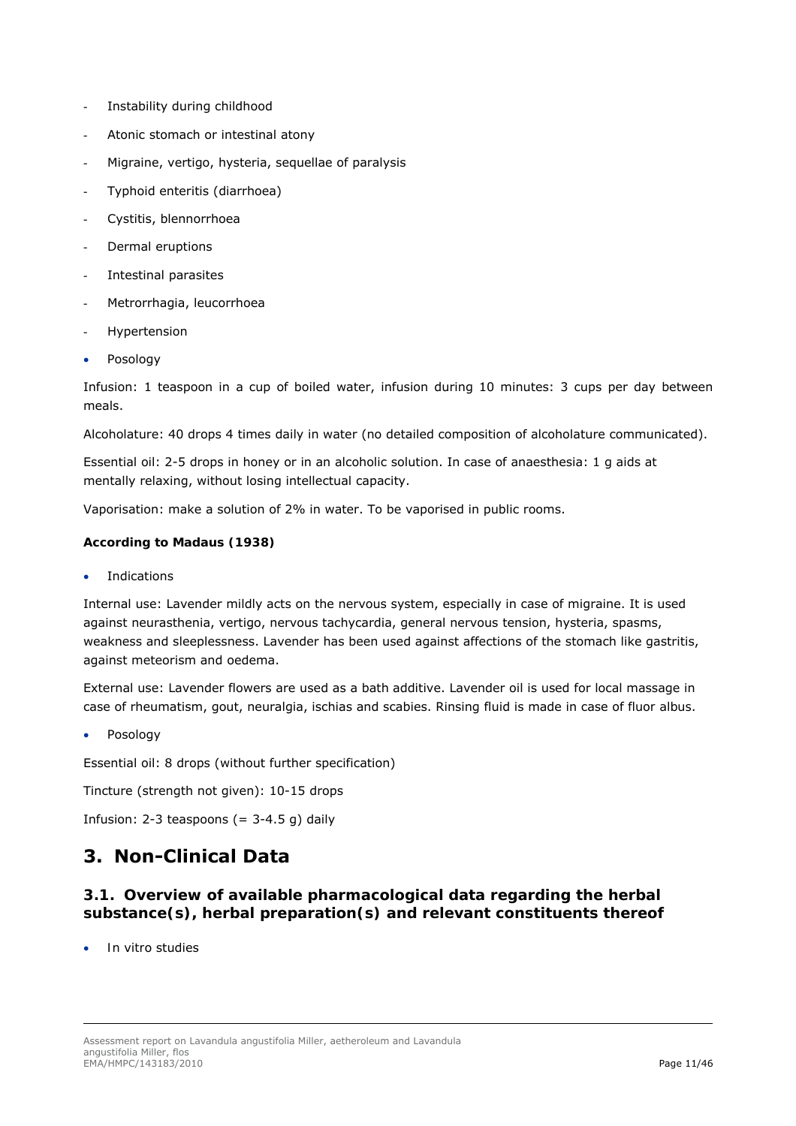- Instability during childhood
- Atonic stomach or intestinal atony
- Migraine, vertigo, hysteria, sequellae of paralysis
- Typhoid enteritis (diarrhoea)
- Cystitis, blennorrhoea
- Dermal eruptions
- Intestinal parasites
- Metrorrhagia, leucorrhoea
- **Hypertension**
- Posology

Infusion: 1 teaspoon in a cup of boiled water, infusion during 10 minutes: 3 cups per day between meals.

Alcoholature: 40 drops 4 times daily in water (no detailed composition of alcoholature communicated).

Essential oil: 2-5 drops in honey or in an alcoholic solution. In case of anaesthesia: 1 g aids at mentally relaxing, without losing intellectual capacity.

Vaporisation: make a solution of 2% in water. To be vaporised in public rooms.

#### *According to Madaus (1938)*

Indications

Internal use: Lavender mildly acts on the nervous system, especially in case of migraine. It is used against neurasthenia, vertigo, nervous tachycardia, general nervous tension, hysteria, spasms, weakness and sleeplessness. Lavender has been used against affections of the stomach like gastritis, against meteorism and oedema.

External use: Lavender flowers are used as a bath additive. Lavender oil is used for local massage in case of rheumatism, gout, neuralgia, ischias and scabies. Rinsing fluid is made in case of *fluor albus*.

Posology

Essential oil: 8 drops (without further specification)

Tincture (strength not given): 10-15 drops

Infusion:  $2-3$  teaspoons (=  $3-4.5$  q) daily

# **3. Non-Clinical Data**

# *3.1. Overview of available pharmacological data regarding the herbal substance(s), herbal preparation(s) and relevant constituents thereof*

*In vitro* studies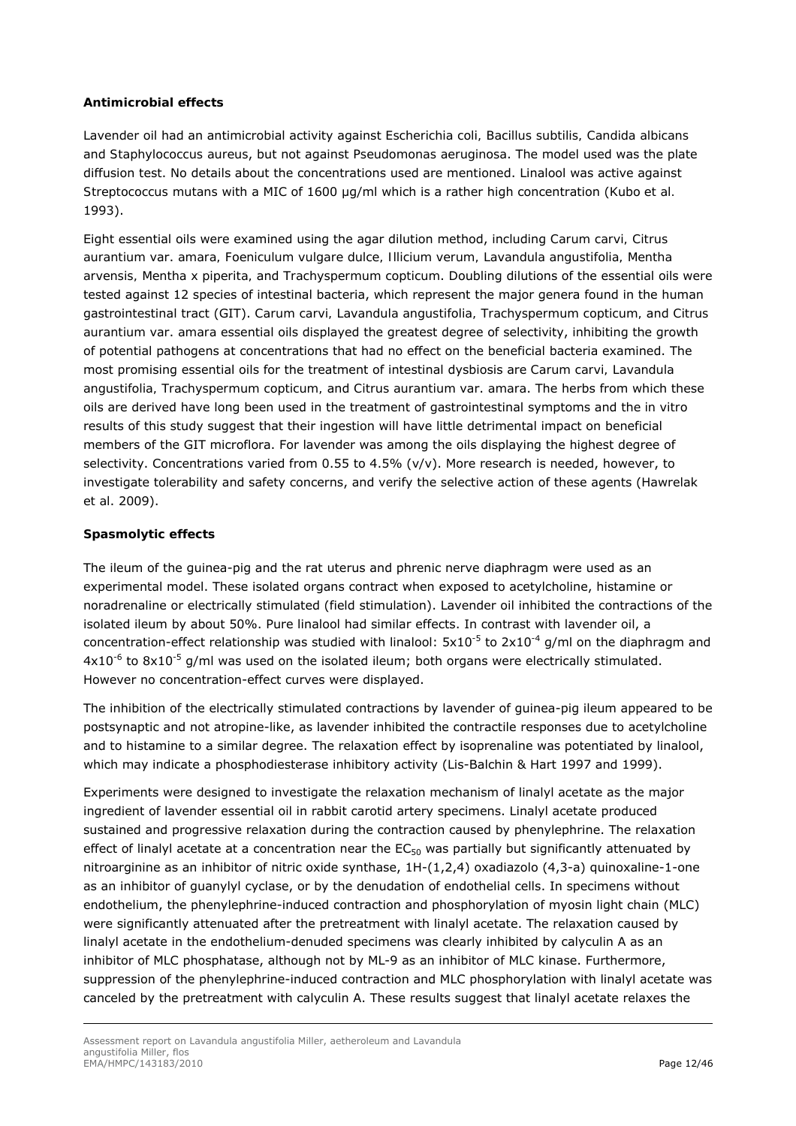## *Antimicrobial effects*

Lavender oil had an antimicrobial activity against *Escherichia coli, Bacillus subtilis, Candida albicans*  and *Staphylococcus aureus*, but not against *Pseudomonas aeruginosa*. The model used was the plate diffusion test. No details about the concentrations used are mentioned. Linalool was active against *Streptococcus mutans* with a MIC of 1600 µg/ml which is a rather high concentration (Kubo *et al.* 1993).

Eight essential oils were examined using the agar dilution method, including *Carum carvi, Citrus aurantium* var. *amara, Foeniculum vulgare dulce, Illicium verum, Lavandula angustifolia, Mentha arvensis, Mentha x piperita,* and *Trachyspermum copticum*. Doubling dilutions of the essential oils were tested against 12 species of intestinal bacteria, which represent the major genera found in the human gastrointestinal tract (GIT). *Carum carvi, Lavandula angustifolia, Trachyspermum copticum,* and *Citrus aurantium* var. *amara* essential oils displayed the greatest degree of selectivity, inhibiting the growth of potential pathogens at concentrations that had no effect on the beneficial bacteria examined. The most promising essential oils for the treatment of intestinal dysbiosis are *Carum carvi, Lavandula angustifolia, Trachyspermum copticum,* and *Citrus aurantium* var. *amara*. The herbs from which these oils are derived have long been used in the treatment of gastrointestinal symptoms and the *in vitro*  results of this study suggest that their ingestion will have little detrimental impact on beneficial members of the GIT microflora. For lavender was among the oils displaying the highest degree of selectivity. Concentrations varied from 0.55 to 4.5% ( $v/v$ ). More research is needed, however, to investigate tolerability and safety concerns, and verify the selective action of these agents (Hawrelak *et al*. 2009).

#### *Spasmolytic effects*

The ileum of the guinea-pig and the rat uterus and phrenic nerve diaphragm were used as an experimental model. These isolated organs contract when exposed to acetylcholine, histamine or noradrenaline or electrically stimulated (field stimulation). Lavender oil inhibited the contractions of the isolated ileum by about 50%. Pure linalool had similar effects. In contrast with lavender oil, a concentration-effect relationship was studied with linalool:  $5x10^{-5}$  to  $2x10^{-4}$  g/ml on the diaphragm and  $4x10^{-6}$  to  $8x10^{-5}$  g/ml was used on the isolated ileum; both organs were electrically stimulated. However no concentration-effect curves were displayed.

The inhibition of the electrically stimulated contractions by lavender of guinea-pig ileum appeared to be postsynaptic and not atropine-like, as lavender inhibited the contractile responses due to acetylcholine and to histamine to a similar degree. The relaxation effect by isoprenaline was potentiated by linalool, which may indicate a phosphodiesterase inhibitory activity (Lis-Balchin & Hart 1997 and 1999).

Experiments were designed to investigate the relaxation mechanism of linalyl acetate as the major ingredient of lavender essential oil in rabbit carotid artery specimens. Linalyl acetate produced sustained and progressive relaxation during the contraction caused by phenylephrine. The relaxation effect of linalyl acetate at a concentration near the  $EC_{50}$  was partially but significantly attenuated by nitroarginine as an inhibitor of nitric oxide synthase, 1H-(1,2,4) oxadiazolo (4,3-a) quinoxaline-1-one as an inhibitor of guanylyl cyclase, or by the denudation of endothelial cells. In specimens without endothelium, the phenylephrine-induced contraction and phosphorylation of myosin light chain (MLC) were significantly attenuated after the pretreatment with linalyl acetate. The relaxation caused by linalyl acetate in the endothelium-denuded specimens was clearly inhibited by calyculin A as an inhibitor of MLC phosphatase, although not by ML-9 as an inhibitor of MLC kinase. Furthermore, suppression of the phenylephrine-induced contraction and MLC phosphorylation with linalyl acetate was canceled by the pretreatment with calyculin A. These results suggest that linalyl acetate relaxes the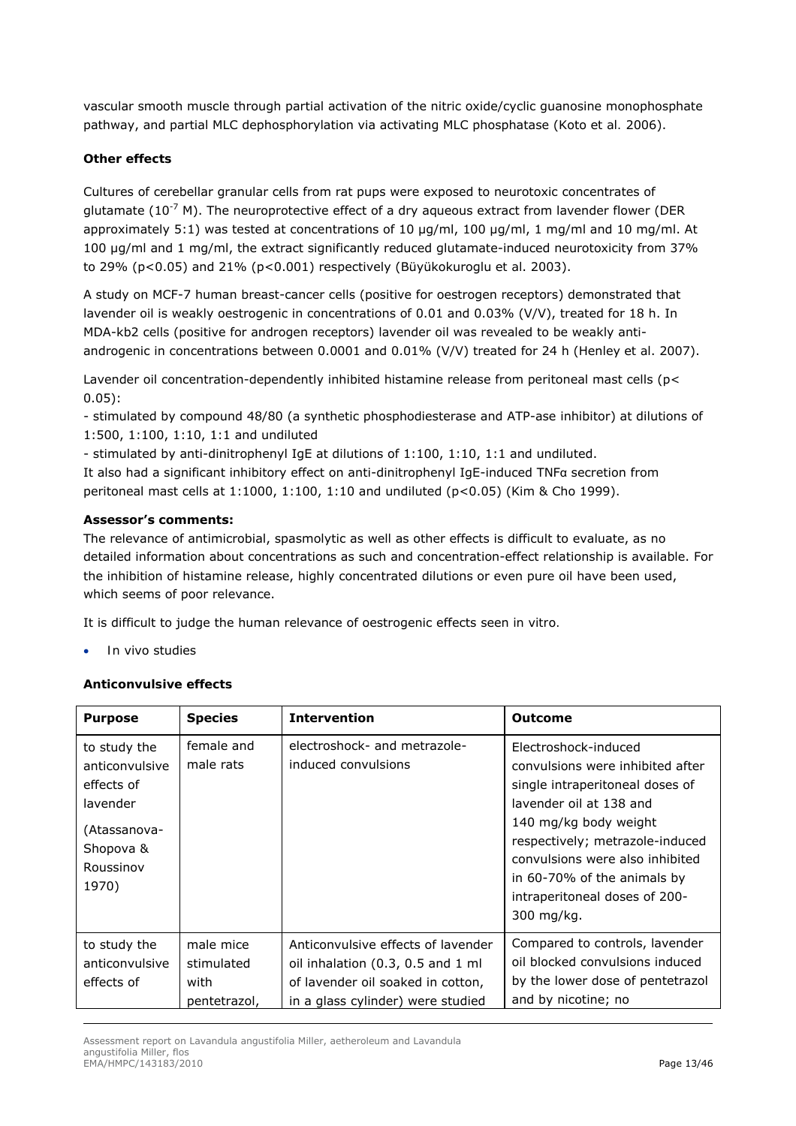vascular smooth muscle through partial activation of the nitric oxide/cyclic guanosine monophosphate pathway, and partial MLC dephosphorylation via activating MLC phosphatase (Koto *et al.* 2006).

## *Other effects*

Cultures of cerebellar granular cells from rat pups were exposed to neurotoxic concentrates of glutamate ( $10^{-7}$  M). The neuroprotective effect of a dry aqueous extract from lavender flower (DER approximately 5:1) was tested at concentrations of 10 ug/ml, 100 ug/ml, 1 mg/ml and 10 mg/ml, At 100 µg/ml and 1 mg/ml, the extract significantly reduced glutamate-induced neurotoxicity from 37% to 29% (p<0.05) and 21% (p<0.001) respectively (Büyükokuroglu *et al*. 2003).

A study on MCF-7 human breast-cancer cells (positive for oestrogen receptors) demonstrated that lavender oil is weakly oestrogenic in concentrations of 0.01 and 0.03% (V/V), treated for 18 h. In MDA-kb2 cells (positive for androgen receptors) lavender oil was revealed to be weakly antiandrogenic in concentrations between 0.0001 and 0.01% (V/V) treated for 24 h (Henley *et al*. 2007).

Lavender oil concentration-dependently inhibited histamine release from peritoneal mast cells (p< 0.05):

- stimulated by compound 48/80 (a synthetic phosphodiesterase and ATP-ase inhibitor) at dilutions of 1:500, 1:100, 1:10, 1:1 and undiluted

- stimulated by anti-dinitrophenyl IgE at dilutions of 1:100, 1:10, 1:1 and undiluted.

It also had a significant inhibitory effect on anti-dinitrophenyl IgE-induced TNFα secretion from peritoneal mast cells at 1:1000, 1:100, 1:10 and undiluted (p<0.05) (Kim & Cho 1999).

#### **Assessor's comments:**

The relevance of antimicrobial, spasmolytic as well as other effects is difficult to evaluate, as no detailed information about concentrations as such and concentration-effect relationship is available. For the inhibition of histamine release, highly concentrated dilutions or even pure oil have been used, which seems of poor relevance.

It is difficult to judge the human relevance of oestrogenic effects seen *in vitro.*

*In vivo* studies

## *Anticonvulsive effects*

| <b>Purpose</b>                                                                                              | <b>Species</b>                                  | <b>Intervention</b>                                                                                                                                   | <b>Outcome</b>                                                                                                                                                                                                                                                                                      |
|-------------------------------------------------------------------------------------------------------------|-------------------------------------------------|-------------------------------------------------------------------------------------------------------------------------------------------------------|-----------------------------------------------------------------------------------------------------------------------------------------------------------------------------------------------------------------------------------------------------------------------------------------------------|
| to study the<br>anticonvulsive<br>effects of<br>lavender<br>(Atassanova-<br>Shopova &<br>Roussinov<br>1970) | female and<br>male rats                         | electroshock- and metrazole-<br>induced convulsions                                                                                                   | Electroshock-induced<br>convulsions were inhibited after<br>single intraperitoneal doses of<br>lavender oil at 138 and<br>140 mg/kg body weight<br>respectively; metrazole-induced<br>convulsions were also inhibited<br>in 60-70% of the animals by<br>intraperitoneal doses of 200-<br>300 mg/kg. |
| to study the<br>anticonvulsive<br>effects of                                                                | male mice<br>stimulated<br>with<br>pentetrazol, | Anticonvulsive effects of lavender<br>oil inhalation $(0.3, 0.5$ and $1$ ml<br>of lavender oil soaked in cotton,<br>in a glass cylinder) were studied | Compared to controls, lavender<br>oil blocked convulsions induced<br>by the lower dose of pentetrazol<br>and by nicotine; no                                                                                                                                                                        |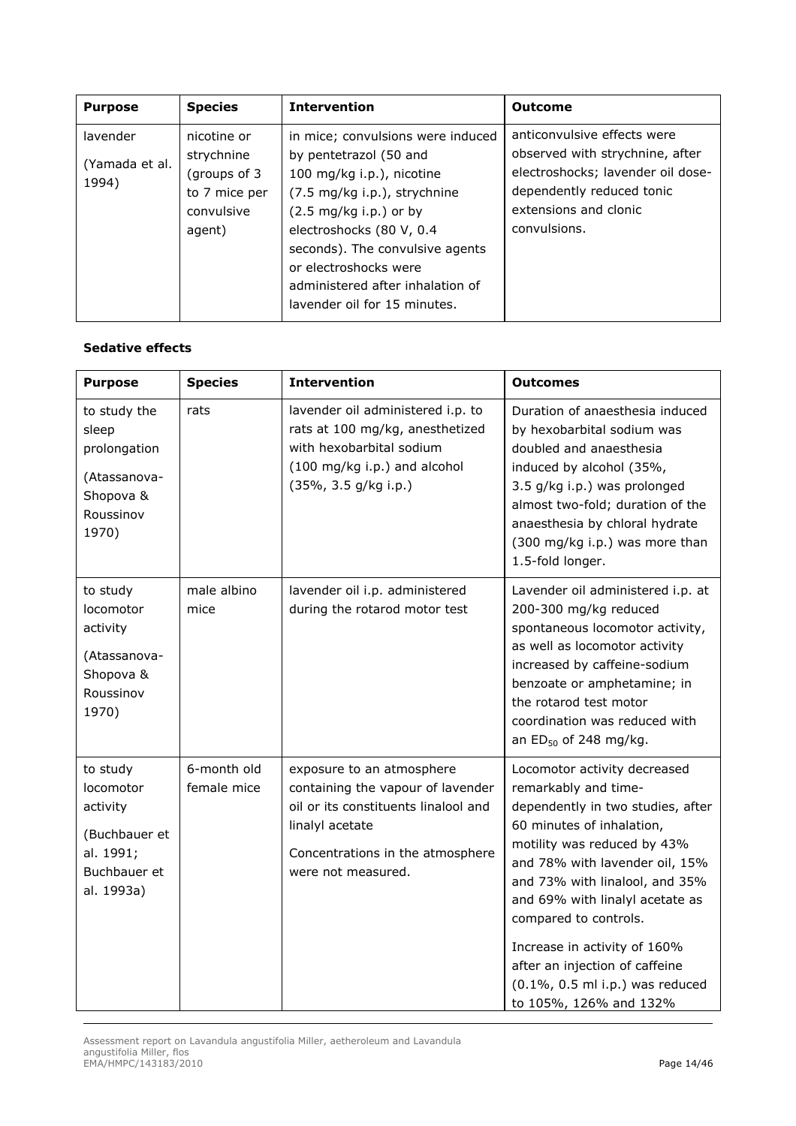| <b>Purpose</b> | <b>Species</b> | <b>Intervention</b>               | <b>Outcome</b>                    |
|----------------|----------------|-----------------------------------|-----------------------------------|
| lavender       | nicotine or    | in mice; convulsions were induced | anticonvulsive effects were       |
| (Yamada et al. | strychnine     | by pentetrazol (50 and            | observed with strychnine, after   |
| 1994)          | (groups of 3   | 100 mg/kg i.p.), nicotine         | electroshocks; lavender oil dose- |
|                | to 7 mice per  | (7.5 mg/kg i.p.), strychnine      | dependently reduced tonic         |
|                | convulsive     | $(2.5 \text{ mg/kg i.p.})$ or by  | extensions and clonic             |
|                | agent)         | electroshocks (80 V, 0.4          | convulsions.                      |
|                |                | seconds). The convulsive agents   |                                   |
|                |                | or electroshocks were             |                                   |
|                |                | administered after inhalation of  |                                   |
|                |                | lavender oil for 15 minutes.      |                                   |

## *Sedative effects*

| <b>Purpose</b>                                                                                | <b>Species</b>             | <b>Intervention</b>                                                                                                                                                                 | <b>Outcomes</b>                                                                                                                                                                                                                                                                                                                                                                                                          |
|-----------------------------------------------------------------------------------------------|----------------------------|-------------------------------------------------------------------------------------------------------------------------------------------------------------------------------------|--------------------------------------------------------------------------------------------------------------------------------------------------------------------------------------------------------------------------------------------------------------------------------------------------------------------------------------------------------------------------------------------------------------------------|
| to study the<br>sleep<br>prolongation<br>(Atassanova-<br>Shopova &<br>Roussinov<br>1970)      | rats                       | lavender oil administered i.p. to<br>rats at 100 mg/kg, anesthetized<br>with hexobarbital sodium<br>(100 mg/kg i.p.) and alcohol<br>(35%, 3.5 g/kg i.p.)                            | Duration of anaesthesia induced<br>by hexobarbital sodium was<br>doubled and anaesthesia<br>induced by alcohol (35%,<br>3.5 g/kg i.p.) was prolonged<br>almost two-fold; duration of the<br>anaesthesia by chloral hydrate<br>(300 mg/kg i.p.) was more than<br>1.5-fold longer.                                                                                                                                         |
| to study<br>locomotor<br>activity<br>(Atassanova-<br>Shopova &<br>Roussinov<br>1970)          | male albino<br>mice        | lavender oil i.p. administered<br>during the rotarod motor test                                                                                                                     | Lavender oil administered i.p. at<br>200-300 mg/kg reduced<br>spontaneous locomotor activity,<br>as well as locomotor activity<br>increased by caffeine-sodium<br>benzoate or amphetamine; in<br>the rotarod test motor<br>coordination was reduced with<br>an $ED_{50}$ of 248 mg/kg.                                                                                                                                   |
| to study<br>locomotor<br>activity<br>(Buchbauer et<br>al. 1991;<br>Buchbauer et<br>al. 1993a) | 6-month old<br>female mice | exposure to an atmosphere<br>containing the vapour of lavender<br>oil or its constituents linalool and<br>linalyl acetate<br>Concentrations in the atmosphere<br>were not measured. | Locomotor activity decreased<br>remarkably and time-<br>dependently in two studies, after<br>60 minutes of inhalation,<br>motility was reduced by 43%<br>and 78% with lavender oil, 15%<br>and 73% with linalool, and 35%<br>and 69% with linalyl acetate as<br>compared to controls.<br>Increase in activity of 160%<br>after an injection of caffeine<br>$(0.1\%$ , 0.5 ml i.p.) was reduced<br>to 105%, 126% and 132% |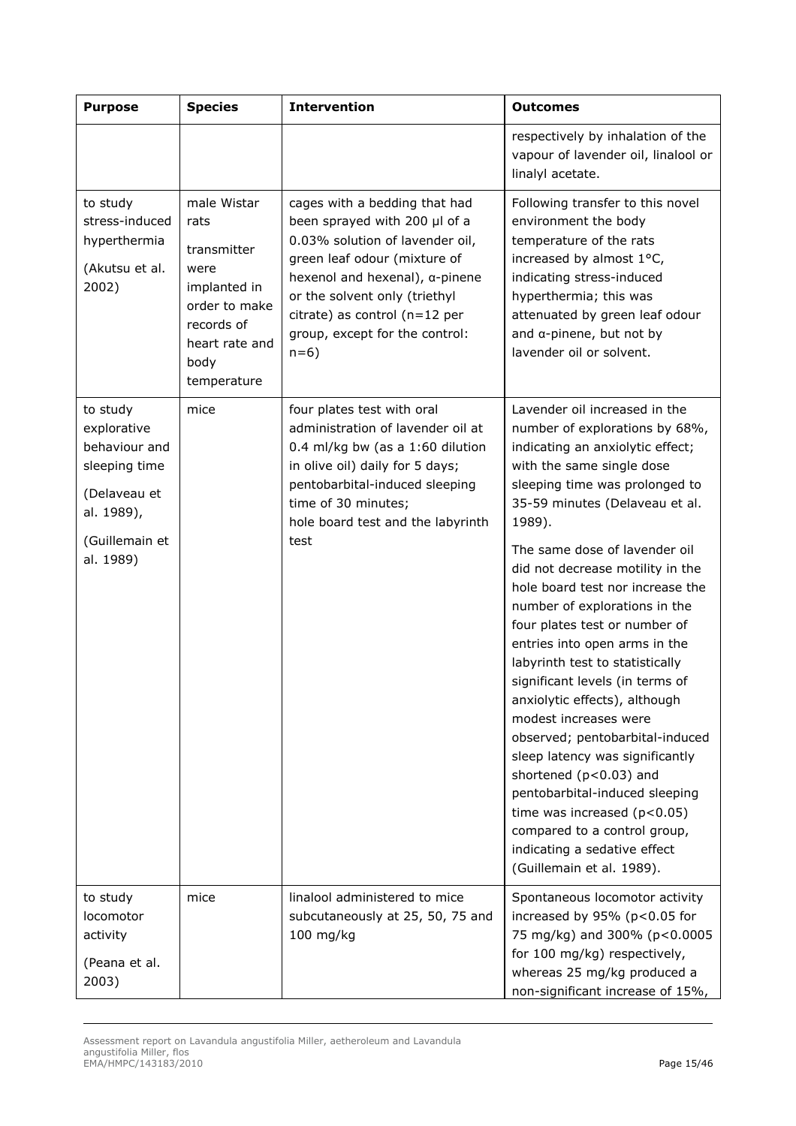| <b>Purpose</b>                                                                                                         | <b>Species</b>                                                                                                                     | <b>Intervention</b>                                                                                                                                                                                                                                                                        | <b>Outcomes</b>                                                                                                                                                                                                                                                                                                                                                                                                                                                                                                                                                                                                                                                                                                                                                                                                            |
|------------------------------------------------------------------------------------------------------------------------|------------------------------------------------------------------------------------------------------------------------------------|--------------------------------------------------------------------------------------------------------------------------------------------------------------------------------------------------------------------------------------------------------------------------------------------|----------------------------------------------------------------------------------------------------------------------------------------------------------------------------------------------------------------------------------------------------------------------------------------------------------------------------------------------------------------------------------------------------------------------------------------------------------------------------------------------------------------------------------------------------------------------------------------------------------------------------------------------------------------------------------------------------------------------------------------------------------------------------------------------------------------------------|
|                                                                                                                        |                                                                                                                                    |                                                                                                                                                                                                                                                                                            | respectively by inhalation of the<br>vapour of lavender oil, linalool or<br>linalyl acetate.                                                                                                                                                                                                                                                                                                                                                                                                                                                                                                                                                                                                                                                                                                                               |
| to study<br>stress-induced<br>hyperthermia<br>(Akutsu et al.<br>2002)                                                  | male Wistar<br>rats<br>transmitter<br>were<br>implanted in<br>order to make<br>records of<br>heart rate and<br>body<br>temperature | cages with a bedding that had<br>been sprayed with 200 µl of a<br>0.03% solution of lavender oil,<br>green leaf odour (mixture of<br>hexenol and hexenal), $\alpha$ -pinene<br>or the solvent only (triethyl<br>citrate) as control (n=12 per<br>group, except for the control:<br>$n=6$ ) | Following transfer to this novel<br>environment the body<br>temperature of the rats<br>increased by almost 1°C,<br>indicating stress-induced<br>hyperthermia; this was<br>attenuated by green leaf odour<br>and $\alpha$ -pinene, but not by<br>lavender oil or solvent.                                                                                                                                                                                                                                                                                                                                                                                                                                                                                                                                                   |
| to study<br>explorative<br>behaviour and<br>sleeping time<br>(Delaveau et<br>al. 1989),<br>(Guillemain et<br>al. 1989) | mice                                                                                                                               | four plates test with oral<br>administration of lavender oil at<br>0.4 ml/kg bw (as a 1:60 dilution<br>in olive oil) daily for 5 days;<br>pentobarbital-induced sleeping<br>time of 30 minutes;<br>hole board test and the labyrinth<br>test                                               | Lavender oil increased in the<br>number of explorations by 68%,<br>indicating an anxiolytic effect;<br>with the same single dose<br>sleeping time was prolonged to<br>35-59 minutes (Delaveau et al.<br>1989).<br>The same dose of lavender oil<br>did not decrease motility in the<br>hole board test nor increase the<br>number of explorations in the<br>four plates test or number of<br>entries into open arms in the<br>labyrinth test to statistically<br>significant levels (in terms of<br>anxiolytic effects), although<br>modest increases were<br>observed; pentobarbital-induced<br>sleep latency was significantly<br>shortened (p<0.03) and<br>pentobarbital-induced sleeping<br>time was increased $(p<0.05)$<br>compared to a control group,<br>indicating a sedative effect<br>(Guillemain et al. 1989). |
| to study<br>locomotor<br>activity<br>(Peana et al.<br>2003)                                                            | mice                                                                                                                               | linalool administered to mice<br>subcutaneously at 25, 50, 75 and<br>$100$ mg/kg                                                                                                                                                                                                           | Spontaneous locomotor activity<br>increased by 95% (p<0.05 for<br>75 mg/kg) and 300% (p<0.0005<br>for 100 mg/kg) respectively,<br>whereas 25 mg/kg produced a<br>non-significant increase of 15%,                                                                                                                                                                                                                                                                                                                                                                                                                                                                                                                                                                                                                          |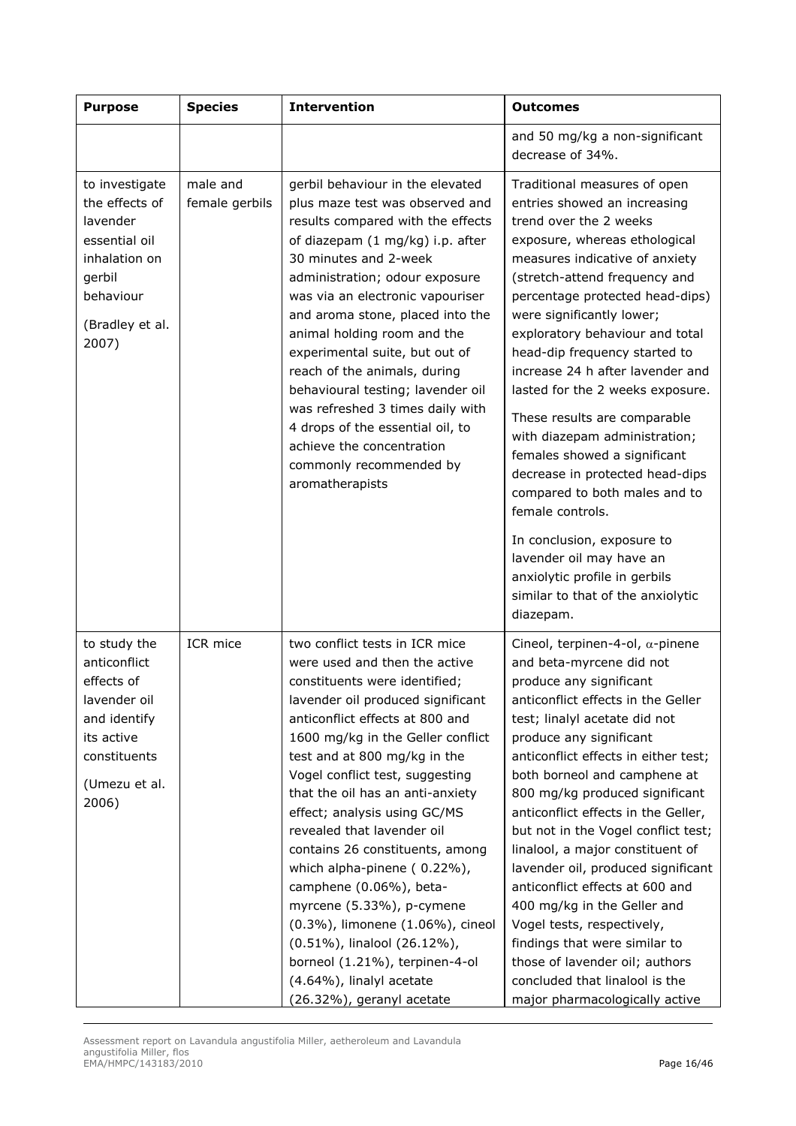| <b>Purpose</b>                                                                                                                     | <b>Species</b>             | <b>Intervention</b>                                                                                                                                                                                                                                                                                                                                                                                                                                                                                                                                                                                                                                                        | <b>Outcomes</b>                                                                                                                                                                                                                                                                                                                                                                                                                                                                                                                                                                                                                                                                                           |
|------------------------------------------------------------------------------------------------------------------------------------|----------------------------|----------------------------------------------------------------------------------------------------------------------------------------------------------------------------------------------------------------------------------------------------------------------------------------------------------------------------------------------------------------------------------------------------------------------------------------------------------------------------------------------------------------------------------------------------------------------------------------------------------------------------------------------------------------------------|-----------------------------------------------------------------------------------------------------------------------------------------------------------------------------------------------------------------------------------------------------------------------------------------------------------------------------------------------------------------------------------------------------------------------------------------------------------------------------------------------------------------------------------------------------------------------------------------------------------------------------------------------------------------------------------------------------------|
|                                                                                                                                    |                            |                                                                                                                                                                                                                                                                                                                                                                                                                                                                                                                                                                                                                                                                            | and 50 mg/kg a non-significant<br>decrease of 34%.                                                                                                                                                                                                                                                                                                                                                                                                                                                                                                                                                                                                                                                        |
| to investigate<br>the effects of<br>lavender<br>essential oil<br>inhalation on<br>gerbil<br>behaviour<br>(Bradley et al.<br>2007)  | male and<br>female gerbils | gerbil behaviour in the elevated<br>plus maze test was observed and<br>results compared with the effects<br>of diazepam (1 mg/kg) i.p. after<br>30 minutes and 2-week<br>administration; odour exposure<br>was via an electronic vapouriser<br>and aroma stone, placed into the<br>animal holding room and the<br>experimental suite, but out of<br>reach of the animals, during<br>behavioural testing; lavender oil<br>was refreshed 3 times daily with<br>4 drops of the essential oil, to<br>achieve the concentration<br>commonly recommended by<br>aromatherapists                                                                                                   | Traditional measures of open<br>entries showed an increasing<br>trend over the 2 weeks<br>exposure, whereas ethological<br>measures indicative of anxiety<br>(stretch-attend frequency and<br>percentage protected head-dips)<br>were significantly lower;<br>exploratory behaviour and total<br>head-dip frequency started to<br>increase 24 h after lavender and<br>lasted for the 2 weeks exposure.<br>These results are comparable<br>with diazepam administration;<br>females showed a significant<br>decrease in protected head-dips<br>compared to both males and to<br>female controls.<br>In conclusion, exposure to<br>lavender oil may have an                                                 |
|                                                                                                                                    |                            |                                                                                                                                                                                                                                                                                                                                                                                                                                                                                                                                                                                                                                                                            | anxiolytic profile in gerbils<br>similar to that of the anxiolytic<br>diazepam.                                                                                                                                                                                                                                                                                                                                                                                                                                                                                                                                                                                                                           |
| to study the<br>anticonflict<br>effects of<br>lavender oil<br>and identify<br>its active<br>constituents<br>(Umezu et al.<br>2006) | ICR mice                   | two conflict tests in ICR mice<br>were used and then the active<br>constituents were identified;<br>lavender oil produced significant<br>anticonflict effects at 800 and<br>1600 mg/kg in the Geller conflict<br>test and at 800 mg/kg in the<br>Vogel conflict test, suggesting<br>that the oil has an anti-anxiety<br>effect; analysis using GC/MS<br>revealed that lavender oil<br>contains 26 constituents, among<br>which alpha-pinene (0.22%),<br>camphene (0.06%), beta-<br>myrcene (5.33%), p-cymene<br>(0.3%), limonene (1.06%), cineol<br>(0.51%), linalool (26.12%),<br>borneol (1.21%), terpinen-4-ol<br>(4.64%), linalyl acetate<br>(26.32%), geranyl acetate | Cineol, terpinen-4-ol, $\alpha$ -pinene<br>and beta-myrcene did not<br>produce any significant<br>anticonflict effects in the Geller<br>test; linalyl acetate did not<br>produce any significant<br>anticonflict effects in either test;<br>both borneol and camphene at<br>800 mg/kg produced significant<br>anticonflict effects in the Geller,<br>but not in the Vogel conflict test;<br>linalool, a major constituent of<br>lavender oil, produced significant<br>anticonflict effects at 600 and<br>400 mg/kg in the Geller and<br>Vogel tests, respectively,<br>findings that were similar to<br>those of lavender oil; authors<br>concluded that linalool is the<br>major pharmacologically active |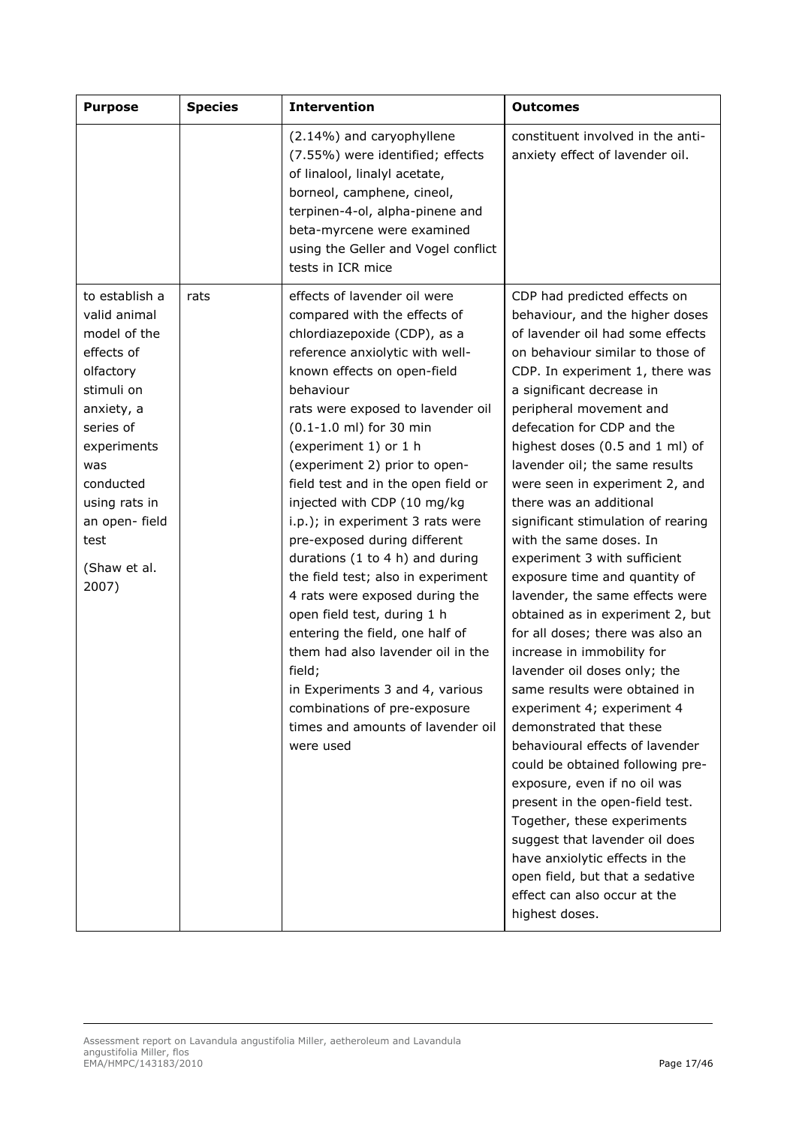| <b>Purpose</b>                                                                                                                                                                                                            | <b>Species</b> | <b>Intervention</b>                                                                                                                                                                                                                                                                                                                                                                                                                                                                                                                                                                                                                                                                                                                                                                              | <b>Outcomes</b>                                                                                                                                                                                                                                                                                                                                                                                                                                                                                                                                                                                                                                                                                                                                                                                                                                                                                                                                                                                                                                                                                                                           |
|---------------------------------------------------------------------------------------------------------------------------------------------------------------------------------------------------------------------------|----------------|--------------------------------------------------------------------------------------------------------------------------------------------------------------------------------------------------------------------------------------------------------------------------------------------------------------------------------------------------------------------------------------------------------------------------------------------------------------------------------------------------------------------------------------------------------------------------------------------------------------------------------------------------------------------------------------------------------------------------------------------------------------------------------------------------|-------------------------------------------------------------------------------------------------------------------------------------------------------------------------------------------------------------------------------------------------------------------------------------------------------------------------------------------------------------------------------------------------------------------------------------------------------------------------------------------------------------------------------------------------------------------------------------------------------------------------------------------------------------------------------------------------------------------------------------------------------------------------------------------------------------------------------------------------------------------------------------------------------------------------------------------------------------------------------------------------------------------------------------------------------------------------------------------------------------------------------------------|
|                                                                                                                                                                                                                           |                | (2.14%) and caryophyllene<br>(7.55%) were identified; effects<br>of linalool, linalyl acetate,<br>borneol, camphene, cineol,<br>terpinen-4-ol, alpha-pinene and<br>beta-myrcene were examined<br>using the Geller and Vogel conflict<br>tests in ICR mice                                                                                                                                                                                                                                                                                                                                                                                                                                                                                                                                        | constituent involved in the anti-<br>anxiety effect of lavender oil.                                                                                                                                                                                                                                                                                                                                                                                                                                                                                                                                                                                                                                                                                                                                                                                                                                                                                                                                                                                                                                                                      |
| to establish a<br>valid animal<br>model of the<br>effects of<br>olfactory<br>stimuli on<br>anxiety, a<br>series of<br>experiments<br>was<br>conducted<br>using rats in<br>an open- field<br>test<br>(Shaw et al.<br>2007) | rats           | effects of lavender oil were<br>compared with the effects of<br>chlordiazepoxide (CDP), as a<br>reference anxiolytic with well-<br>known effects on open-field<br>behaviour<br>rats were exposed to lavender oil<br>(0.1-1.0 ml) for 30 min<br>(experiment 1) or 1 h<br>(experiment 2) prior to open-<br>field test and in the open field or<br>injected with CDP (10 mg/kg<br>i.p.); in experiment 3 rats were<br>pre-exposed during different<br>durations (1 to 4 h) and during<br>the field test; also in experiment<br>4 rats were exposed during the<br>open field test, during 1 h<br>entering the field, one half of<br>them had also lavender oil in the<br>field;<br>in Experiments 3 and 4, various<br>combinations of pre-exposure<br>times and amounts of lavender oil<br>were used | CDP had predicted effects on<br>behaviour, and the higher doses<br>of lavender oil had some effects<br>on behaviour similar to those of<br>CDP. In experiment 1, there was<br>a significant decrease in<br>peripheral movement and<br>defecation for CDP and the<br>highest doses (0.5 and 1 ml) of<br>lavender oil; the same results<br>were seen in experiment 2, and<br>there was an additional<br>significant stimulation of rearing<br>with the same doses. In<br>experiment 3 with sufficient<br>exposure time and quantity of<br>lavender, the same effects were<br>obtained as in experiment 2, but<br>for all doses; there was also an<br>increase in immobility for<br>lavender oil doses only; the<br>same results were obtained in<br>experiment 4; experiment 4<br>demonstrated that these<br>behavioural effects of lavender<br>could be obtained following pre-<br>exposure, even if no oil was<br>present in the open-field test.<br>Together, these experiments<br>suggest that lavender oil does<br>have anxiolytic effects in the<br>open field, but that a sedative<br>effect can also occur at the<br>highest doses. |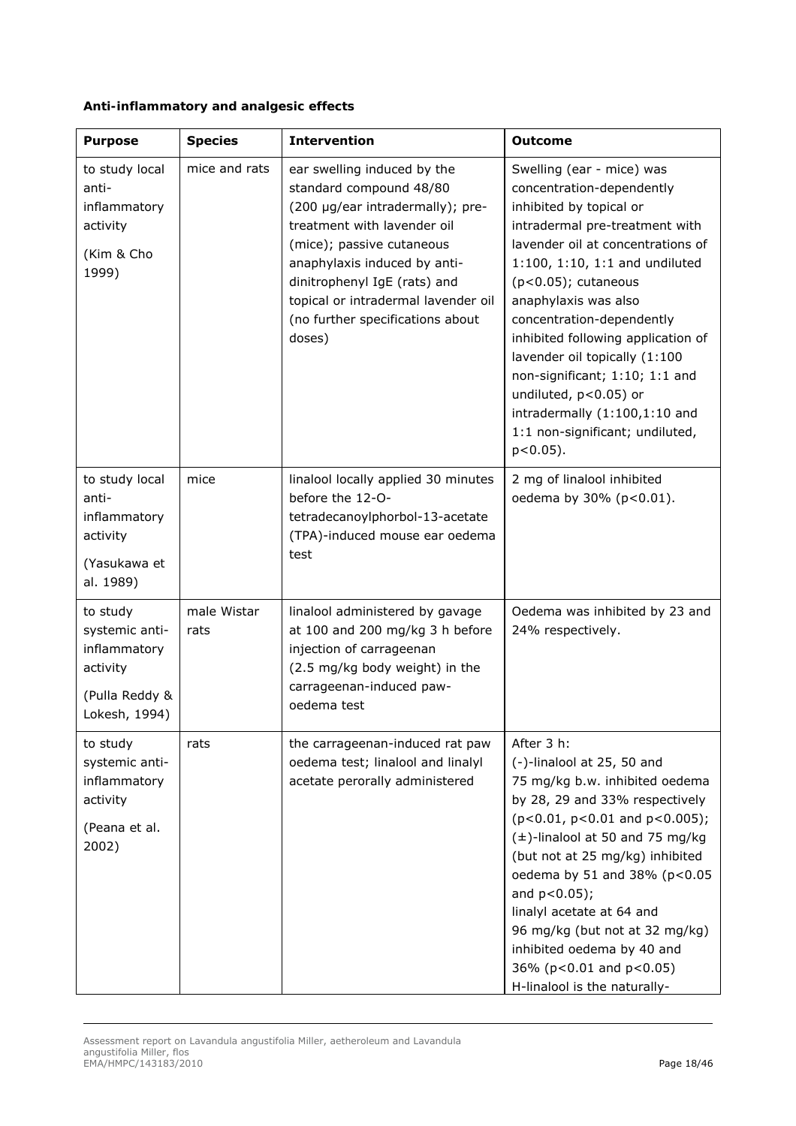| Anti-inflammatory and analgesic effects |  |
|-----------------------------------------|--|
|-----------------------------------------|--|

| <b>Purpose</b>                                                                            | <b>Species</b>      | <b>Intervention</b>                                                                                                                                                                                                                                                                                         | <b>Outcome</b>                                                                                                                                                                                                                                                                                                                                                                                                                                                                                     |
|-------------------------------------------------------------------------------------------|---------------------|-------------------------------------------------------------------------------------------------------------------------------------------------------------------------------------------------------------------------------------------------------------------------------------------------------------|----------------------------------------------------------------------------------------------------------------------------------------------------------------------------------------------------------------------------------------------------------------------------------------------------------------------------------------------------------------------------------------------------------------------------------------------------------------------------------------------------|
| to study local<br>anti-<br>inflammatory<br>activity<br>(Kim & Cho<br>1999)                | mice and rats       | ear swelling induced by the<br>standard compound 48/80<br>(200 µg/ear intradermally); pre-<br>treatment with lavender oil<br>(mice); passive cutaneous<br>anaphylaxis induced by anti-<br>dinitrophenyl IgE (rats) and<br>topical or intradermal lavender oil<br>(no further specifications about<br>doses) | Swelling (ear - mice) was<br>concentration-dependently<br>inhibited by topical or<br>intradermal pre-treatment with<br>lavender oil at concentrations of<br>$1:100, 1:10, 1:1$ and undiluted<br>$(p<0.05)$ ; cutaneous<br>anaphylaxis was also<br>concentration-dependently<br>inhibited following application of<br>lavender oil topically (1:100<br>non-significant; 1:10; 1:1 and<br>undiluted, p<0.05) or<br>intradermally (1:100,1:10 and<br>1:1 non-significant; undiluted,<br>$p < 0.05$ ). |
| to study local<br>anti-<br>inflammatory<br>activity<br>(Yasukawa et<br>al. 1989)          | mice                | linalool locally applied 30 minutes<br>before the 12-O-<br>tetradecanoylphorbol-13-acetate<br>(TPA)-induced mouse ear oedema<br>test                                                                                                                                                                        | 2 mg of linalool inhibited<br>oedema by 30% (p<0.01).                                                                                                                                                                                                                                                                                                                                                                                                                                              |
| to study<br>systemic anti-<br>inflammatory<br>activity<br>(Pulla Reddy &<br>Lokesh, 1994) | male Wistar<br>rats | linalool administered by gavage<br>at 100 and 200 mg/kg 3 h before<br>injection of carrageenan<br>(2.5 mg/kg body weight) in the<br>carrageenan-induced paw-<br>oedema test                                                                                                                                 | Oedema was inhibited by 23 and<br>24% respectively.                                                                                                                                                                                                                                                                                                                                                                                                                                                |
| to study<br>systemic anti-<br>inflammatory<br>activity<br>(Peana et al.<br>2002)          | rats                | the carrageenan-induced rat paw<br>oedema test; linalool and linalyl<br>acetate perorally administered                                                                                                                                                                                                      | After 3 h:<br>(-)-linalool at 25, 50 and<br>75 mg/kg b.w. inhibited oedema<br>by 28, 29 and 33% respectively<br>$(p<0.01, p<0.01$ and $p<0.005$ );<br>$(\pm)$ -linalool at 50 and 75 mg/kg<br>(but not at 25 mg/kg) inhibited<br>oedema by 51 and 38% (p<0.05<br>and $p < 0.05$ );<br>linalyl acetate at 64 and<br>96 mg/kg (but not at 32 mg/kg)<br>inhibited oedema by 40 and<br>36% (p<0.01 and p<0.05)<br>H-linalool is the naturally-                                                         |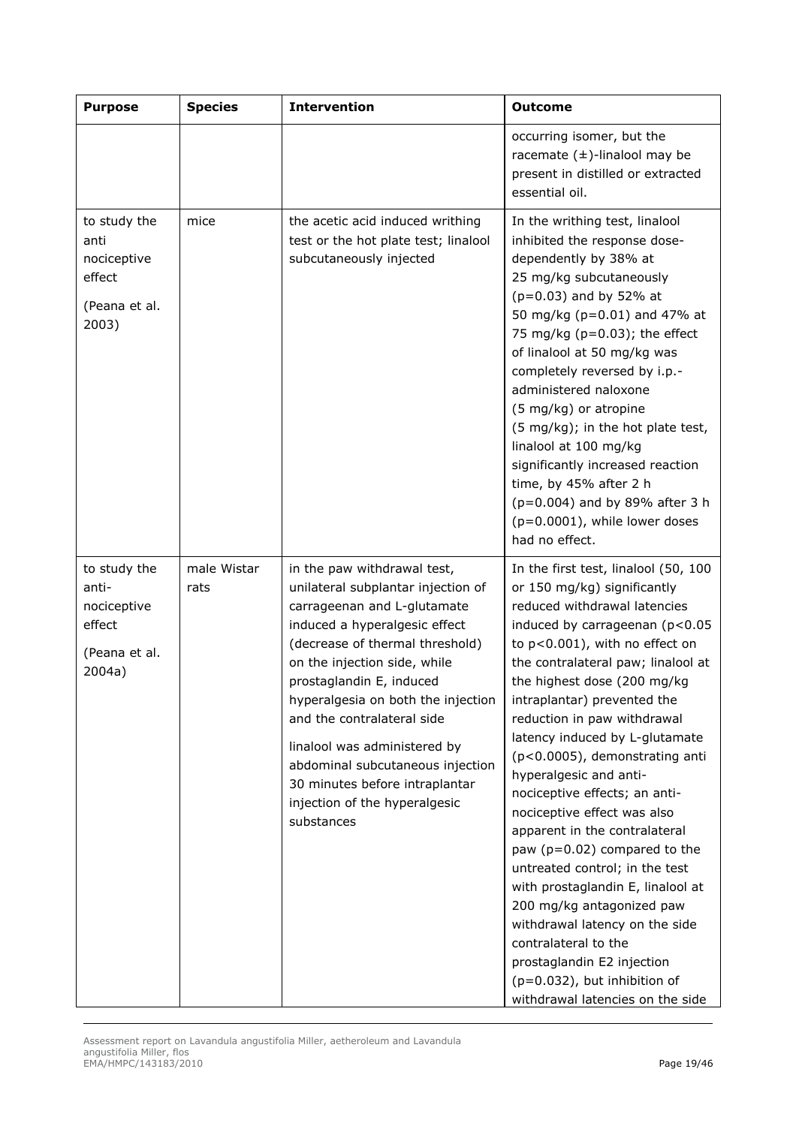| <b>Purpose</b>                                                            | <b>Species</b>      | <b>Intervention</b>                                                                                                                                                                                                                                                                                                                                                                                                                                       | <b>Outcome</b>                                                                                                                                                                                                                                                                                                                                                                                                                                                                                                                                                                                                                                                                                                                                                                                                   |
|---------------------------------------------------------------------------|---------------------|-----------------------------------------------------------------------------------------------------------------------------------------------------------------------------------------------------------------------------------------------------------------------------------------------------------------------------------------------------------------------------------------------------------------------------------------------------------|------------------------------------------------------------------------------------------------------------------------------------------------------------------------------------------------------------------------------------------------------------------------------------------------------------------------------------------------------------------------------------------------------------------------------------------------------------------------------------------------------------------------------------------------------------------------------------------------------------------------------------------------------------------------------------------------------------------------------------------------------------------------------------------------------------------|
|                                                                           |                     |                                                                                                                                                                                                                                                                                                                                                                                                                                                           | occurring isomer, but the<br>racemate $(\pm)$ -linalool may be<br>present in distilled or extracted<br>essential oil.                                                                                                                                                                                                                                                                                                                                                                                                                                                                                                                                                                                                                                                                                            |
| to study the<br>anti<br>nociceptive<br>effect<br>(Peana et al.<br>2003)   | mice                | the acetic acid induced writhing<br>test or the hot plate test; linalool<br>subcutaneously injected                                                                                                                                                                                                                                                                                                                                                       | In the writhing test, linalool<br>inhibited the response dose-<br>dependently by 38% at<br>25 mg/kg subcutaneously<br>(p=0.03) and by 52% at<br>50 mg/kg (p=0.01) and 47% at<br>75 mg/kg ( $p=0.03$ ); the effect<br>of linalool at 50 mg/kg was<br>completely reversed by i.p.-<br>administered naloxone<br>(5 mg/kg) or atropine<br>(5 mg/kg); in the hot plate test,<br>linalool at 100 mg/kg<br>significantly increased reaction<br>time, by 45% after 2 h<br>$(p=0.004)$ and by 89% after 3 h<br>(p=0.0001), while lower doses<br>had no effect.                                                                                                                                                                                                                                                            |
| to study the<br>anti-<br>nociceptive<br>effect<br>(Peana et al.<br>2004a) | male Wistar<br>rats | in the paw withdrawal test,<br>unilateral subplantar injection of<br>carrageenan and L-glutamate<br>induced a hyperalgesic effect<br>(decrease of thermal threshold)<br>on the injection side, while<br>prostaglandin E, induced<br>hyperalgesia on both the injection<br>and the contralateral side<br>linalool was administered by<br>abdominal subcutaneous injection<br>30 minutes before intraplantar<br>injection of the hyperalgesic<br>substances | In the first test, linalool (50, 100<br>or 150 mg/kg) significantly<br>reduced withdrawal latencies<br>induced by carrageenan (p<0.05<br>to p<0.001), with no effect on<br>the contralateral paw; linalool at<br>the highest dose (200 mg/kg<br>intraplantar) prevented the<br>reduction in paw withdrawal<br>latency induced by L-glutamate<br>(p<0.0005), demonstrating anti<br>hyperalgesic and anti-<br>nociceptive effects; an anti-<br>nociceptive effect was also<br>apparent in the contralateral<br>paw ( $p=0.02$ ) compared to the<br>untreated control; in the test<br>with prostaglandin E, linalool at<br>200 mg/kg antagonized paw<br>withdrawal latency on the side<br>contralateral to the<br>prostaglandin E2 injection<br>$(p=0.032)$ , but inhibition of<br>withdrawal latencies on the side |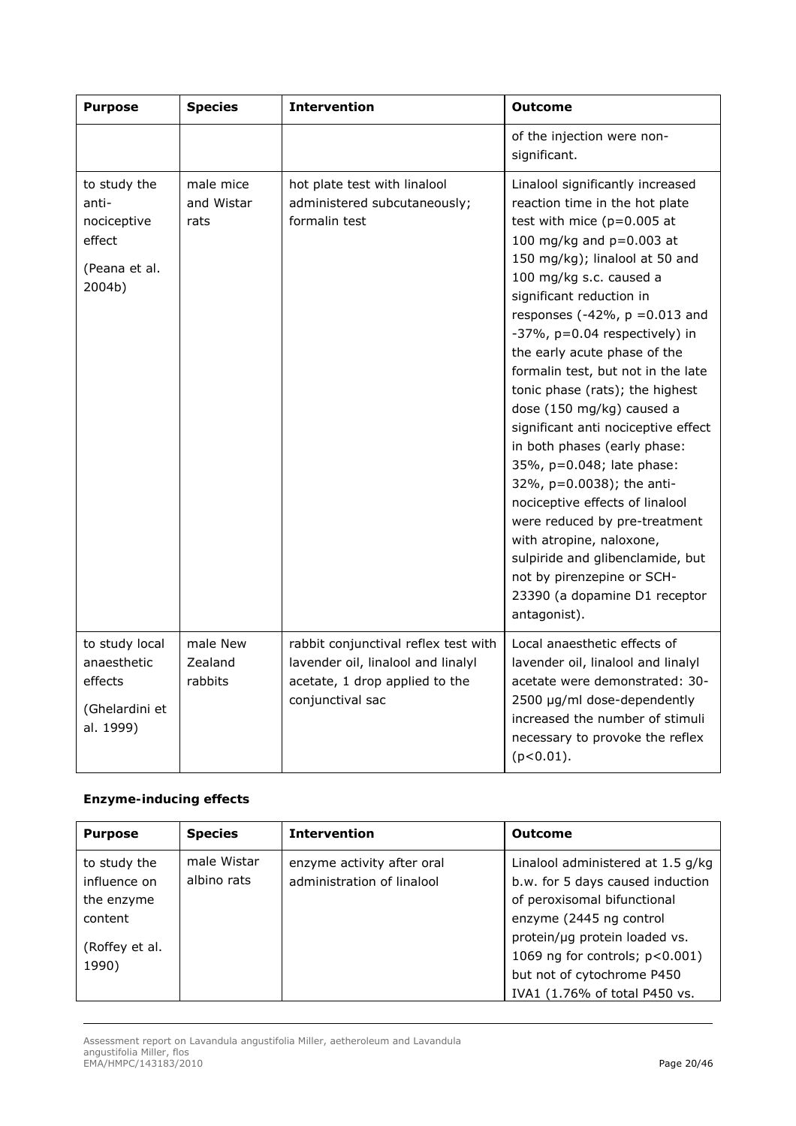| <b>Purpose</b>                                                            | <b>Species</b>                  | <b>Intervention</b>                                                                                                              | <b>Outcome</b>                                                                                                                                                                                                                                                                                                                                                                                                                                                                                                                                                                                                                                                                                                                                                                             |
|---------------------------------------------------------------------------|---------------------------------|----------------------------------------------------------------------------------------------------------------------------------|--------------------------------------------------------------------------------------------------------------------------------------------------------------------------------------------------------------------------------------------------------------------------------------------------------------------------------------------------------------------------------------------------------------------------------------------------------------------------------------------------------------------------------------------------------------------------------------------------------------------------------------------------------------------------------------------------------------------------------------------------------------------------------------------|
|                                                                           |                                 |                                                                                                                                  | of the injection were non-<br>significant.                                                                                                                                                                                                                                                                                                                                                                                                                                                                                                                                                                                                                                                                                                                                                 |
| to study the<br>anti-<br>nociceptive<br>effect<br>(Peana et al.<br>2004b) | male mice<br>and Wistar<br>rats | hot plate test with linalool<br>administered subcutaneously;<br>formalin test                                                    | Linalool significantly increased<br>reaction time in the hot plate<br>test with mice $(p=0.005$ at<br>100 mg/kg and p=0.003 at<br>150 mg/kg); linalool at 50 and<br>100 mg/kg s.c. caused a<br>significant reduction in<br>responses (-42%, $p = 0.013$ and<br>$-37\%$ , p=0.04 respectively) in<br>the early acute phase of the<br>formalin test, but not in the late<br>tonic phase (rats); the highest<br>dose (150 mg/kg) caused a<br>significant anti nociceptive effect<br>in both phases (early phase:<br>35%, p=0.048; late phase:<br>32%, p=0.0038); the anti-<br>nociceptive effects of linalool<br>were reduced by pre-treatment<br>with atropine, naloxone,<br>sulpiride and glibenclamide, but<br>not by pirenzepine or SCH-<br>23390 (a dopamine D1 receptor<br>antagonist). |
| to study local<br>anaesthetic<br>effects<br>(Ghelardini et<br>al. 1999)   | male New<br>Zealand<br>rabbits  | rabbit conjunctival reflex test with<br>lavender oil, linalool and linalyl<br>acetate, 1 drop applied to the<br>conjunctival sac | Local anaesthetic effects of<br>lavender oil, linalool and linalyl<br>acetate were demonstrated: 30-<br>2500 µg/ml dose-dependently<br>increased the number of stimuli<br>necessary to provoke the reflex<br>$(p<0.01)$ .                                                                                                                                                                                                                                                                                                                                                                                                                                                                                                                                                                  |

## *Enzyme-inducing effects*

| <b>Purpose</b>         | <b>Species</b> | <b>Intervention</b>        | <b>Outcome</b>                      |
|------------------------|----------------|----------------------------|-------------------------------------|
| to study the           | male Wistar    | enzyme activity after oral | Linalool administered at 1.5 g/kg   |
| influence on           | albino rats    | administration of linalool | b.w. for 5 days caused induction    |
| the enzyme             |                |                            | of peroxisomal bifunctional         |
| content                |                |                            | enzyme (2445 ng control             |
|                        |                |                            | protein/µg protein loaded vs.       |
| (Roffey <i>et al</i> . |                |                            | 1069 ng for controls; $p < 0.001$ ) |
| 1990)                  |                |                            | but not of cytochrome P450          |
|                        |                |                            | IVA1 (1.76% of total P450 vs.       |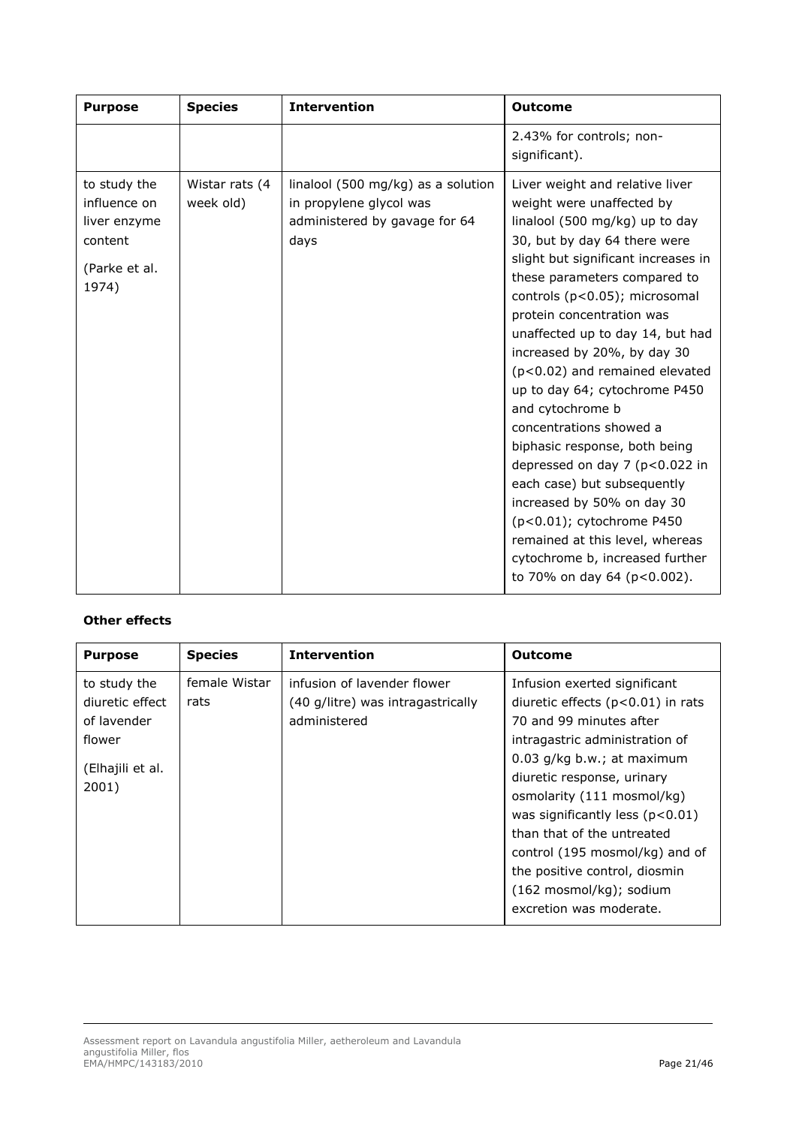| <b>Purpose</b>                                                                    | <b>Species</b>              | <b>Intervention</b>                                                                                    | <b>Outcome</b>                                                                                                                                                                                                                                                                                                                                                                                                                                                                                                                                                                                                                                                                                                               |
|-----------------------------------------------------------------------------------|-----------------------------|--------------------------------------------------------------------------------------------------------|------------------------------------------------------------------------------------------------------------------------------------------------------------------------------------------------------------------------------------------------------------------------------------------------------------------------------------------------------------------------------------------------------------------------------------------------------------------------------------------------------------------------------------------------------------------------------------------------------------------------------------------------------------------------------------------------------------------------------|
|                                                                                   |                             |                                                                                                        | 2.43% for controls; non-<br>significant).                                                                                                                                                                                                                                                                                                                                                                                                                                                                                                                                                                                                                                                                                    |
| to study the<br>influence on<br>liver enzyme<br>content<br>(Parke et al.<br>1974) | Wistar rats (4<br>week old) | linalool (500 mg/kg) as a solution<br>in propylene glycol was<br>administered by gavage for 64<br>days | Liver weight and relative liver<br>weight were unaffected by<br>linalool (500 mg/kg) up to day<br>30, but by day 64 there were<br>slight but significant increases in<br>these parameters compared to<br>controls (p<0.05); microsomal<br>protein concentration was<br>unaffected up to day 14, but had<br>increased by 20%, by day 30<br>$(p<0.02)$ and remained elevated<br>up to day 64; cytochrome P450<br>and cytochrome b<br>concentrations showed a<br>biphasic response, both being<br>depressed on day 7 (p<0.022 in<br>each case) but subsequently<br>increased by 50% on day 30<br>(p<0.01); cytochrome P450<br>remained at this level, whereas<br>cytochrome b, increased further<br>to 70% on day 64 (p<0.002). |

## *Other effects*

| <b>Purpose</b>                                                                        | <b>Species</b>        | <b>Intervention</b>                                                              | <b>Outcome</b>                                                                                                                                                                                                                                                                                                                                                                                                                           |
|---------------------------------------------------------------------------------------|-----------------------|----------------------------------------------------------------------------------|------------------------------------------------------------------------------------------------------------------------------------------------------------------------------------------------------------------------------------------------------------------------------------------------------------------------------------------------------------------------------------------------------------------------------------------|
| to study the<br>diuretic effect<br>of lavender<br>flower<br>(Elhajili et al.<br>2001) | female Wistar<br>rats | infusion of lavender flower<br>(40 g/litre) was intragastrically<br>administered | Infusion exerted significant<br>diuretic effects $(p<0.01)$ in rats<br>70 and 99 minutes after<br>intragastric administration of<br>$0.03$ g/kg b.w.; at maximum<br>diuretic response, urinary<br>osmolarity (111 mosmol/kg)<br>was significantly less $(p<0.01)$<br>than that of the untreated<br>control (195 mosmol/kg) and of<br>the positive control, diosmin<br>$(162 \text{ mosh}/\text{kg})$ ; sodium<br>excretion was moderate. |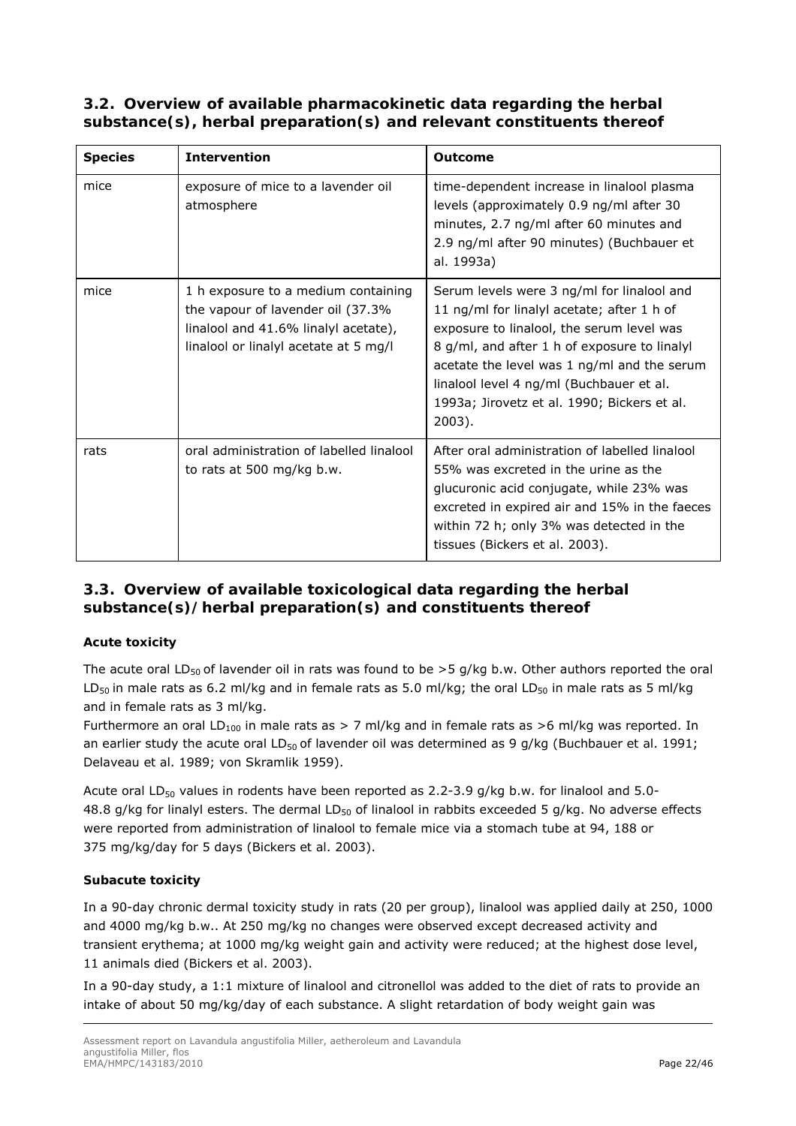*3.2. Overview of available pharmacokinetic data regarding the herbal substance(s), herbal preparation(s) and relevant constituents thereof* 

| <b>Species</b> | <b>Intervention</b>                                                                                                                                       | <b>Outcome</b>                                                                                                                                                                                                                                                                                                                               |
|----------------|-----------------------------------------------------------------------------------------------------------------------------------------------------------|----------------------------------------------------------------------------------------------------------------------------------------------------------------------------------------------------------------------------------------------------------------------------------------------------------------------------------------------|
| mice           | exposure of mice to a lavender oil<br>atmosphere                                                                                                          | time-dependent increase in linalool plasma<br>levels (approximately 0.9 ng/ml after 30<br>minutes, 2.7 ng/ml after 60 minutes and<br>2.9 ng/ml after 90 minutes) (Buchbauer et<br>al. 1993a)                                                                                                                                                 |
| mice           | 1 h exposure to a medium containing<br>the vapour of lavender oil (37.3%<br>linalool and 41.6% linalyl acetate),<br>linalool or linalyl acetate at 5 mg/l | Serum levels were 3 ng/ml for linalool and<br>11 ng/ml for linalyl acetate; after 1 h of<br>exposure to linalool, the serum level was<br>8 g/ml, and after 1 h of exposure to linalyl<br>acetate the level was 1 ng/ml and the serum<br>linalool level 4 ng/ml (Buchbauer et al.<br>1993a; Jirovetz et al. 1990; Bickers et al.<br>$2003$ ). |
| rats           | oral administration of labelled linalool<br>to rats at 500 mg/kg b.w.                                                                                     | After oral administration of labelled linalool<br>55% was excreted in the urine as the<br>glucuronic acid conjugate, while 23% was<br>excreted in expired air and 15% in the faeces<br>within 72 h; only 3% was detected in the<br>tissues (Bickers et al. 2003).                                                                            |

# *3.3. Overview of available toxicological data regarding the herbal substance(s)/herbal preparation(s) and constituents thereof*

## *Acute toxicity*

The acute oral LD<sub>50</sub> of lavender oil in rats was found to be  $>5$  g/kg b.w. Other authors reported the oral LD<sub>50</sub> in male rats as 6.2 ml/kg and in female rats as 5.0 ml/kg; the oral LD<sub>50</sub> in male rats as 5 ml/kg and in female rats as 3 ml/kg.

Furthermore an oral LD<sub>100</sub> in male rats as > 7 ml/kg and in female rats as >6 ml/kg was reported. In an earlier study the acute oral LD<sub>50</sub> of lavender oil was determined as 9 g/kg (Buchbauer *et al.* 1991; Delaveau *et al*. 1989; von Skramlik 1959).

Acute oral LD<sub>50</sub> values in rodents have been reported as 2.2-3.9 g/kg b.w. for linalool and 5.0-48.8 g/kg for linalyl esters. The dermal LD<sub>50</sub> of linalool in rabbits exceeded 5 g/kg. No adverse effects were reported from administration of linalool to female mice via a stomach tube at 94, 188 or 375 mg/kg/day for 5 days (Bickers *et al*. 2003).

## *Subacute toxicity*

In a 90-day chronic dermal toxicity study in rats (20 per group), linalool was applied daily at 250, 1000 and 4000 mg/kg b.w.. At 250 mg/kg no changes were observed except decreased activity and transient erythema; at 1000 mg/kg weight gain and activity were reduced; at the highest dose level, 11 animals died (Bickers *et al*. 2003).

In a 90-day study, a 1:1 mixture of linalool and citronellol was added to the diet of rats to provide an intake of about 50 mg/kg/day of each substance. A slight retardation of body weight gain was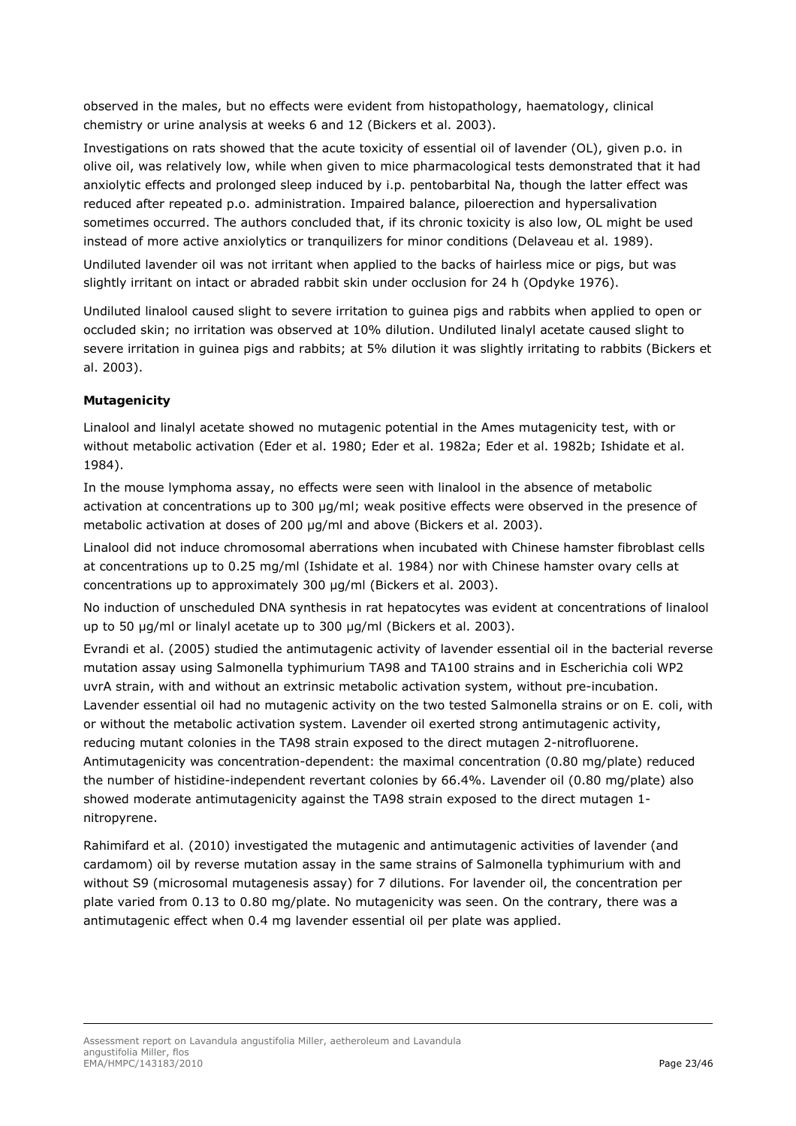observed in the males, but no effects were evident from histopathology, haematology, clinical chemistry or urine analysis at weeks 6 and 12 (Bickers *et al*. 2003).

Investigations on rats showed that the acute toxicity of essential oil of lavender (OL), given p.o. in olive oil, was relatively low, while when given to mice pharmacological tests demonstrated that it had anxiolytic effects and prolonged sleep induced by i.p. pentobarbital Na, though the latter effect was reduced after repeated p.o. administration. Impaired balance, piloerection and hypersalivation sometimes occurred. The authors concluded that, if its chronic toxicity is also low, OL might be used instead of more active anxiolytics or tranquilizers for minor conditions (Delaveau *et al*. 1989).

Undiluted lavender oil was not irritant when applied to the backs of hairless mice or pigs, but was slightly irritant on intact or abraded rabbit skin under occlusion for 24 h (Opdyke 1976).

Undiluted linalool caused slight to severe irritation to guinea pigs and rabbits when applied to open or occluded skin; no irritation was observed at 10% dilution. Undiluted linalyl acetate caused slight to severe irritation in guinea pigs and rabbits; at 5% dilution it was slightly irritating to rabbits (Bickers *et al*. 2003).

## *Mutagenicity*

Linalool and linalyl acetate showed no mutagenic potential in the Ames mutagenicity test, with or without metabolic activation (Eder *et al*. 1980; Eder *et al*. 1982a; Eder *et al*. 1982b; Ishidate *et al*. 1984).

In the mouse lymphoma assay, no effects were seen with linalool in the absence of metabolic activation at concentrations up to 300 µg/ml; weak positive effects were observed in the presence of metabolic activation at doses of 200 µg/ml and above (Bickers *et al*. 2003).

Linalool did not induce chromosomal aberrations when incubated with Chinese hamster fibroblast cells at concentrations up to 0.25 mg/ml (Ishidate *et al.* 1984) nor with Chinese hamster ovary cells at concentrations up to approximately 300 µg/ml (Bickers *et al*. 2003).

No induction of unscheduled DNA synthesis in rat hepatocytes was evident at concentrations of linalool up to 50 µg/ml or linalyl acetate up to 300 µg/ml (Bickers *et al*. 2003).

Evrandi *et al*. (2005) studied the antimutagenic activity of lavender essential oil in the bacterial reverse mutation assay using *Salmonella typhimurium* TA98 and TA100 strains and in *Escherichia coli* WP2 uvrA strain, with and without an extrinsic metabolic activation system, without pre-incubation. Lavender essential oil had no mutagenic activity on the two tested *Salmonella* strains or on *E. coli*, with or without the metabolic activation system. Lavender oil exerted strong antimutagenic activity, reducing mutant colonies in the TA98 strain exposed to the direct mutagen 2-nitrofluorene. Antimutagenicity was concentration-dependent: the maximal concentration (0.80 mg/plate) reduced the number of histidine-independent revertant colonies by 66.4%. Lavender oil (0.80 mg/plate) also showed moderate antimutagenicity against the TA98 strain exposed to the direct mutagen 1 nitropyrene.

Rahimifard *et al.* (2010) investigated the mutagenic and antimutagenic activities of lavender (and cardamom) oil by reverse mutation assay in the same strains of *Salmonella typhimurium* with and without S9 (microsomal mutagenesis assay) for 7 dilutions. For lavender oil, the concentration per plate varied from 0.13 to 0.80 mg/plate. No mutagenicity was seen. On the contrary, there was a antimutagenic effect when 0.4 mg lavender essential oil per plate was applied.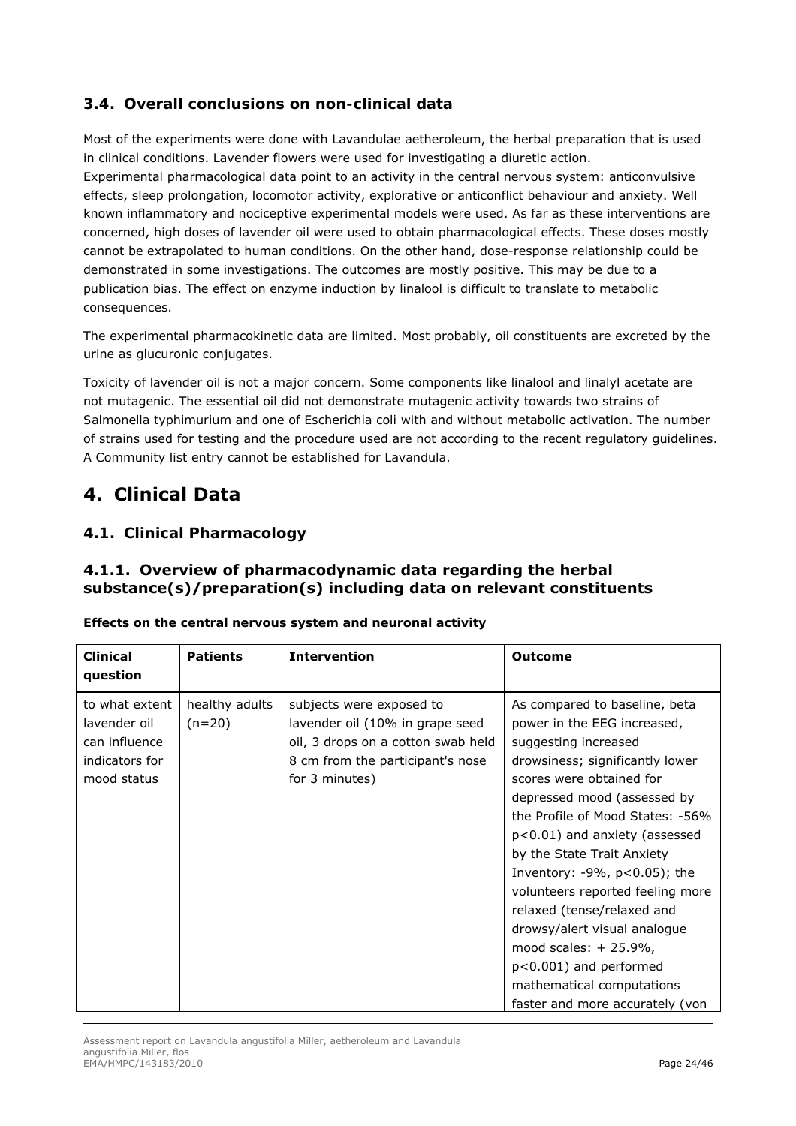# *3.4. Overall conclusions on non-clinical data*

Most of the experiments were done with Lavandulae aetheroleum, the herbal preparation that is used in clinical conditions. Lavender flowers were used for investigating a diuretic action. Experimental pharmacological data point to an activity in the central nervous system: anticonvulsive effects, sleep prolongation, locomotor activity, explorative or anticonflict behaviour and anxiety. Well known inflammatory and nociceptive experimental models were used. As far as these interventions are concerned, high doses of lavender oil were used to obtain pharmacological effects. These doses mostly cannot be extrapolated to human conditions. On the other hand, dose-response relationship could be demonstrated in some investigations. The outcomes are mostly positive. This may be due to a publication bias. The effect on enzyme induction by linalool is difficult to translate to metabolic consequences.

The experimental pharmacokinetic data are limited. Most probably, oil constituents are excreted by the urine as glucuronic conjugates.

Toxicity of lavender oil is not a major concern. Some components like linalool and linalyl acetate are not mutagenic. The essential oil did not demonstrate mutagenic activity towards two strains of *Salmonella typhimurium* and one of *Escherichia coli* with and without metabolic activation. The number of strains used for testing and the procedure used are not according to the recent regulatory guidelines. A Community list entry cannot be established for *Lavandula*.

# **4. Clinical Data**

# *4.1. Clinical Pharmacology*

## **4.1.1. Overview of pharmacodynamic data regarding the herbal substance(s)/preparation(s) including data on relevant constituents**

| <b>Clinical</b><br>question                                                      | <b>Patients</b>            | <b>Intervention</b>                                                                                                                                     | Outcome                                                                                                                                                                                                                                                                                                                                                                                                                                                                                                                                              |
|----------------------------------------------------------------------------------|----------------------------|---------------------------------------------------------------------------------------------------------------------------------------------------------|------------------------------------------------------------------------------------------------------------------------------------------------------------------------------------------------------------------------------------------------------------------------------------------------------------------------------------------------------------------------------------------------------------------------------------------------------------------------------------------------------------------------------------------------------|
| to what extent<br>lavender oil<br>can influence<br>indicators for<br>mood status | healthy adults<br>$(n=20)$ | subjects were exposed to<br>lavender oil (10% in grape seed<br>oil, 3 drops on a cotton swab held<br>8 cm from the participant's nose<br>for 3 minutes) | As compared to baseline, beta<br>power in the EEG increased,<br>suggesting increased<br>drowsiness; significantly lower<br>scores were obtained for<br>depressed mood (assessed by<br>the Profile of Mood States: -56%<br>p<0.01) and anxiety (assessed<br>by the State Trait Anxiety<br>Inventory: $-9\%$ , $p<0.05$ ); the<br>volunteers reported feeling more<br>relaxed (tense/relaxed and<br>drowsy/alert visual analogue<br>mood scales: $+25.9\%$ ,<br>p<0.001) and performed<br>mathematical computations<br>faster and more accurately (von |

*Effects on the central nervous system and neuronal activity*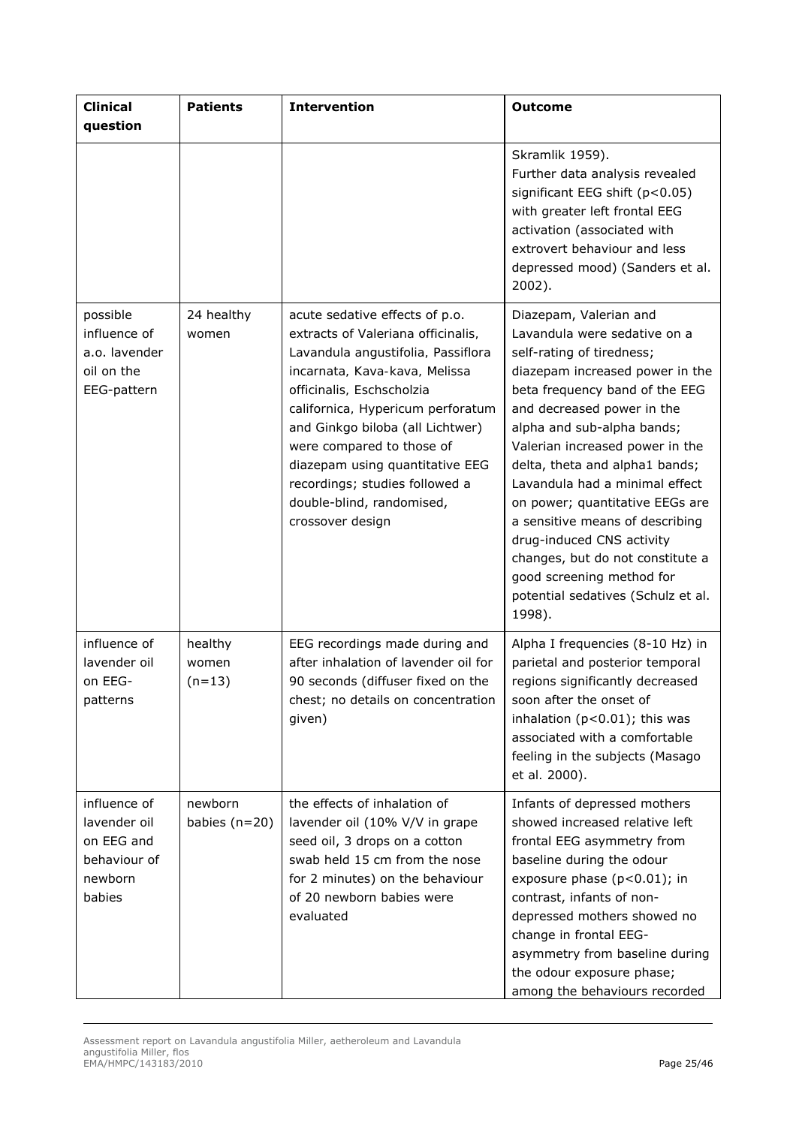| <b>Clinical</b><br>question                                                     | <b>Patients</b>              | <b>Intervention</b>                                                                                                                                                                                                                                                                                                                                                                                  | <b>Outcome</b>                                                                                                                                                                                                                                                                                                                                                                                                                                                                                                                                  |
|---------------------------------------------------------------------------------|------------------------------|------------------------------------------------------------------------------------------------------------------------------------------------------------------------------------------------------------------------------------------------------------------------------------------------------------------------------------------------------------------------------------------------------|-------------------------------------------------------------------------------------------------------------------------------------------------------------------------------------------------------------------------------------------------------------------------------------------------------------------------------------------------------------------------------------------------------------------------------------------------------------------------------------------------------------------------------------------------|
|                                                                                 |                              |                                                                                                                                                                                                                                                                                                                                                                                                      | Skramlik 1959).<br>Further data analysis revealed<br>significant EEG shift (p<0.05)<br>with greater left frontal EEG<br>activation (associated with<br>extrovert behaviour and less<br>depressed mood) (Sanders et al.<br>2002).                                                                                                                                                                                                                                                                                                                |
| possible<br>influence of<br>a.o. lavender<br>oil on the<br>EEG-pattern          | 24 healthy<br>women          | acute sedative effects of p.o.<br>extracts of Valeriana officinalis,<br>Lavandula angustifolia, Passiflora<br>incarnata, Kava-kava, Melissa<br>officinalis, Eschscholzia<br>californica, Hypericum perforatum<br>and Ginkgo biloba (all Lichtwer)<br>were compared to those of<br>diazepam using quantitative EEG<br>recordings; studies followed a<br>double-blind, randomised,<br>crossover design | Diazepam, Valerian and<br>Lavandula were sedative on a<br>self-rating of tiredness;<br>diazepam increased power in the<br>beta frequency band of the EEG<br>and decreased power in the<br>alpha and sub-alpha bands;<br>Valerian increased power in the<br>delta, theta and alpha1 bands;<br>Lavandula had a minimal effect<br>on power; quantitative EEGs are<br>a sensitive means of describing<br>drug-induced CNS activity<br>changes, but do not constitute a<br>good screening method for<br>potential sedatives (Schulz et al.<br>1998). |
| influence of<br>lavender oil<br>on EEG-<br>patterns                             | healthy<br>women<br>$(n=13)$ | EEG recordings made during and<br>after inhalation of lavender oil for<br>90 seconds (diffuser fixed on the<br>chest; no details on concentration<br>given)                                                                                                                                                                                                                                          | Alpha I frequencies (8-10 Hz) in<br>parietal and posterior temporal<br>regions significantly decreased<br>soon after the onset of<br>inhalation $(p<0.01)$ ; this was<br>associated with a comfortable<br>feeling in the subjects (Masago<br>et al. 2000).                                                                                                                                                                                                                                                                                      |
| influence of<br>lavender oil<br>on EEG and<br>behaviour of<br>newborn<br>babies | newborn<br>babies $(n=20)$   | the effects of inhalation of<br>lavender oil (10% V/V in grape<br>seed oil, 3 drops on a cotton<br>swab held 15 cm from the nose<br>for 2 minutes) on the behaviour<br>of 20 newborn babies were<br>evaluated                                                                                                                                                                                        | Infants of depressed mothers<br>showed increased relative left<br>frontal EEG asymmetry from<br>baseline during the odour<br>exposure phase $(p<0.01)$ ; in<br>contrast, infants of non-<br>depressed mothers showed no<br>change in frontal EEG-<br>asymmetry from baseline during<br>the odour exposure phase;<br>among the behaviours recorded                                                                                                                                                                                               |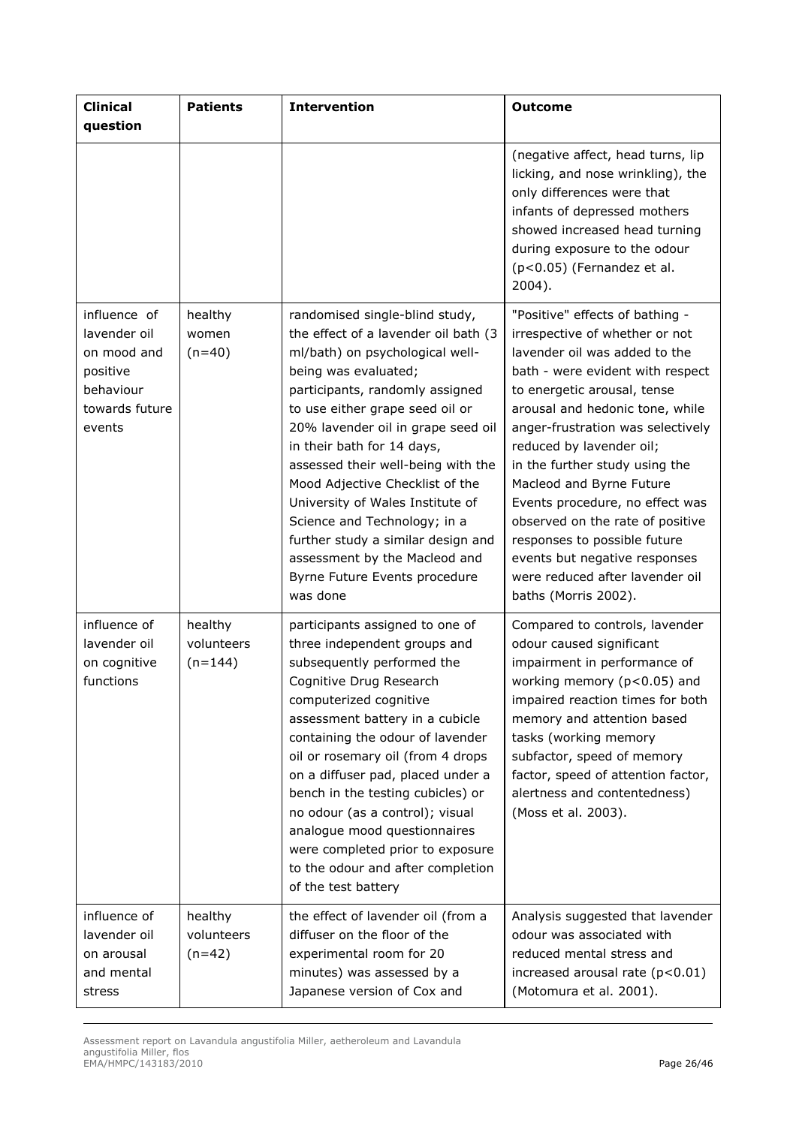| <b>Clinical</b><br>question                                                                      | <b>Patients</b>                    | <b>Intervention</b>                                                                                                                                                                                                                                                                                                                                                                                                                                                                                                                          | <b>Outcome</b>                                                                                                                                                                                                                                                                                                                                                                                                                                                                                                                             |
|--------------------------------------------------------------------------------------------------|------------------------------------|----------------------------------------------------------------------------------------------------------------------------------------------------------------------------------------------------------------------------------------------------------------------------------------------------------------------------------------------------------------------------------------------------------------------------------------------------------------------------------------------------------------------------------------------|--------------------------------------------------------------------------------------------------------------------------------------------------------------------------------------------------------------------------------------------------------------------------------------------------------------------------------------------------------------------------------------------------------------------------------------------------------------------------------------------------------------------------------------------|
|                                                                                                  |                                    |                                                                                                                                                                                                                                                                                                                                                                                                                                                                                                                                              | (negative affect, head turns, lip<br>licking, and nose wrinkling), the<br>only differences were that<br>infants of depressed mothers<br>showed increased head turning<br>during exposure to the odour<br>$(p<0.05)$ (Fernandez et al.<br>$2004$ ).                                                                                                                                                                                                                                                                                         |
| influence of<br>lavender oil<br>on mood and<br>positive<br>behaviour<br>towards future<br>events | healthy<br>women<br>$(n=40)$       | randomised single-blind study,<br>the effect of a lavender oil bath (3<br>ml/bath) on psychological well-<br>being was evaluated;<br>participants, randomly assigned<br>to use either grape seed oil or<br>20% lavender oil in grape seed oil<br>in their bath for 14 days,<br>assessed their well-being with the<br>Mood Adjective Checklist of the<br>University of Wales Institute of<br>Science and Technology; in a<br>further study a similar design and<br>assessment by the Macleod and<br>Byrne Future Events procedure<br>was done | "Positive" effects of bathing -<br>irrespective of whether or not<br>lavender oil was added to the<br>bath - were evident with respect<br>to energetic arousal, tense<br>arousal and hedonic tone, while<br>anger-frustration was selectively<br>reduced by lavender oil;<br>in the further study using the<br>Macleod and Byrne Future<br>Events procedure, no effect was<br>observed on the rate of positive<br>responses to possible future<br>events but negative responses<br>were reduced after lavender oil<br>baths (Morris 2002). |
| influence of<br>lavender oil<br>on cognitive<br>functions                                        | healthy<br>volunteers<br>$(n=144)$ | participants assigned to one of<br>three independent groups and<br>subsequently performed the<br>Cognitive Drug Research<br>computerized cognitive<br>assessment battery in a cubicle<br>containing the odour of lavender<br>oil or rosemary oil (from 4 drops<br>on a diffuser pad, placed under a<br>bench in the testing cubicles) or<br>no odour (as a control); visual<br>analogue mood questionnaires<br>were completed prior to exposure<br>to the odour and after completion<br>of the test battery                                  | Compared to controls, lavender<br>odour caused significant<br>impairment in performance of<br>working memory (p<0.05) and<br>impaired reaction times for both<br>memory and attention based<br>tasks (working memory<br>subfactor, speed of memory<br>factor, speed of attention factor,<br>alertness and contentedness)<br>(Moss et al. 2003).                                                                                                                                                                                            |
| influence of<br>lavender oil<br>on arousal<br>and mental<br>stress                               | healthy<br>volunteers<br>$(n=42)$  | the effect of lavender oil (from a<br>diffuser on the floor of the<br>experimental room for 20<br>minutes) was assessed by a<br>Japanese version of Cox and                                                                                                                                                                                                                                                                                                                                                                                  | Analysis suggested that lavender<br>odour was associated with<br>reduced mental stress and<br>increased arousal rate (p<0.01)<br>(Motomura et al. 2001).                                                                                                                                                                                                                                                                                                                                                                                   |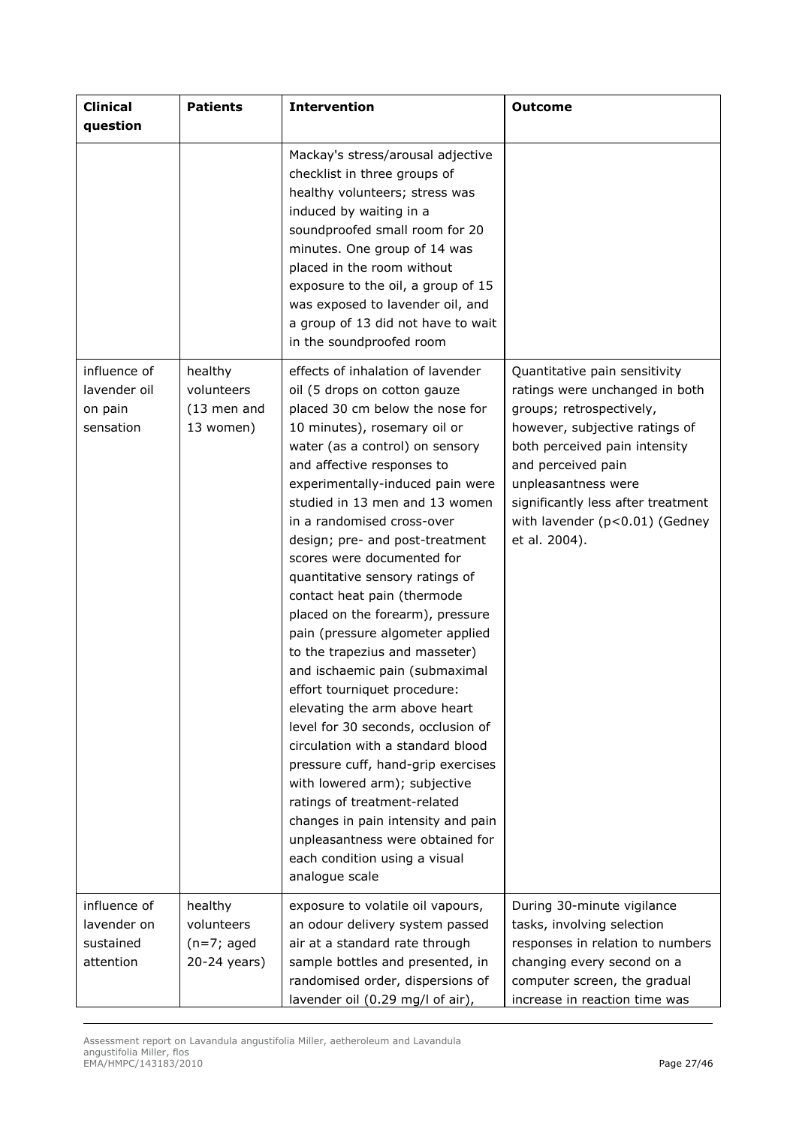| <b>Clinical</b><br>question                           | <b>Patients</b>                                        | <b>Intervention</b>                                                                                                                                                                                                                                                                                                                                                                                                                                                                                                                                                                                                                                                                                                                                                                                                                                                                                                                                                      | <b>Outcome</b>                                                                                                                                                                                                                                                                                       |
|-------------------------------------------------------|--------------------------------------------------------|--------------------------------------------------------------------------------------------------------------------------------------------------------------------------------------------------------------------------------------------------------------------------------------------------------------------------------------------------------------------------------------------------------------------------------------------------------------------------------------------------------------------------------------------------------------------------------------------------------------------------------------------------------------------------------------------------------------------------------------------------------------------------------------------------------------------------------------------------------------------------------------------------------------------------------------------------------------------------|------------------------------------------------------------------------------------------------------------------------------------------------------------------------------------------------------------------------------------------------------------------------------------------------------|
|                                                       |                                                        | Mackay's stress/arousal adjective<br>checklist in three groups of<br>healthy volunteers; stress was<br>induced by waiting in a<br>soundproofed small room for 20<br>minutes. One group of 14 was<br>placed in the room without<br>exposure to the oil, a group of 15<br>was exposed to lavender oil, and<br>a group of 13 did not have to wait<br>in the soundproofed room                                                                                                                                                                                                                                                                                                                                                                                                                                                                                                                                                                                               |                                                                                                                                                                                                                                                                                                      |
| influence of<br>lavender oil<br>on pain<br>sensation  | healthy<br>volunteers<br>$(13$ men and<br>13 women)    | effects of inhalation of lavender<br>oil (5 drops on cotton gauze<br>placed 30 cm below the nose for<br>10 minutes), rosemary oil or<br>water (as a control) on sensory<br>and affective responses to<br>experimentally-induced pain were<br>studied in 13 men and 13 women<br>in a randomised cross-over<br>design; pre- and post-treatment<br>scores were documented for<br>quantitative sensory ratings of<br>contact heat pain (thermode<br>placed on the forearm), pressure<br>pain (pressure algometer applied<br>to the trapezius and masseter)<br>and ischaemic pain (submaximal<br>effort tourniquet procedure:<br>elevating the arm above heart<br>level for 30 seconds, occlusion of<br>circulation with a standard blood<br>pressure cuff, hand-grip exercises<br>with lowered arm); subjective<br>ratings of treatment-related<br>changes in pain intensity and pain<br>unpleasantness were obtained for<br>each condition using a visual<br>analogue scale | Quantitative pain sensitivity<br>ratings were unchanged in both<br>groups; retrospectively,<br>however, subjective ratings of<br>both perceived pain intensity<br>and perceived pain<br>unpleasantness were<br>significantly less after treatment<br>with lavender (p<0.01) (Gedney<br>et al. 2004). |
| influence of<br>lavender on<br>sustained<br>attention | healthy<br>volunteers<br>$(n=7; aged)$<br>20-24 years) | exposure to volatile oil vapours,<br>an odour delivery system passed<br>air at a standard rate through<br>sample bottles and presented, in<br>randomised order, dispersions of<br>lavender oil (0.29 mg/l of air),                                                                                                                                                                                                                                                                                                                                                                                                                                                                                                                                                                                                                                                                                                                                                       | During 30-minute vigilance<br>tasks, involving selection<br>responses in relation to numbers<br>changing every second on a<br>computer screen, the gradual<br>increase in reaction time was                                                                                                          |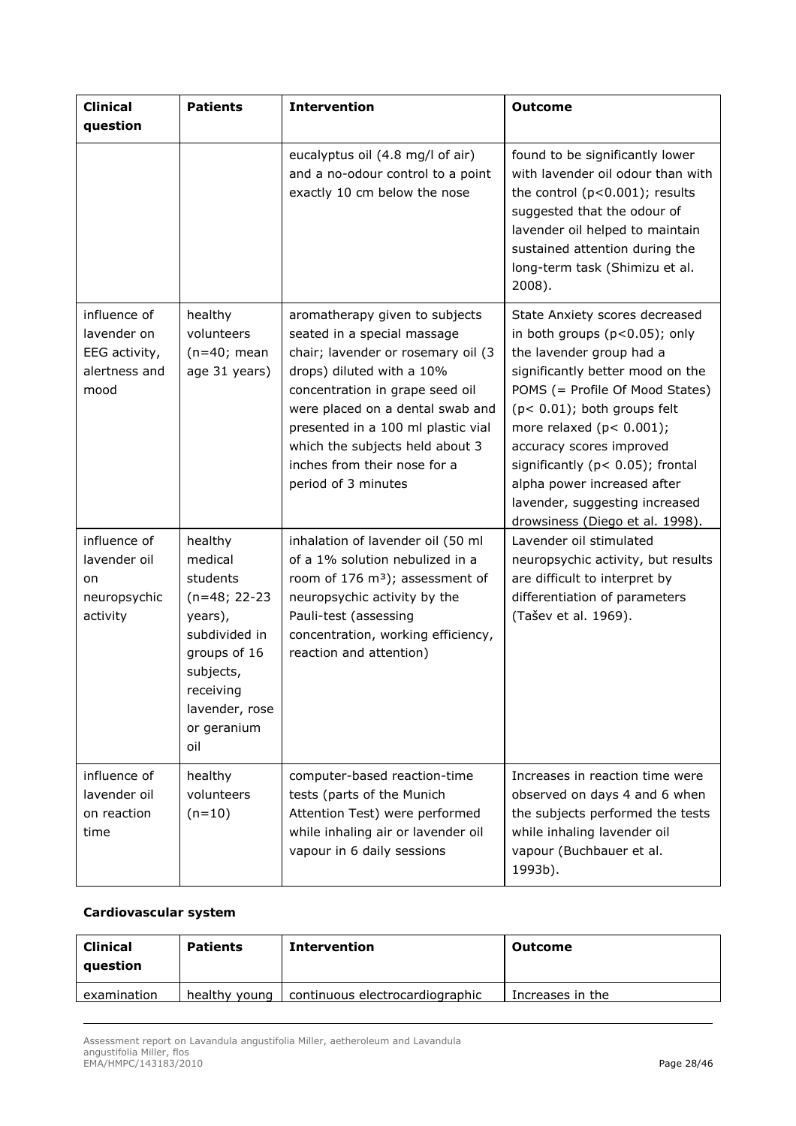| <b>Clinical</b><br>question                                           | <b>Patients</b>                                                                                                                                                 | <b>Intervention</b>                                                                                                                                                                                                                                                                                                                     | <b>Outcome</b>                                                                                                                                                                                                                                                                                                                                                                                                 |
|-----------------------------------------------------------------------|-----------------------------------------------------------------------------------------------------------------------------------------------------------------|-----------------------------------------------------------------------------------------------------------------------------------------------------------------------------------------------------------------------------------------------------------------------------------------------------------------------------------------|----------------------------------------------------------------------------------------------------------------------------------------------------------------------------------------------------------------------------------------------------------------------------------------------------------------------------------------------------------------------------------------------------------------|
|                                                                       |                                                                                                                                                                 | eucalyptus oil (4.8 mg/l of air)<br>and a no-odour control to a point<br>exactly 10 cm below the nose                                                                                                                                                                                                                                   | found to be significantly lower<br>with lavender oil odour than with<br>the control $(p<0.001)$ ; results<br>suggested that the odour of<br>lavender oil helped to maintain<br>sustained attention during the<br>long-term task (Shimizu et al.<br>2008).                                                                                                                                                      |
| influence of<br>lavender on<br>EEG activity,<br>alertness and<br>mood | healthy<br>volunteers<br>$(n=40;$ mean<br>age 31 years)                                                                                                         | aromatherapy given to subjects<br>seated in a special massage<br>chair; lavender or rosemary oil (3<br>drops) diluted with a 10%<br>concentration in grape seed oil<br>were placed on a dental swab and<br>presented in a 100 ml plastic vial<br>which the subjects held about 3<br>inches from their nose for a<br>period of 3 minutes | State Anxiety scores decreased<br>in both groups (p<0.05); only<br>the lavender group had a<br>significantly better mood on the<br>POMS (= Profile Of Mood States)<br>$(p < 0.01)$ ; both groups felt<br>more relaxed $(p < 0.001)$ ;<br>accuracy scores improved<br>significantly ( $p < 0.05$ ); frontal<br>alpha power increased after<br>lavender, suggesting increased<br>drowsiness (Diego et al. 1998). |
| influence of<br>lavender oil<br>on<br>neuropsychic<br>activity        | healthy<br>medical<br>students<br>$(n=48; 22-23)$<br>years),<br>subdivided in<br>groups of 16<br>subjects,<br>receiving<br>lavender, rose<br>or geranium<br>oil | inhalation of lavender oil (50 ml<br>of a 1% solution nebulized in a<br>room of 176 m <sup>3</sup> ); assessment of<br>neuropsychic activity by the<br>Pauli-test (assessing<br>concentration, working efficiency,<br>reaction and attention)                                                                                           | Lavender oil stimulated<br>neuropsychic activity, but results<br>are difficult to interpret by<br>differentiation of parameters<br>(Tašev et al. 1969).                                                                                                                                                                                                                                                        |
| influence of<br>lavender oil<br>on reaction<br>time                   | healthy<br>volunteers<br>$(n=10)$                                                                                                                               | computer-based reaction-time<br>tests (parts of the Munich<br>Attention Test) were performed<br>while inhaling air or lavender oil<br>vapour in 6 daily sessions                                                                                                                                                                        | Increases in reaction time were<br>observed on days 4 and 6 when<br>the subjects performed the tests<br>while inhaling lavender oil<br>vapour (Buchbauer et al.<br>1993b).                                                                                                                                                                                                                                     |

## *Cardiovascular system*

| <b>Clinical</b><br>question | <b>Patients</b> | Intervention                    | Outcome          |
|-----------------------------|-----------------|---------------------------------|------------------|
| examination                 | healthy young   | continuous electrocardiographic | Increases in the |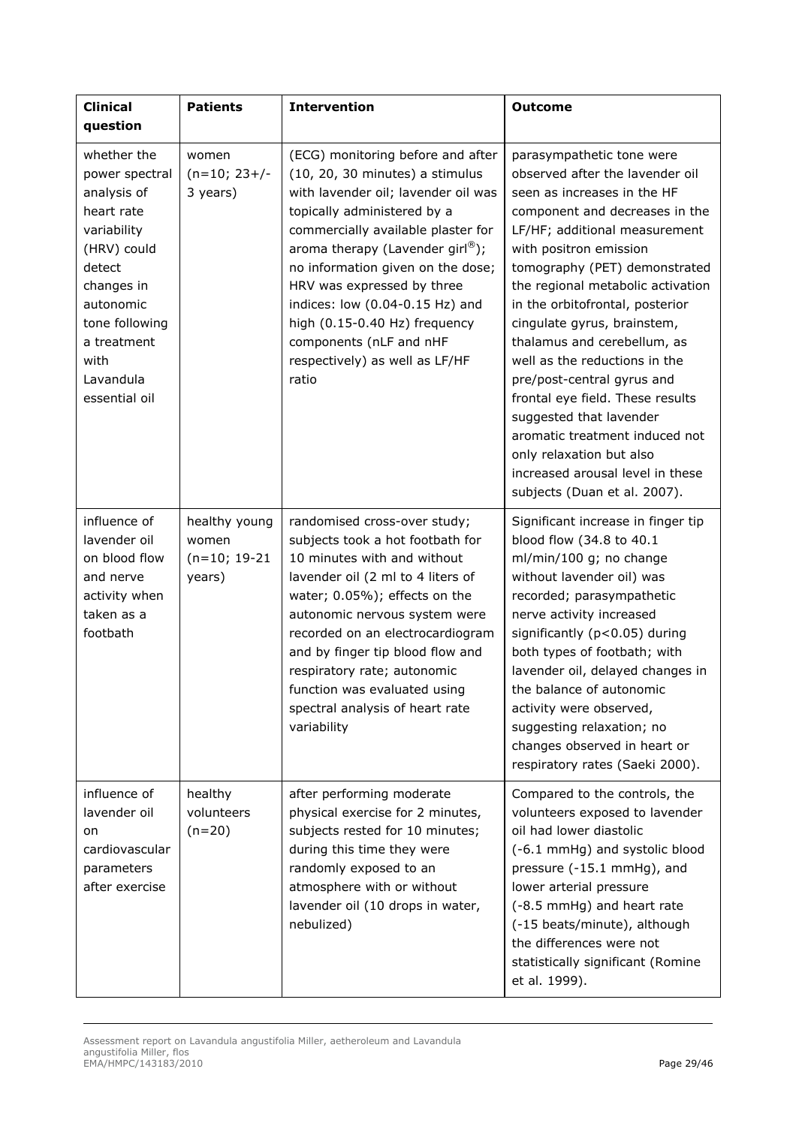| <b>Clinical</b><br>question                                                                                                                                                                          | <b>Patients</b>                                     | <b>Intervention</b>                                                                                                                                                                                                                                                                                                                                                                                                                             | <b>Outcome</b>                                                                                                                                                                                                                                                                                                                                                                                                                                                                                                                                                                                                                  |
|------------------------------------------------------------------------------------------------------------------------------------------------------------------------------------------------------|-----------------------------------------------------|-------------------------------------------------------------------------------------------------------------------------------------------------------------------------------------------------------------------------------------------------------------------------------------------------------------------------------------------------------------------------------------------------------------------------------------------------|---------------------------------------------------------------------------------------------------------------------------------------------------------------------------------------------------------------------------------------------------------------------------------------------------------------------------------------------------------------------------------------------------------------------------------------------------------------------------------------------------------------------------------------------------------------------------------------------------------------------------------|
| whether the<br>power spectral<br>analysis of<br>heart rate<br>variability<br>(HRV) could<br>detect<br>changes in<br>autonomic<br>tone following<br>a treatment<br>with<br>Lavandula<br>essential oil | women<br>$(n=10; 23+/-$<br>3 years)                 | (ECG) monitoring before and after<br>(10, 20, 30 minutes) a stimulus<br>with lavender oil; lavender oil was<br>topically administered by a<br>commercially available plaster for<br>aroma therapy (Lavender girl $^{\circledR}$ );<br>no information given on the dose;<br>HRV was expressed by three<br>indices: low (0.04-0.15 Hz) and<br>high (0.15-0.40 Hz) frequency<br>components (nLF and nHF<br>respectively) as well as LF/HF<br>ratio | parasympathetic tone were<br>observed after the lavender oil<br>seen as increases in the HF<br>component and decreases in the<br>LF/HF; additional measurement<br>with positron emission<br>tomography (PET) demonstrated<br>the regional metabolic activation<br>in the orbitofrontal, posterior<br>cingulate gyrus, brainstem,<br>thalamus and cerebellum, as<br>well as the reductions in the<br>pre/post-central gyrus and<br>frontal eye field. These results<br>suggested that lavender<br>aromatic treatment induced not<br>only relaxation but also<br>increased arousal level in these<br>subjects (Duan et al. 2007). |
| influence of<br>lavender oil<br>on blood flow<br>and nerve<br>activity when<br>taken as a<br>footbath                                                                                                | healthy young<br>women<br>$(n=10; 19-21)$<br>years) | randomised cross-over study;<br>subjects took a hot footbath for<br>10 minutes with and without<br>lavender oil (2 ml to 4 liters of<br>water; 0.05%); effects on the<br>autonomic nervous system were<br>recorded on an electrocardiogram<br>and by finger tip blood flow and<br>respiratory rate; autonomic<br>function was evaluated using<br>spectral analysis of heart rate<br>variability                                                 | Significant increase in finger tip<br>blood flow (34.8 to 40.1<br>ml/min/100 g; no change<br>without lavender oil) was<br>recorded; parasympathetic<br>nerve activity increased<br>significantly (p<0.05) during<br>both types of footbath; with<br>lavender oil, delayed changes in<br>the balance of autonomic<br>activity were observed,<br>suggesting relaxation; no<br>changes observed in heart or<br>respiratory rates (Saeki 2000).                                                                                                                                                                                     |
| influence of<br>lavender oil<br>on<br>cardiovascular<br>parameters<br>after exercise                                                                                                                 | healthy<br>volunteers<br>$(n=20)$                   | after performing moderate<br>physical exercise for 2 minutes,<br>subjects rested for 10 minutes;<br>during this time they were<br>randomly exposed to an<br>atmosphere with or without<br>lavender oil (10 drops in water,<br>nebulized)                                                                                                                                                                                                        | Compared to the controls, the<br>volunteers exposed to lavender<br>oil had lower diastolic<br>(-6.1 mmHg) and systolic blood<br>pressure (-15.1 mmHg), and<br>lower arterial pressure<br>(-8.5 mmHg) and heart rate<br>(-15 beats/minute), although<br>the differences were not<br>statistically significant (Romine<br>et al. 1999).                                                                                                                                                                                                                                                                                           |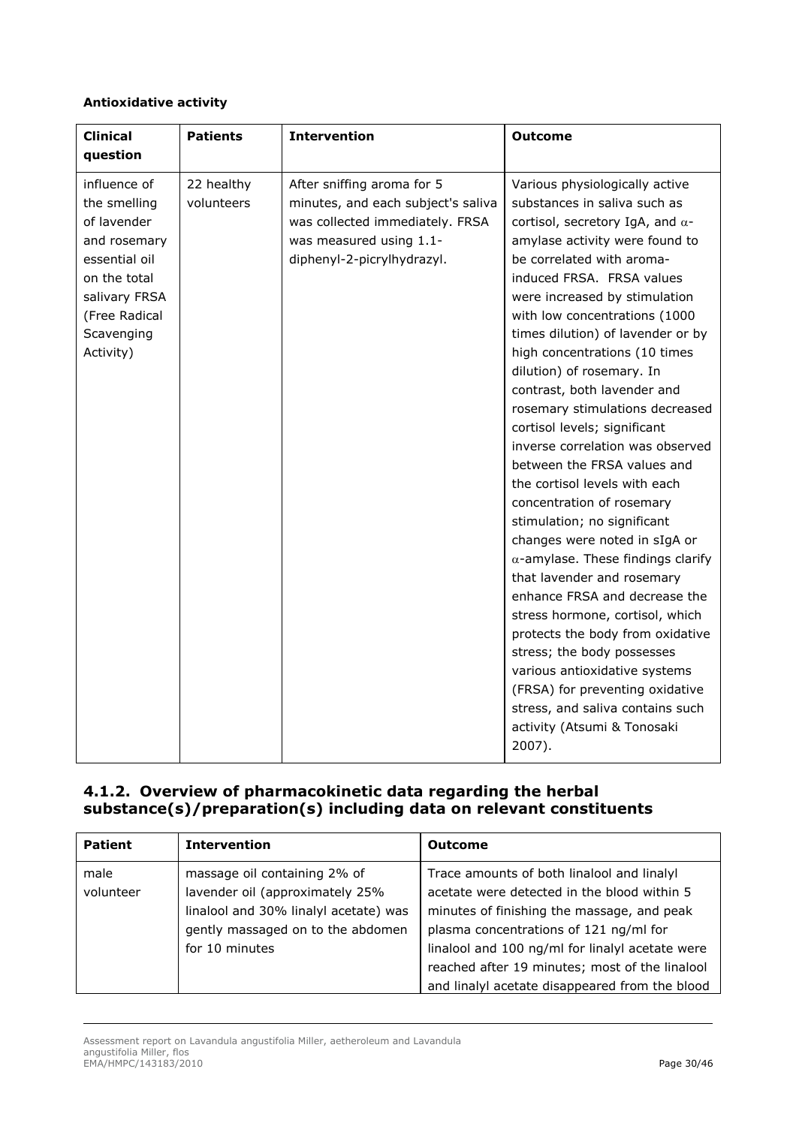## *Antioxidative activity*

| <b>Clinical</b><br>question                                                                                                                               | <b>Patients</b>          | <b>Intervention</b>                                                                                                                                          | <b>Outcome</b>                                                                                                                                                                                                                                                                                                                                                                                                                                                                                                                                                                                                                                                                                                                                                                                                                                                                                                                                                                                                                                  |
|-----------------------------------------------------------------------------------------------------------------------------------------------------------|--------------------------|--------------------------------------------------------------------------------------------------------------------------------------------------------------|-------------------------------------------------------------------------------------------------------------------------------------------------------------------------------------------------------------------------------------------------------------------------------------------------------------------------------------------------------------------------------------------------------------------------------------------------------------------------------------------------------------------------------------------------------------------------------------------------------------------------------------------------------------------------------------------------------------------------------------------------------------------------------------------------------------------------------------------------------------------------------------------------------------------------------------------------------------------------------------------------------------------------------------------------|
| influence of<br>the smelling<br>of lavender<br>and rosemary<br>essential oil<br>on the total<br>salivary FRSA<br>(Free Radical<br>Scavenging<br>Activity) | 22 healthy<br>volunteers | After sniffing aroma for 5<br>minutes, and each subject's saliva<br>was collected immediately. FRSA<br>was measured using 1.1-<br>diphenyl-2-picrylhydrazyl. | Various physiologically active<br>substances in saliva such as<br>cortisol, secretory IgA, and $\alpha$ -<br>amylase activity were found to<br>be correlated with aroma-<br>induced FRSA. FRSA values<br>were increased by stimulation<br>with low concentrations (1000<br>times dilution) of lavender or by<br>high concentrations (10 times<br>dilution) of rosemary. In<br>contrast, both lavender and<br>rosemary stimulations decreased<br>cortisol levels; significant<br>inverse correlation was observed<br>between the FRSA values and<br>the cortisol levels with each<br>concentration of rosemary<br>stimulation; no significant<br>changes were noted in sIgA or<br>$\alpha$ -amylase. These findings clarify<br>that lavender and rosemary<br>enhance FRSA and decrease the<br>stress hormone, cortisol, which<br>protects the body from oxidative<br>stress; the body possesses<br>various antioxidative systems<br>(FRSA) for preventing oxidative<br>stress, and saliva contains such<br>activity (Atsumi & Tonosaki<br>2007). |

# **4.1.2. Overview of pharmacokinetic data regarding the herbal substance(s)/preparation(s) including data on relevant constituents**

| <b>Patient</b>    | <b>Intervention</b>                                                                                                                                             | <b>Outcome</b>                                                                                                                                                                                                                                                                                                                           |
|-------------------|-----------------------------------------------------------------------------------------------------------------------------------------------------------------|------------------------------------------------------------------------------------------------------------------------------------------------------------------------------------------------------------------------------------------------------------------------------------------------------------------------------------------|
| male<br>volunteer | massage oil containing 2% of<br>lavender oil (approximately 25%<br>linalool and 30% linalyl acetate) was<br>gently massaged on to the abdomen<br>for 10 minutes | Trace amounts of both linalool and linalyl<br>acetate were detected in the blood within 5<br>minutes of finishing the massage, and peak<br>plasma concentrations of 121 ng/ml for<br>linalool and 100 ng/ml for linalyl acetate were<br>reached after 19 minutes; most of the linalool<br>and linalyl acetate disappeared from the blood |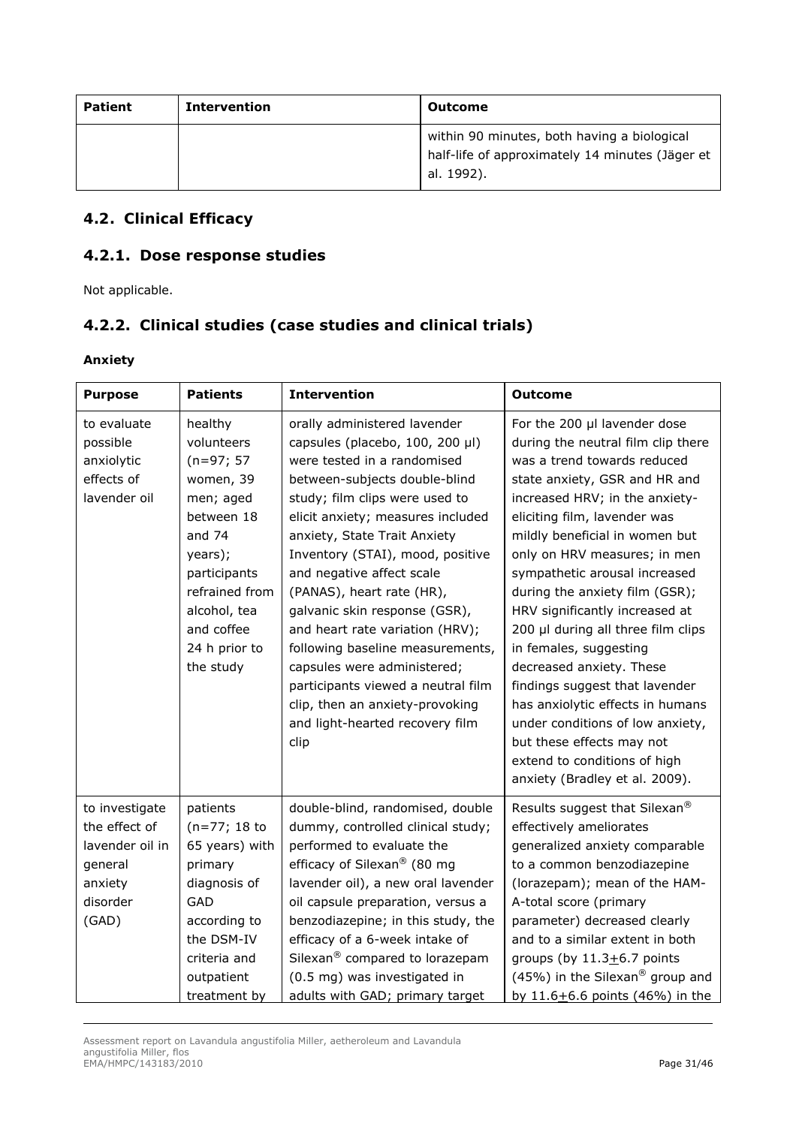| Patient | <b>Intervention</b> | Outcome                                                                                                      |
|---------|---------------------|--------------------------------------------------------------------------------------------------------------|
|         |                     | within 90 minutes, both having a biological<br>half-life of approximately 14 minutes (Jäger et<br>al. 1992). |

# *4.2. Clinical Efficacy*

# **4.2.1. Dose response studies**

Not applicable.

# **4.2.2. Clinical studies (case studies and clinical trials)**

*Anxiety* 

| <b>Purpose</b>                                                                                | <b>Patients</b>                                                                                                                                                                                    | <b>Intervention</b>                                                                                                                                                                                                                                                                                                                                                                                                                                                                                                                                                                             | <b>Outcome</b>                                                                                                                                                                                                                                                                                                                                                                                                                                                                                                                                                                                                                                                                   |
|-----------------------------------------------------------------------------------------------|----------------------------------------------------------------------------------------------------------------------------------------------------------------------------------------------------|-------------------------------------------------------------------------------------------------------------------------------------------------------------------------------------------------------------------------------------------------------------------------------------------------------------------------------------------------------------------------------------------------------------------------------------------------------------------------------------------------------------------------------------------------------------------------------------------------|----------------------------------------------------------------------------------------------------------------------------------------------------------------------------------------------------------------------------------------------------------------------------------------------------------------------------------------------------------------------------------------------------------------------------------------------------------------------------------------------------------------------------------------------------------------------------------------------------------------------------------------------------------------------------------|
| to evaluate<br>possible<br>anxiolytic<br>effects of<br>lavender oil                           | healthy<br>volunteers<br>$(n=97; 57)$<br>women, 39<br>men; aged<br>between 18<br>and $74$<br>years);<br>participants<br>refrained from<br>alcohol, tea<br>and coffee<br>24 h prior to<br>the study | orally administered lavender<br>capsules (placebo, 100, 200 µl)<br>were tested in a randomised<br>between-subjects double-blind<br>study; film clips were used to<br>elicit anxiety; measures included<br>anxiety, State Trait Anxiety<br>Inventory (STAI), mood, positive<br>and negative affect scale<br>(PANAS), heart rate (HR),<br>galvanic skin response (GSR),<br>and heart rate variation (HRV);<br>following baseline measurements,<br>capsules were administered;<br>participants viewed a neutral film<br>clip, then an anxiety-provoking<br>and light-hearted recovery film<br>clip | For the 200 µl lavender dose<br>during the neutral film clip there<br>was a trend towards reduced<br>state anxiety, GSR and HR and<br>increased HRV; in the anxiety-<br>eliciting film, lavender was<br>mildly beneficial in women but<br>only on HRV measures; in men<br>sympathetic arousal increased<br>during the anxiety film (GSR);<br>HRV significantly increased at<br>200 µl during all three film clips<br>in females, suggesting<br>decreased anxiety. These<br>findings suggest that lavender<br>has anxiolytic effects in humans<br>under conditions of low anxiety,<br>but these effects may not<br>extend to conditions of high<br>anxiety (Bradley et al. 2009). |
| to investigate<br>the effect of<br>lavender oil in<br>general<br>anxiety<br>disorder<br>(GAD) | patients<br>$(n=77; 18$ to<br>65 years) with<br>primary<br>diagnosis of<br>GAD<br>according to<br>the DSM-IV<br>criteria and<br>outpatient<br>treatment by                                         | double-blind, randomised, double<br>dummy, controlled clinical study;<br>performed to evaluate the<br>efficacy of Silexan <sup>®</sup> (80 mg<br>lavender oil), a new oral lavender<br>oil capsule preparation, versus a<br>benzodiazepine; in this study, the<br>efficacy of a 6-week intake of<br>Silexan <sup>®</sup> compared to lorazepam<br>(0.5 mg) was investigated in<br>adults with GAD; primary target                                                                                                                                                                               | Results suggest that Silexan <sup>®</sup><br>effectively ameliorates<br>generalized anxiety comparable<br>to a common benzodiazepine<br>(lorazepam); mean of the HAM-<br>A-total score (primary<br>parameter) decreased clearly<br>and to a similar extent in both<br>groups (by $11.3+6.7$ points<br>(45%) in the Silexan <sup>®</sup> group and<br>by 11.6 $\pm$ 6.6 points (46%) in the                                                                                                                                                                                                                                                                                       |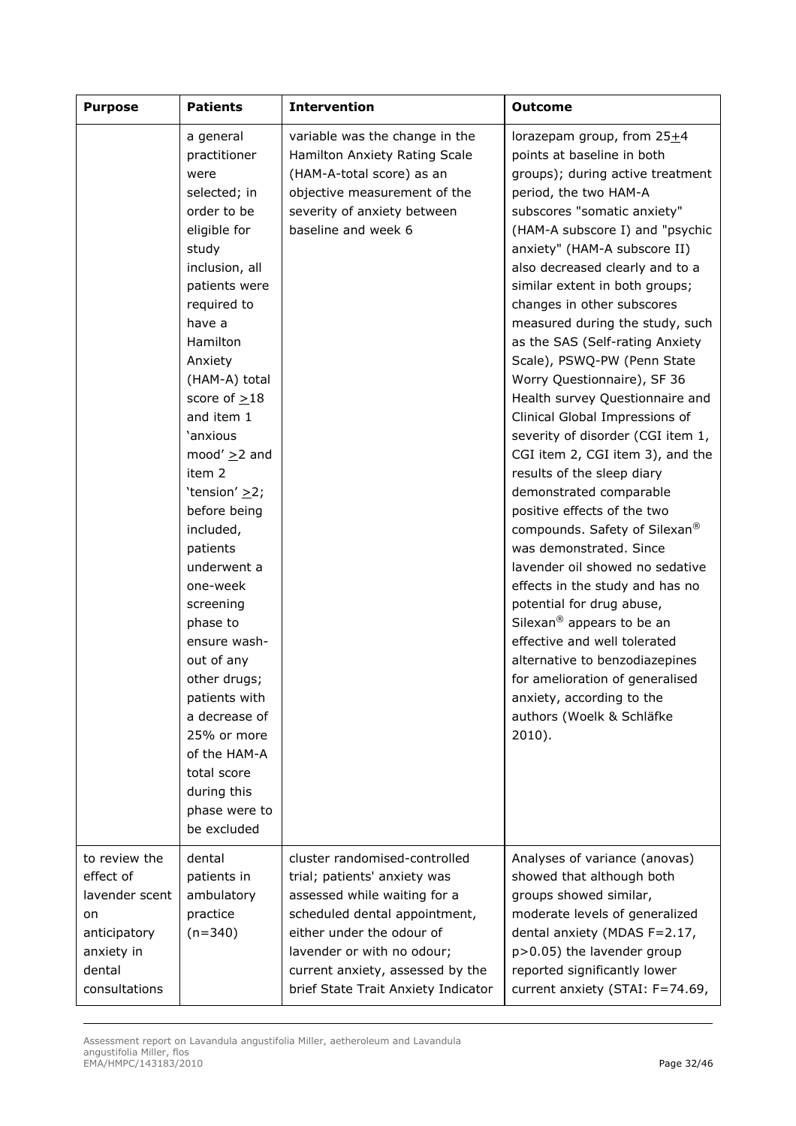| <b>Purpose</b>                                                                                              | <b>Patients</b>                                                                                                                                                                                                                                                                                                                                                                                                                                                                                                                                                                | <b>Intervention</b>                                                                                                                                                                                                                                                  | <b>Outcome</b>                                                                                                                                                                                                                                                                                                                                                                                                                                                                                                                                                                                                                                                                                                                                                                                                                                                                                                                                                                                                                                                                                         |
|-------------------------------------------------------------------------------------------------------------|--------------------------------------------------------------------------------------------------------------------------------------------------------------------------------------------------------------------------------------------------------------------------------------------------------------------------------------------------------------------------------------------------------------------------------------------------------------------------------------------------------------------------------------------------------------------------------|----------------------------------------------------------------------------------------------------------------------------------------------------------------------------------------------------------------------------------------------------------------------|--------------------------------------------------------------------------------------------------------------------------------------------------------------------------------------------------------------------------------------------------------------------------------------------------------------------------------------------------------------------------------------------------------------------------------------------------------------------------------------------------------------------------------------------------------------------------------------------------------------------------------------------------------------------------------------------------------------------------------------------------------------------------------------------------------------------------------------------------------------------------------------------------------------------------------------------------------------------------------------------------------------------------------------------------------------------------------------------------------|
|                                                                                                             | a general<br>practitioner<br>were<br>selected; in<br>order to be<br>eligible for<br>study<br>inclusion, all<br>patients were<br>required to<br>have a<br>Hamilton<br>Anxiety<br>(HAM-A) total<br>score of $\geq$ 18<br>and item 1<br>'anxious<br>mood' $\geq$ 2 and<br>item 2<br>'tension' $\geq$ 2;<br>before being<br>included,<br>patients<br>underwent a<br>one-week<br>screening<br>phase to<br>ensure wash-<br>out of any<br>other drugs;<br>patients with<br>a decrease of<br>25% or more<br>of the HAM-A<br>total score<br>during this<br>phase were to<br>be excluded | variable was the change in the<br>Hamilton Anxiety Rating Scale<br>(HAM-A-total score) as an<br>objective measurement of the<br>severity of anxiety between<br>baseline and week 6                                                                                   | lorazepam group, from $25+4$<br>points at baseline in both<br>groups); during active treatment<br>period, the two HAM-A<br>subscores "somatic anxiety"<br>(HAM-A subscore I) and "psychic<br>anxiety" (HAM-A subscore II)<br>also decreased clearly and to a<br>similar extent in both groups;<br>changes in other subscores<br>measured during the study, such<br>as the SAS (Self-rating Anxiety<br>Scale), PSWQ-PW (Penn State<br>Worry Questionnaire), SF 36<br>Health survey Questionnaire and<br>Clinical Global Impressions of<br>severity of disorder (CGI item 1,<br>CGI item 2, CGI item 3), and the<br>results of the sleep diary<br>demonstrated comparable<br>positive effects of the two<br>compounds. Safety of Silexan <sup>®</sup><br>was demonstrated. Since<br>lavender oil showed no sedative<br>effects in the study and has no<br>potential for drug abuse,<br>Silexan <sup>®</sup> appears to be an<br>effective and well tolerated<br>alternative to benzodiazepines<br>for amelioration of generalised<br>anxiety, according to the<br>authors (Woelk & Schläfke<br>$2010$ ). |
| to review the<br>effect of<br>lavender scent<br>on<br>anticipatory<br>anxiety in<br>dental<br>consultations | dental<br>patients in<br>ambulatory<br>practice<br>$(n=340)$                                                                                                                                                                                                                                                                                                                                                                                                                                                                                                                   | cluster randomised-controlled<br>trial; patients' anxiety was<br>assessed while waiting for a<br>scheduled dental appointment,<br>either under the odour of<br>lavender or with no odour;<br>current anxiety, assessed by the<br>brief State Trait Anxiety Indicator | Analyses of variance (anovas)<br>showed that although both<br>groups showed similar,<br>moderate levels of generalized<br>dental anxiety (MDAS F=2.17,<br>p>0.05) the lavender group<br>reported significantly lower<br>current anxiety (STAI: F=74.69,                                                                                                                                                                                                                                                                                                                                                                                                                                                                                                                                                                                                                                                                                                                                                                                                                                                |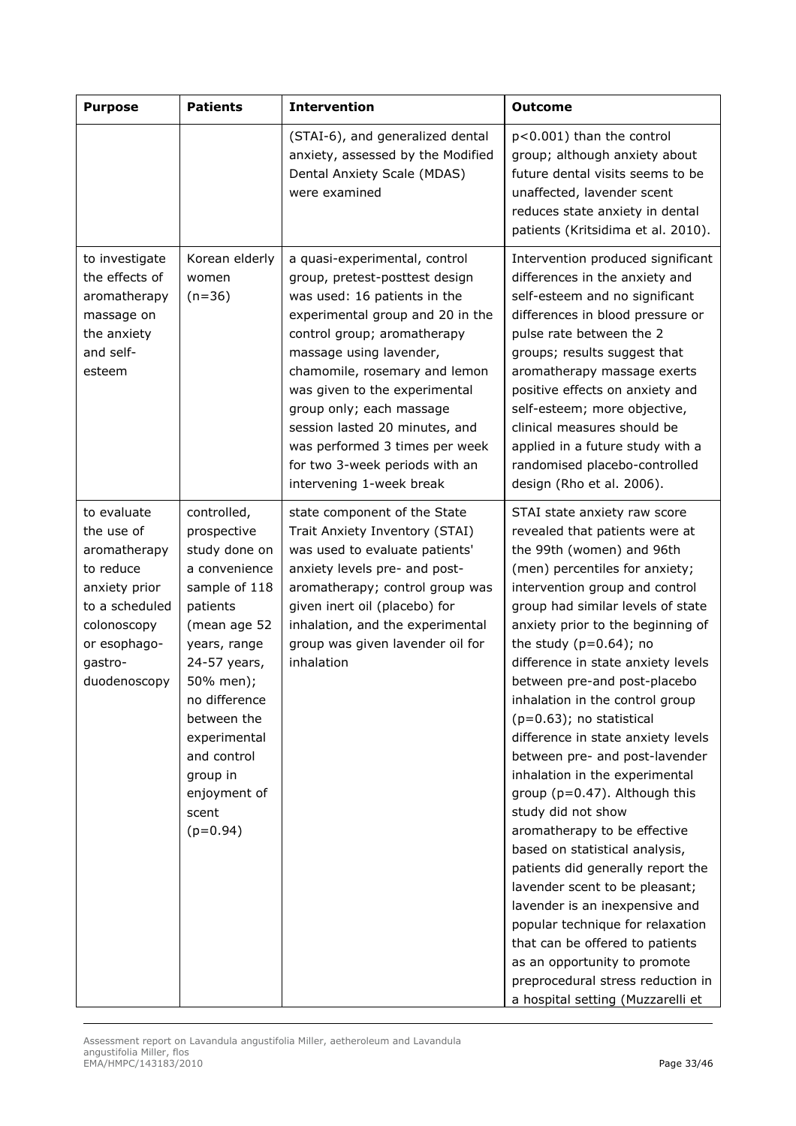| <b>Purpose</b>                                                                                                                                      | <b>Patients</b>                                                                                                                                                                                                                                                          | <b>Intervention</b>                                                                                                                                                                                                                                                                                                                                                                                                           | <b>Outcome</b>                                                                                                                                                                                                                                                                                                                                                                                                                                                                                                                                                                                                                                                                                                                                                                                                                                                                                                                              |
|-----------------------------------------------------------------------------------------------------------------------------------------------------|--------------------------------------------------------------------------------------------------------------------------------------------------------------------------------------------------------------------------------------------------------------------------|-------------------------------------------------------------------------------------------------------------------------------------------------------------------------------------------------------------------------------------------------------------------------------------------------------------------------------------------------------------------------------------------------------------------------------|---------------------------------------------------------------------------------------------------------------------------------------------------------------------------------------------------------------------------------------------------------------------------------------------------------------------------------------------------------------------------------------------------------------------------------------------------------------------------------------------------------------------------------------------------------------------------------------------------------------------------------------------------------------------------------------------------------------------------------------------------------------------------------------------------------------------------------------------------------------------------------------------------------------------------------------------|
|                                                                                                                                                     |                                                                                                                                                                                                                                                                          | (STAI-6), and generalized dental<br>anxiety, assessed by the Modified<br>Dental Anxiety Scale (MDAS)<br>were examined                                                                                                                                                                                                                                                                                                         | p<0.001) than the control<br>group; although anxiety about<br>future dental visits seems to be<br>unaffected, lavender scent<br>reduces state anxiety in dental<br>patients (Kritsidima et al. 2010).                                                                                                                                                                                                                                                                                                                                                                                                                                                                                                                                                                                                                                                                                                                                       |
| to investigate<br>the effects of<br>aromatherapy<br>massage on<br>the anxiety<br>and self-<br>esteem                                                | Korean elderly<br>women<br>$(n=36)$                                                                                                                                                                                                                                      | a quasi-experimental, control<br>group, pretest-posttest design<br>was used: 16 patients in the<br>experimental group and 20 in the<br>control group; aromatherapy<br>massage using lavender,<br>chamomile, rosemary and lemon<br>was given to the experimental<br>group only; each massage<br>session lasted 20 minutes, and<br>was performed 3 times per week<br>for two 3-week periods with an<br>intervening 1-week break | Intervention produced significant<br>differences in the anxiety and<br>self-esteem and no significant<br>differences in blood pressure or<br>pulse rate between the 2<br>groups; results suggest that<br>aromatherapy massage exerts<br>positive effects on anxiety and<br>self-esteem; more objective,<br>clinical measures should be<br>applied in a future study with a<br>randomised placebo-controlled<br>design (Rho et al. 2006).                                                                                                                                                                                                                                                                                                                                                                                                                                                                                                    |
| to evaluate<br>the use of<br>aromatherapy<br>to reduce<br>anxiety prior<br>to a scheduled<br>colonoscopy<br>or esophago-<br>gastro-<br>duodenoscopy | controlled,<br>prospective<br>study done on<br>a convenience<br>sample of 118<br>patients<br>(mean age 52<br>years, range<br>24-57 years,<br>50% men);<br>no difference<br>between the<br>experimental<br>and control<br>group in<br>enjoyment of<br>scent<br>$(p=0.94)$ | state component of the State<br>Trait Anxiety Inventory (STAI)<br>was used to evaluate patients'<br>anxiety levels pre- and post-<br>aromatherapy; control group was<br>given inert oil (placebo) for<br>inhalation, and the experimental<br>group was given lavender oil for<br>inhalation                                                                                                                                   | STAI state anxiety raw score<br>revealed that patients were at<br>the 99th (women) and 96th<br>(men) percentiles for anxiety;<br>intervention group and control<br>group had similar levels of state<br>anxiety prior to the beginning of<br>the study $(p=0.64)$ ; no<br>difference in state anxiety levels<br>between pre-and post-placebo<br>inhalation in the control group<br>$(p=0.63)$ ; no statistical<br>difference in state anxiety levels<br>between pre- and post-lavender<br>inhalation in the experimental<br>group (p=0.47). Although this<br>study did not show<br>aromatherapy to be effective<br>based on statistical analysis,<br>patients did generally report the<br>lavender scent to be pleasant;<br>lavender is an inexpensive and<br>popular technique for relaxation<br>that can be offered to patients<br>as an opportunity to promote<br>preprocedural stress reduction in<br>a hospital setting (Muzzarelli et |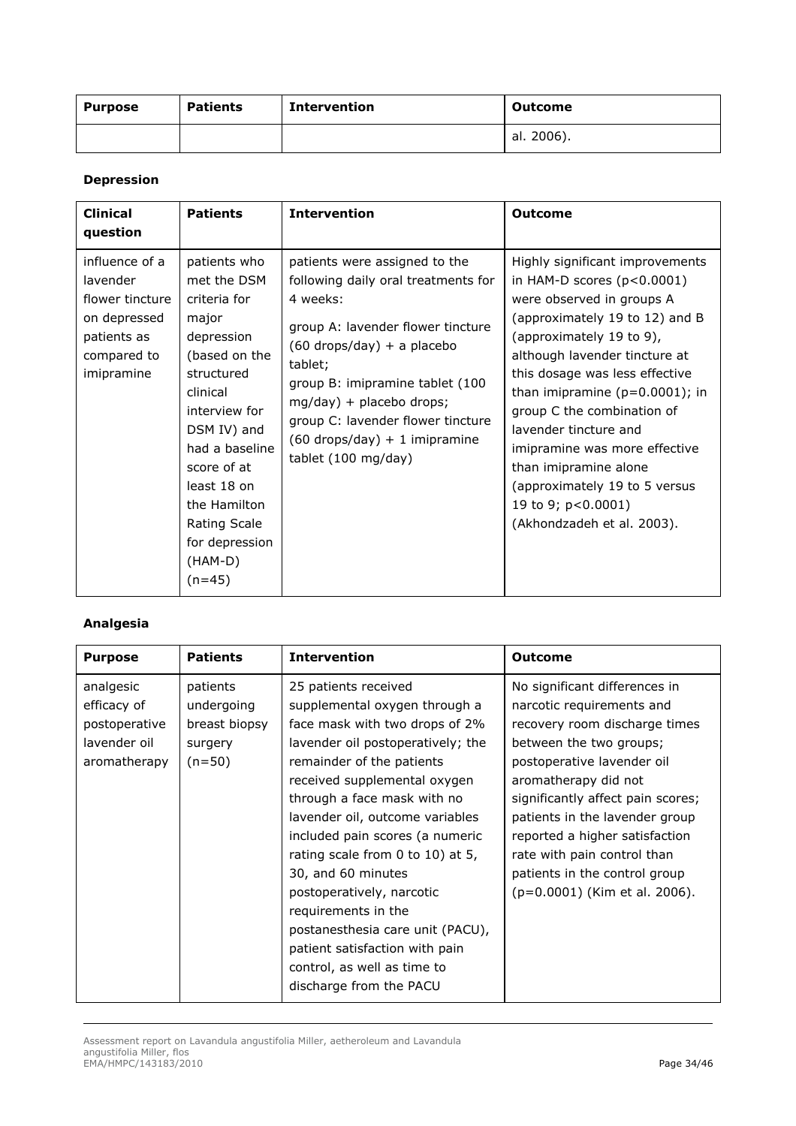| <b>Purpose</b> | <b>Patients</b> | <b>Intervention</b> | <b>Outcome</b> |
|----------------|-----------------|---------------------|----------------|
|                |                 |                     | al. 2006).     |

#### *Depression*

| <b>Clinical</b><br>question                                                                               | <b>Patients</b>                                                                                                                                                                                                                                                               | <b>Intervention</b>                                                                                                                                                                                                                                                                                                            | <b>Outcome</b>                                                                                                                                                                                                                                                                                                                                                                                                                                                           |
|-----------------------------------------------------------------------------------------------------------|-------------------------------------------------------------------------------------------------------------------------------------------------------------------------------------------------------------------------------------------------------------------------------|--------------------------------------------------------------------------------------------------------------------------------------------------------------------------------------------------------------------------------------------------------------------------------------------------------------------------------|--------------------------------------------------------------------------------------------------------------------------------------------------------------------------------------------------------------------------------------------------------------------------------------------------------------------------------------------------------------------------------------------------------------------------------------------------------------------------|
| influence of a<br>lavender<br>flower tincture<br>on depressed<br>patients as<br>compared to<br>imipramine | patients who<br>met the DSM<br>criteria for<br>major<br>depression<br>(based on the<br>structured<br>clinical<br>interview for<br>DSM IV) and<br>had a baseline<br>score of at<br>least 18 on<br>the Hamilton<br><b>Rating Scale</b><br>for depression<br>(HAM-D)<br>$(n=45)$ | patients were assigned to the<br>following daily oral treatments for<br>4 weeks:<br>group A: lavender flower tincture<br>$(60$ drops/day) + a placebo<br>tablet;<br>group B: imipramine tablet (100<br>mg/day) + placebo drops;<br>group C: lavender flower tincture<br>$(60$ drops/day) + 1 imipramine<br>tablet (100 mg/day) | Highly significant improvements<br>in HAM-D scores $(p<0.0001)$<br>were observed in groups A<br>(approximately 19 to 12) and B<br>(approximately 19 to 9),<br>although lavender tincture at<br>this dosage was less effective<br>than imipramine $(p=0.0001)$ ; in<br>group C the combination of<br>lavender tincture and<br>imipramine was more effective<br>than imipramine alone<br>(approximately 19 to 5 versus<br>19 to 9; p<0.0001)<br>(Akhondzadeh et al. 2003). |

## *Analgesia*

| analgesic<br>No significant differences in<br>patients<br>25 patients received<br>efficacy of<br>undergoing<br>supplemental oxygen through a<br>narcotic requirements and<br>breast biopsy<br>face mask with two drops of 2%<br>recovery room discharge times<br>postoperative<br>lavender oil<br>lavender oil postoperatively; the<br>between the two groups;<br>surgery<br>aromatherapy<br>$(n=50)$<br>remainder of the patients<br>postoperative lavender oil<br>received supplemental oxygen<br>aromatherapy did not<br>through a face mask with no<br>significantly affect pain scores;<br>lavender oil, outcome variables<br>patients in the lavender group<br>reported a higher satisfaction<br>included pain scores (a numeric<br>rating scale from 0 to 10) at 5,<br>rate with pain control than<br>30, and 60 minutes<br>patients in the control group<br>(p=0.0001) (Kim et al. 2006).<br>postoperatively, narcotic<br>requirements in the<br>postanesthesia care unit (PACU), | <b>Purpose</b> | <b>Patients</b> | <b>Intervention</b> | Outcome |
|-------------------------------------------------------------------------------------------------------------------------------------------------------------------------------------------------------------------------------------------------------------------------------------------------------------------------------------------------------------------------------------------------------------------------------------------------------------------------------------------------------------------------------------------------------------------------------------------------------------------------------------------------------------------------------------------------------------------------------------------------------------------------------------------------------------------------------------------------------------------------------------------------------------------------------------------------------------------------------------------|----------------|-----------------|---------------------|---------|
| patient satisfaction with pain<br>control, as well as time to<br>discharge from the PACU                                                                                                                                                                                                                                                                                                                                                                                                                                                                                                                                                                                                                                                                                                                                                                                                                                                                                                  |                |                 |                     |         |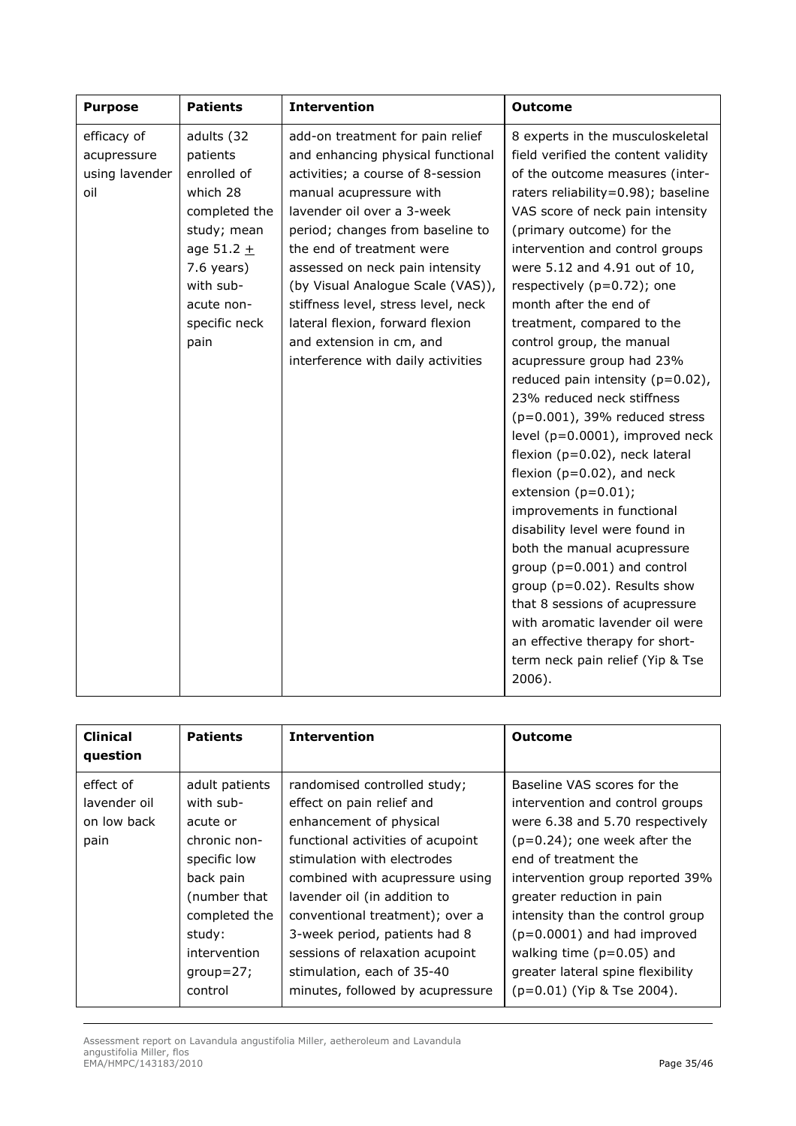| <b>Purpose</b>                                      | <b>Patients</b>                                                                                                                                                       | <b>Intervention</b>                                                                                                                                                                                                                                                                                                                                                                                                                                       | <b>Outcome</b>                                                                                                                                                                                                                                                                                                                                                                                                                                                                                                                                                                                                                                                                                                                                                                                                                                                                                                                                                                                                 |
|-----------------------------------------------------|-----------------------------------------------------------------------------------------------------------------------------------------------------------------------|-----------------------------------------------------------------------------------------------------------------------------------------------------------------------------------------------------------------------------------------------------------------------------------------------------------------------------------------------------------------------------------------------------------------------------------------------------------|----------------------------------------------------------------------------------------------------------------------------------------------------------------------------------------------------------------------------------------------------------------------------------------------------------------------------------------------------------------------------------------------------------------------------------------------------------------------------------------------------------------------------------------------------------------------------------------------------------------------------------------------------------------------------------------------------------------------------------------------------------------------------------------------------------------------------------------------------------------------------------------------------------------------------------------------------------------------------------------------------------------|
| efficacy of<br>acupressure<br>using lavender<br>oil | adults (32<br>patients<br>enrolled of<br>which 28<br>completed the<br>study; mean<br>age 51.2 $+$<br>$7.6$ years)<br>with sub-<br>acute non-<br>specific neck<br>pain | add-on treatment for pain relief<br>and enhancing physical functional<br>activities; a course of 8-session<br>manual acupressure with<br>lavender oil over a 3-week<br>period; changes from baseline to<br>the end of treatment were<br>assessed on neck pain intensity<br>(by Visual Analogue Scale (VAS)),<br>stiffness level, stress level, neck<br>lateral flexion, forward flexion<br>and extension in cm, and<br>interference with daily activities | 8 experts in the musculoskeletal<br>field verified the content validity<br>of the outcome measures (inter-<br>raters reliability=0.98); baseline<br>VAS score of neck pain intensity<br>(primary outcome) for the<br>intervention and control groups<br>were 5.12 and 4.91 out of 10,<br>respectively $(p=0.72)$ ; one<br>month after the end of<br>treatment, compared to the<br>control group, the manual<br>acupressure group had 23%<br>reduced pain intensity $(p=0.02)$ ,<br>23% reduced neck stiffness<br>$(p=0.001)$ , 39% reduced stress<br>level (p=0.0001), improved neck<br>flexion (p=0.02), neck lateral<br>flexion ( $p=0.02$ ), and neck<br>extension $(p=0.01)$ ;<br>improvements in functional<br>disability level were found in<br>both the manual acupressure<br>group ( $p=0.001$ ) and control<br>group ( $p=0.02$ ). Results show<br>that 8 sessions of acupressure<br>with aromatic lavender oil were<br>an effective therapy for short-<br>term neck pain relief (Yip & Tse<br>2006). |

| <b>Clinical</b><br>question                      | <b>Patients</b>                                                                                                                                                           | <b>Intervention</b>                                                                                                                                                                                                                                                                                                                                                                                  | Outcome                                                                                                                                                                                                                                                                                                                                                                                             |
|--------------------------------------------------|---------------------------------------------------------------------------------------------------------------------------------------------------------------------------|------------------------------------------------------------------------------------------------------------------------------------------------------------------------------------------------------------------------------------------------------------------------------------------------------------------------------------------------------------------------------------------------------|-----------------------------------------------------------------------------------------------------------------------------------------------------------------------------------------------------------------------------------------------------------------------------------------------------------------------------------------------------------------------------------------------------|
| effect of<br>lavender oil<br>on low back<br>pain | adult patients<br>with sub-<br>acute or<br>chronic non-<br>specific low<br>back pain<br>(number that<br>completed the<br>study:<br>intervention<br>$group=27;$<br>control | randomised controlled study;<br>effect on pain relief and<br>enhancement of physical<br>functional activities of acupoint<br>stimulation with electrodes<br>combined with acupressure using<br>lavender oil (in addition to<br>conventional treatment); over a<br>3-week period, patients had 8<br>sessions of relaxation acupoint<br>stimulation, each of 35-40<br>minutes, followed by acupressure | Baseline VAS scores for the<br>intervention and control groups<br>were 6.38 and 5.70 respectively<br>$(p=0.24)$ ; one week after the<br>end of treatment the<br>intervention group reported 39%<br>greater reduction in pain<br>intensity than the control group<br>$(p=0.0001)$ and had improved<br>walking time $(p=0.05)$ and<br>greater lateral spine flexibility<br>(p=0.01) (Yip & Tse 2004). |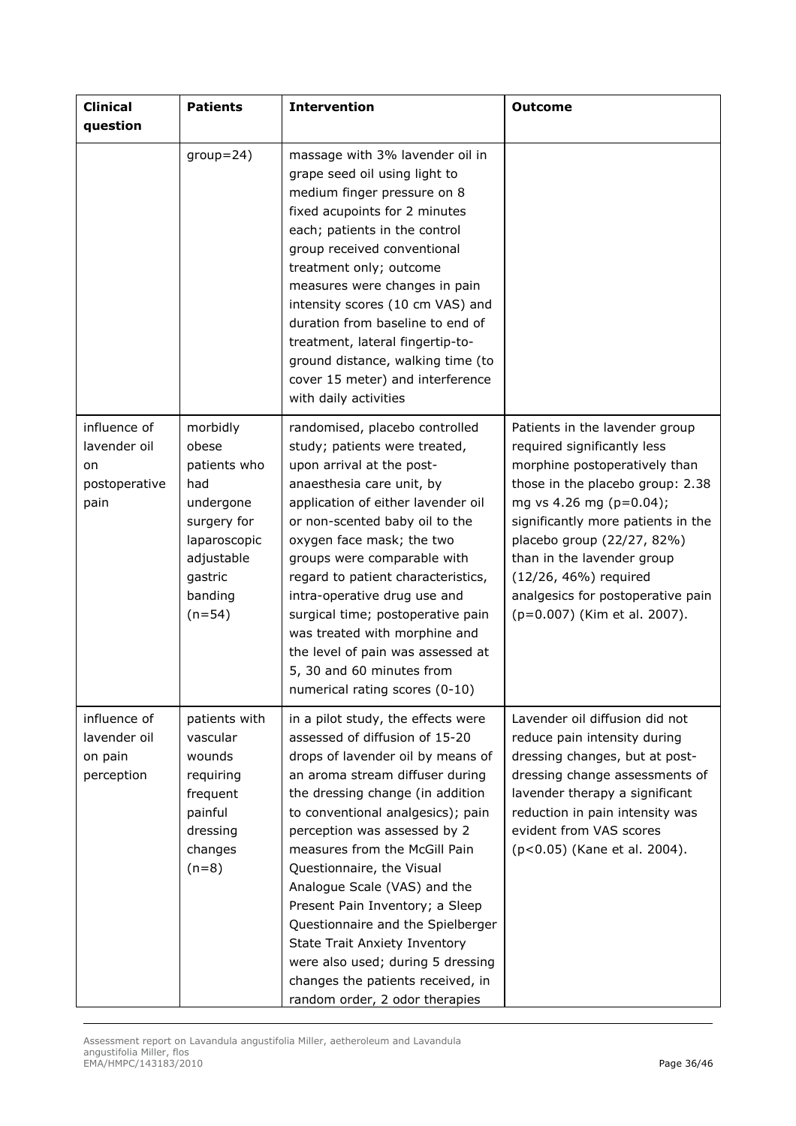| <b>Clinical</b><br>question                                 | <b>Patients</b>                                                                                                                      | <b>Intervention</b>                                                                                                                                                                                                                                                                                                                                                                                                                                                                                                                                                             | <b>Outcome</b>                                                                                                                                                                                                                                                                                                                                                |
|-------------------------------------------------------------|--------------------------------------------------------------------------------------------------------------------------------------|---------------------------------------------------------------------------------------------------------------------------------------------------------------------------------------------------------------------------------------------------------------------------------------------------------------------------------------------------------------------------------------------------------------------------------------------------------------------------------------------------------------------------------------------------------------------------------|---------------------------------------------------------------------------------------------------------------------------------------------------------------------------------------------------------------------------------------------------------------------------------------------------------------------------------------------------------------|
|                                                             | $group=24)$                                                                                                                          | massage with 3% lavender oil in<br>grape seed oil using light to<br>medium finger pressure on 8<br>fixed acupoints for 2 minutes<br>each; patients in the control<br>group received conventional<br>treatment only; outcome<br>measures were changes in pain<br>intensity scores (10 cm VAS) and<br>duration from baseline to end of<br>treatment, lateral fingertip-to-<br>ground distance, walking time (to<br>cover 15 meter) and interference<br>with daily activities                                                                                                      |                                                                                                                                                                                                                                                                                                                                                               |
| influence of<br>lavender oil<br>on<br>postoperative<br>pain | morbidly<br>obese<br>patients who<br>had<br>undergone<br>surgery for<br>laparoscopic<br>adjustable<br>gastric<br>banding<br>$(n=54)$ | randomised, placebo controlled<br>study; patients were treated,<br>upon arrival at the post-<br>anaesthesia care unit, by<br>application of either lavender oil<br>or non-scented baby oil to the<br>oxygen face mask; the two<br>groups were comparable with<br>regard to patient characteristics,<br>intra-operative drug use and<br>surgical time; postoperative pain<br>was treated with morphine and<br>the level of pain was assessed at<br>5, 30 and 60 minutes from<br>numerical rating scores (0-10)                                                                   | Patients in the lavender group<br>required significantly less<br>morphine postoperatively than<br>those in the placebo group: 2.38<br>mg vs 4.26 mg (p=0.04);<br>significantly more patients in the<br>placebo group (22/27, 82%)<br>than in the lavender group<br>(12/26, 46%) required<br>analgesics for postoperative pain<br>(p=0.007) (Kim et al. 2007). |
| influence of<br>lavender oil<br>on pain<br>perception       | patients with<br>vascular<br>wounds<br>requiring<br>frequent<br>painful<br>dressing<br>changes<br>$(n=8)$                            | in a pilot study, the effects were<br>assessed of diffusion of 15-20<br>drops of lavender oil by means of<br>an aroma stream diffuser during<br>the dressing change (in addition<br>to conventional analgesics); pain<br>perception was assessed by 2<br>measures from the McGill Pain<br>Questionnaire, the Visual<br>Analogue Scale (VAS) and the<br>Present Pain Inventory; a Sleep<br>Questionnaire and the Spielberger<br><b>State Trait Anxiety Inventory</b><br>were also used; during 5 dressing<br>changes the patients received, in<br>random order, 2 odor therapies | Lavender oil diffusion did not<br>reduce pain intensity during<br>dressing changes, but at post-<br>dressing change assessments of<br>lavender therapy a significant<br>reduction in pain intensity was<br>evident from VAS scores<br>(p<0.05) (Kane et al. 2004).                                                                                            |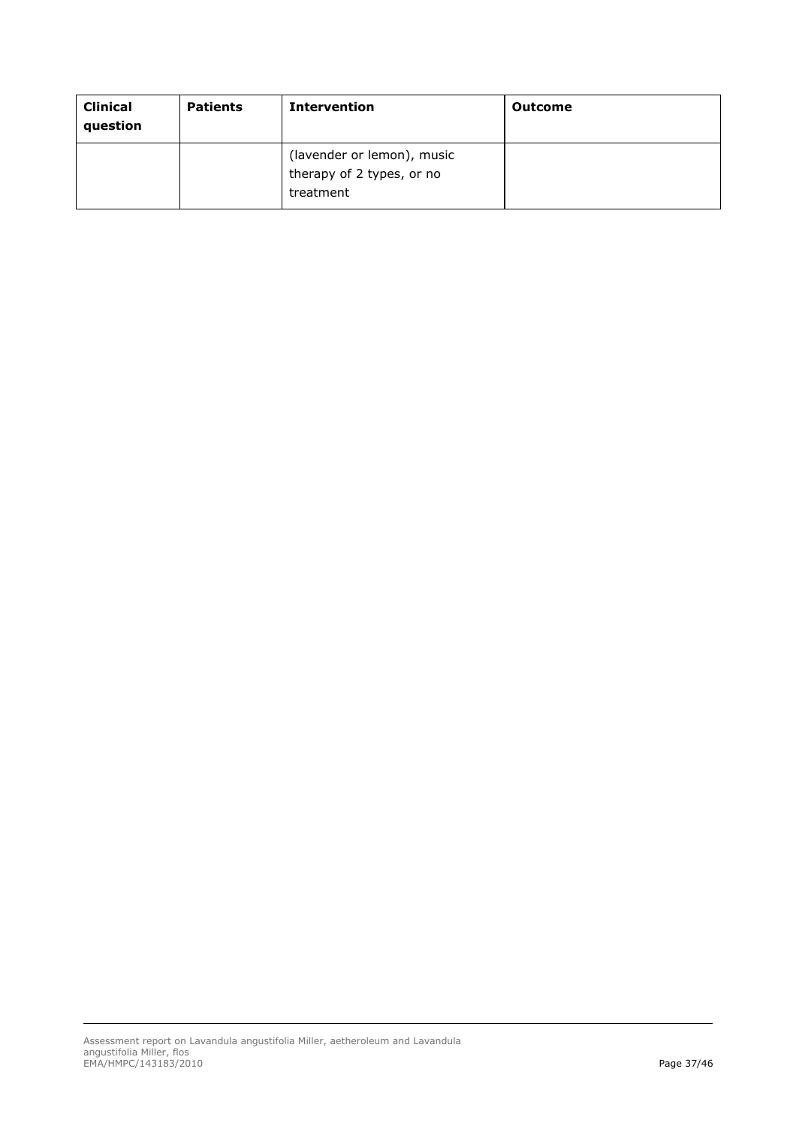| <b>Clinical</b><br>question | <b>Patients</b> | <b>Intervention</b>                                                  | Outcome |
|-----------------------------|-----------------|----------------------------------------------------------------------|---------|
|                             |                 | (lavender or lemon), music<br>therapy of 2 types, or no<br>treatment |         |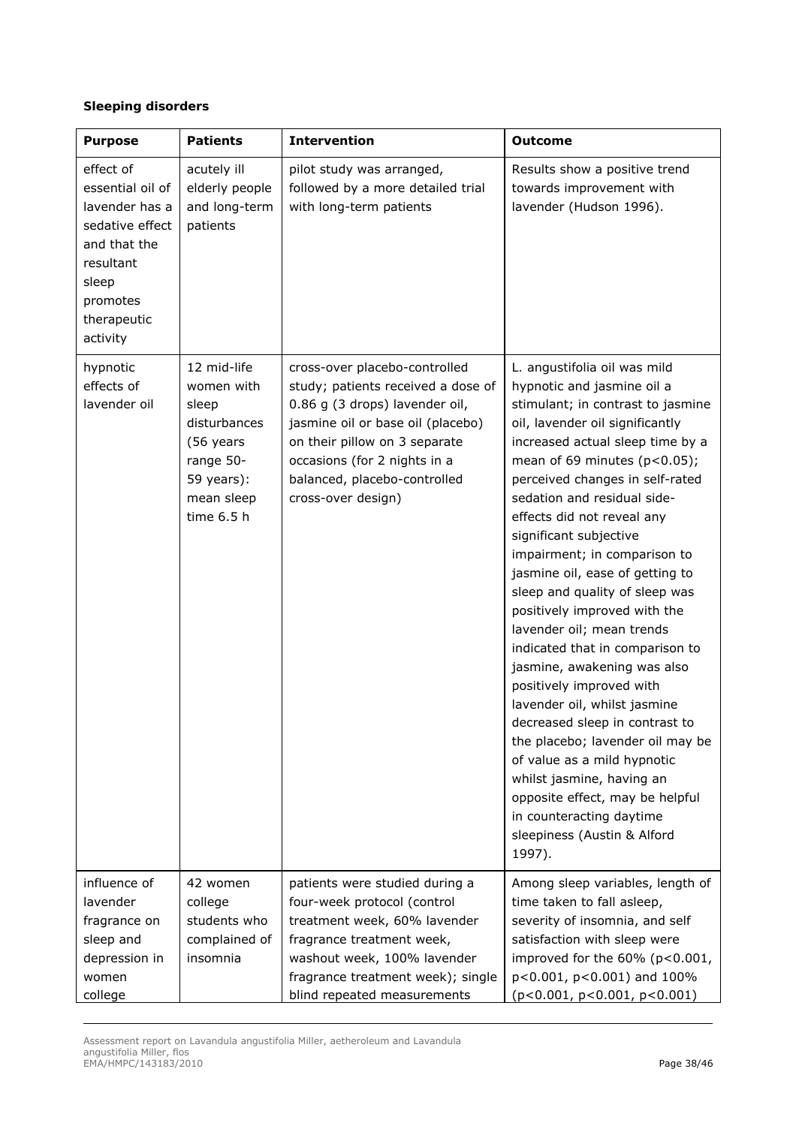## *Sleeping disorders*

| <b>Purpose</b>                                                                                                                                  | <b>Patients</b>                                                                                                        | <b>Intervention</b>                                                                                                                                                                                                                                               | <b>Outcome</b>                                                                                                                                                                                                                                                                                                                                                                                                                                                                                                                                                                                                                                                                                                                                                                                                                                                                |
|-------------------------------------------------------------------------------------------------------------------------------------------------|------------------------------------------------------------------------------------------------------------------------|-------------------------------------------------------------------------------------------------------------------------------------------------------------------------------------------------------------------------------------------------------------------|-------------------------------------------------------------------------------------------------------------------------------------------------------------------------------------------------------------------------------------------------------------------------------------------------------------------------------------------------------------------------------------------------------------------------------------------------------------------------------------------------------------------------------------------------------------------------------------------------------------------------------------------------------------------------------------------------------------------------------------------------------------------------------------------------------------------------------------------------------------------------------|
| effect of<br>essential oil of<br>lavender has a<br>sedative effect<br>and that the<br>resultant<br>sleep<br>promotes<br>therapeutic<br>activity | acutely ill<br>elderly people<br>and long-term<br>patients                                                             | pilot study was arranged,<br>followed by a more detailed trial<br>with long-term patients                                                                                                                                                                         | Results show a positive trend<br>towards improvement with<br>lavender (Hudson 1996).                                                                                                                                                                                                                                                                                                                                                                                                                                                                                                                                                                                                                                                                                                                                                                                          |
| hypnotic<br>effects of<br>lavender oil                                                                                                          | 12 mid-life<br>women with<br>sleep<br>disturbances<br>(56 years<br>range 50-<br>59 years):<br>mean sleep<br>time 6.5 h | cross-over placebo-controlled<br>study; patients received a dose of<br>0.86 g (3 drops) lavender oil,<br>jasmine oil or base oil (placebo)<br>on their pillow on 3 separate<br>occasions (for 2 nights in a<br>balanced, placebo-controlled<br>cross-over design) | L. angustifolia oil was mild<br>hypnotic and jasmine oil a<br>stimulant; in contrast to jasmine<br>oil, lavender oil significantly<br>increased actual sleep time by a<br>mean of 69 minutes $(p<0.05)$ ;<br>perceived changes in self-rated<br>sedation and residual side-<br>effects did not reveal any<br>significant subjective<br>impairment; in comparison to<br>jasmine oil, ease of getting to<br>sleep and quality of sleep was<br>positively improved with the<br>lavender oil; mean trends<br>indicated that in comparison to<br>jasmine, awakening was also<br>positively improved with<br>lavender oil, whilst jasmine<br>decreased sleep in contrast to<br>the placebo; lavender oil may be<br>of value as a mild hypnotic<br>whilst jasmine, having an<br>opposite effect, may be helpful<br>in counteracting daytime<br>sleepiness (Austin & Alford<br>1997). |
| influence of<br>lavender<br>fragrance on<br>sleep and<br>depression in<br>women<br>college                                                      | 42 women<br>college<br>students who<br>complained of<br>insomnia                                                       | patients were studied during a<br>four-week protocol (control<br>treatment week, 60% lavender<br>fragrance treatment week,<br>washout week, 100% lavender<br>fragrance treatment week); single<br>blind repeated measurements                                     | Among sleep variables, length of<br>time taken to fall asleep,<br>severity of insomnia, and self<br>satisfaction with sleep were<br>improved for the 60% (p<0.001,<br>p<0.001, p<0.001) and 100%<br>(p<0.001, p<0.001, p<0.001)                                                                                                                                                                                                                                                                                                                                                                                                                                                                                                                                                                                                                                               |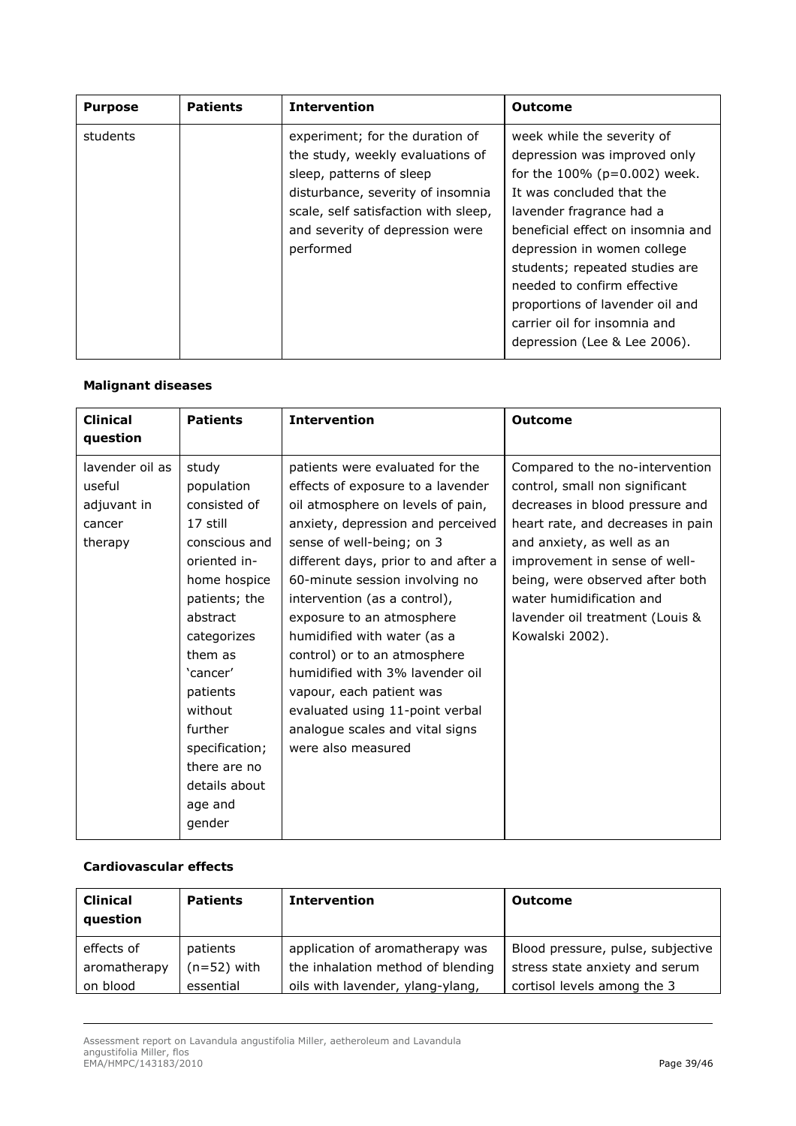| <b>Purpose</b> | <b>Patients</b> | <b>Intervention</b>                                                                                                                                                                                                          | <b>Outcome</b>                                                                                                                                                                                                                                                                                                                                                                                     |
|----------------|-----------------|------------------------------------------------------------------------------------------------------------------------------------------------------------------------------------------------------------------------------|----------------------------------------------------------------------------------------------------------------------------------------------------------------------------------------------------------------------------------------------------------------------------------------------------------------------------------------------------------------------------------------------------|
| students       |                 | experiment; for the duration of<br>the study, weekly evaluations of<br>sleep, patterns of sleep<br>disturbance, severity of insomnia<br>scale, self satisfaction with sleep,<br>and severity of depression were<br>performed | week while the severity of<br>depression was improved only<br>for the $100\%$ ( $p=0.002$ ) week.<br>It was concluded that the<br>lavender fragrance had a<br>beneficial effect on insomnia and<br>depression in women college<br>students; repeated studies are<br>needed to confirm effective<br>proportions of lavender oil and<br>carrier oil for insomnia and<br>depression (Lee & Lee 2006). |

## *Malignant diseases*

| <b>Clinical</b><br>question                                   | <b>Patients</b>                                                                                                                                                                                                                                                               | <b>Intervention</b>                                                                                                                                                                                                                                                                                                                                                                                                                                                                                                                          | <b>Outcome</b>                                                                                                                                                                                                                                                                                                                |
|---------------------------------------------------------------|-------------------------------------------------------------------------------------------------------------------------------------------------------------------------------------------------------------------------------------------------------------------------------|----------------------------------------------------------------------------------------------------------------------------------------------------------------------------------------------------------------------------------------------------------------------------------------------------------------------------------------------------------------------------------------------------------------------------------------------------------------------------------------------------------------------------------------------|-------------------------------------------------------------------------------------------------------------------------------------------------------------------------------------------------------------------------------------------------------------------------------------------------------------------------------|
| lavender oil as<br>useful<br>adjuvant in<br>cancer<br>therapy | study<br>population<br>consisted of<br>17 still<br>conscious and<br>oriented in-<br>home hospice<br>patients; the<br>abstract<br>categorizes<br>them as<br>'cancer'<br>patients<br>without<br>further<br>specification;<br>there are no<br>details about<br>age and<br>gender | patients were evaluated for the<br>effects of exposure to a lavender<br>oil atmosphere on levels of pain,<br>anxiety, depression and perceived<br>sense of well-being; on 3<br>different days, prior to and after a<br>60-minute session involving no<br>intervention (as a control),<br>exposure to an atmosphere<br>humidified with water (as a<br>control) or to an atmosphere<br>humidified with 3% lavender oil<br>vapour, each patient was<br>evaluated using 11-point verbal<br>analogue scales and vital signs<br>were also measured | Compared to the no-intervention<br>control, small non significant<br>decreases in blood pressure and<br>heart rate, and decreases in pain<br>and anxiety, as well as an<br>improvement in sense of well-<br>being, were observed after both<br>water humidification and<br>lavender oil treatment (Louis &<br>Kowalski 2002). |

## *Cardiovascular effects*

| <b>Clinical</b><br>question | <b>Patients</b> | <b>Intervention</b>               | <b>Outcome</b>                    |
|-----------------------------|-----------------|-----------------------------------|-----------------------------------|
| effects of                  | patients        | application of aromatherapy was   | Blood pressure, pulse, subjective |
| aromatherapy                | (n=52) with     | the inhalation method of blending | stress state anxiety and serum    |
| on blood                    | essential       | oils with lavender, ylang-ylang,  | cortisol levels among the 3       |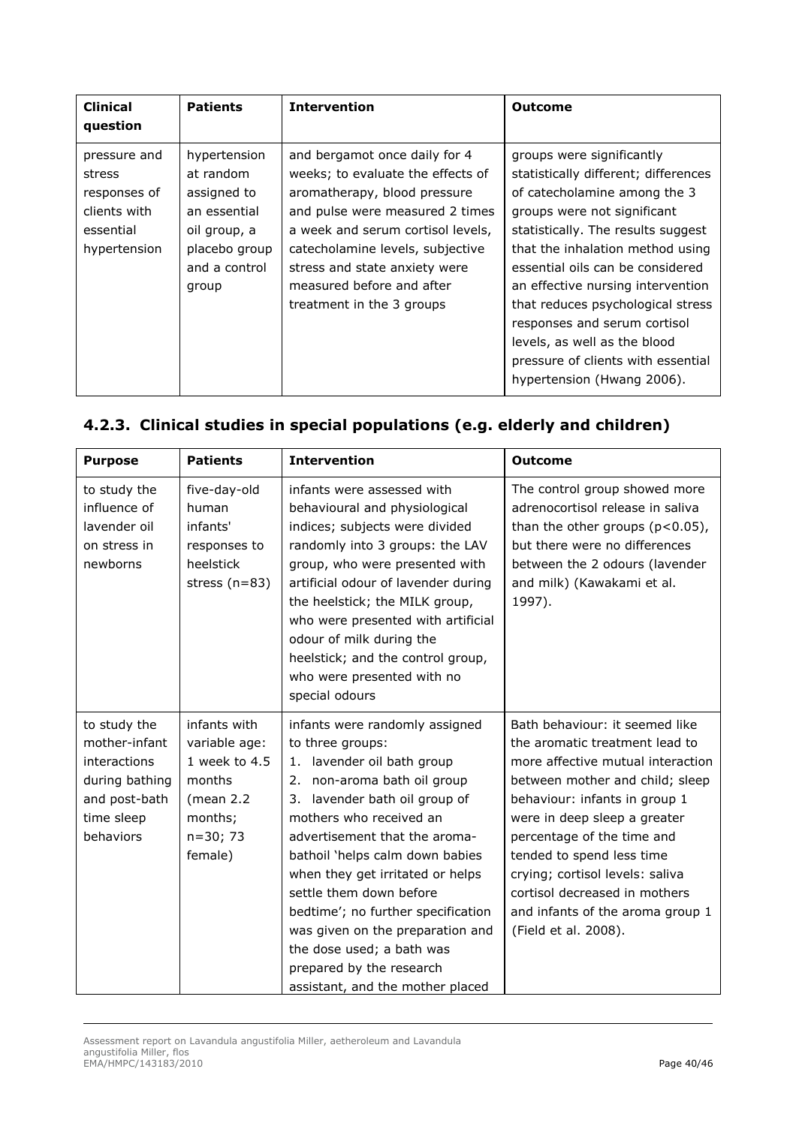| <b>Clinical</b><br>question                                                         | <b>Patients</b>                                                                                                     | <b>Intervention</b>                                                                                                                                                                                                                                                                                       | Outcome                                                                                                                                                                                                                                                                                                                                                                                                                                                      |
|-------------------------------------------------------------------------------------|---------------------------------------------------------------------------------------------------------------------|-----------------------------------------------------------------------------------------------------------------------------------------------------------------------------------------------------------------------------------------------------------------------------------------------------------|--------------------------------------------------------------------------------------------------------------------------------------------------------------------------------------------------------------------------------------------------------------------------------------------------------------------------------------------------------------------------------------------------------------------------------------------------------------|
| pressure and<br>stress<br>responses of<br>clients with<br>essential<br>hypertension | hypertension<br>at random<br>assigned to<br>an essential<br>oil group, a<br>placebo group<br>and a control<br>group | and bergamot once daily for 4<br>weeks; to evaluate the effects of<br>aromatherapy, blood pressure<br>and pulse were measured 2 times<br>a week and serum cortisol levels,<br>catecholamine levels, subjective<br>stress and state anxiety were<br>measured before and after<br>treatment in the 3 groups | groups were significantly<br>statistically different; differences<br>of catecholamine among the 3<br>groups were not significant<br>statistically. The results suggest<br>that the inhalation method using<br>essential oils can be considered<br>an effective nursing intervention<br>that reduces psychological stress<br>responses and serum cortisol<br>levels, as well as the blood<br>pressure of clients with essential<br>hypertension (Hwang 2006). |

# **4.2.3. Clinical studies in special populations (e.g. elderly and children)**

| <b>Purpose</b>                                                                                              | <b>Patients</b>                                                                                             | <b>Intervention</b>                                                                                                                                                                                                                                                                                                                                                                                                                                                                         | <b>Outcome</b>                                                                                                                                                                                                                                                                                                                                                                                       |
|-------------------------------------------------------------------------------------------------------------|-------------------------------------------------------------------------------------------------------------|---------------------------------------------------------------------------------------------------------------------------------------------------------------------------------------------------------------------------------------------------------------------------------------------------------------------------------------------------------------------------------------------------------------------------------------------------------------------------------------------|------------------------------------------------------------------------------------------------------------------------------------------------------------------------------------------------------------------------------------------------------------------------------------------------------------------------------------------------------------------------------------------------------|
| to study the<br>influence of<br>lavender oil<br>on stress in<br>newborns                                    | five-day-old<br>human<br>infants'<br>responses to<br>heelstick<br>stress $(n=83)$                           | infants were assessed with<br>behavioural and physiological<br>indices; subjects were divided<br>randomly into 3 groups: the LAV<br>group, who were presented with<br>artificial odour of lavender during<br>the heelstick; the MILK group,<br>who were presented with artificial<br>odour of milk during the<br>heelstick; and the control group,<br>who were presented with no<br>special odours                                                                                          | The control group showed more<br>adrenocortisol release in saliva<br>than the other groups $(p<0.05)$ ,<br>but there were no differences<br>between the 2 odours (lavender<br>and milk) (Kawakami et al.<br>1997).                                                                                                                                                                                   |
| to study the<br>mother-infant<br>interactions<br>during bathing<br>and post-bath<br>time sleep<br>behaviors | infants with<br>variable age:<br>1 week to 4.5<br>months<br>(mean $2.2$<br>months;<br>$n=30; 73$<br>female) | infants were randomly assigned<br>to three groups:<br>lavender oil bath group<br>1.<br>2. non-aroma bath oil group<br>lavender bath oil group of<br>3.<br>mothers who received an<br>advertisement that the aroma-<br>bathoil 'helps calm down babies<br>when they get irritated or helps<br>settle them down before<br>bedtime'; no further specification<br>was given on the preparation and<br>the dose used; a bath was<br>prepared by the research<br>assistant, and the mother placed | Bath behaviour: it seemed like<br>the aromatic treatment lead to<br>more affective mutual interaction<br>between mother and child; sleep<br>behaviour: infants in group 1<br>were in deep sleep a greater<br>percentage of the time and<br>tended to spend less time<br>crying; cortisol levels: saliva<br>cortisol decreased in mothers<br>and infants of the aroma group 1<br>(Field et al. 2008). |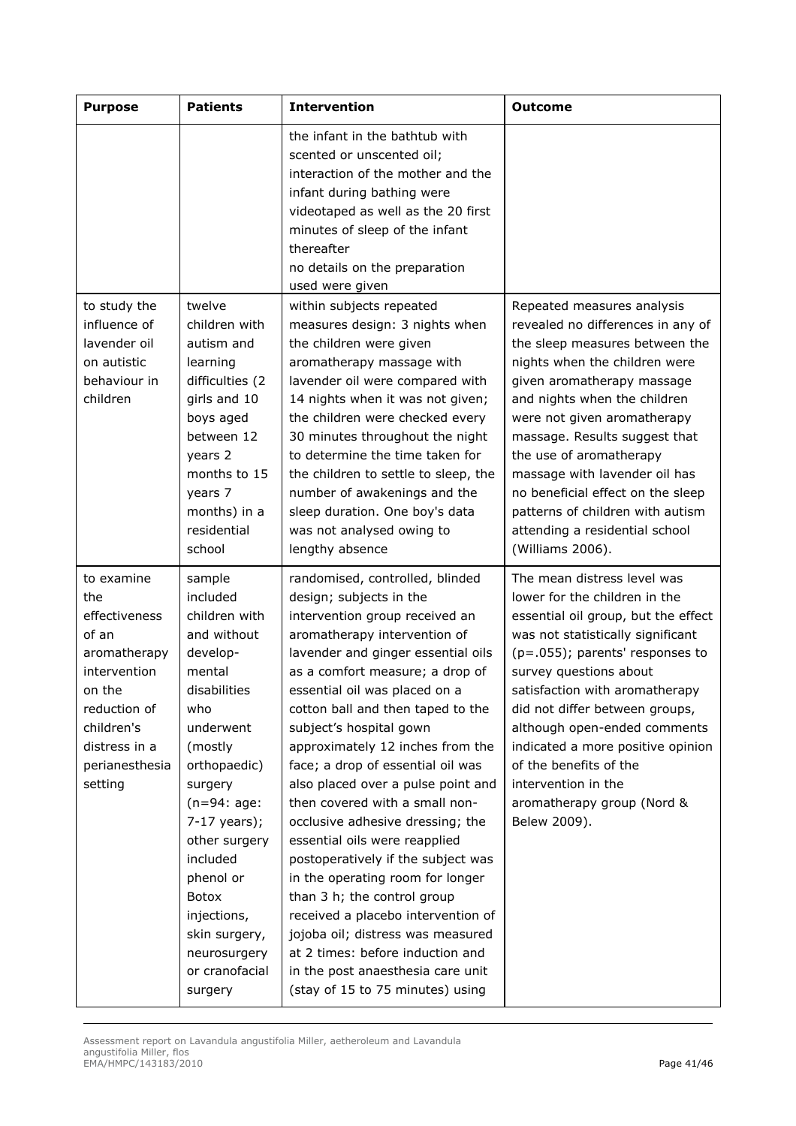| <b>Purpose</b>                                                                                                                                                    | <b>Patients</b>                                                                                                                                                                                                                                                                                                      | <b>Intervention</b>                                                                                                                                                                                                                                                                                                                                                                                                                                                                                                                                                                                                                                                                                                                                                                                                           | <b>Outcome</b>                                                                                                                                                                                                                                                                                                                                                                                                                                              |
|-------------------------------------------------------------------------------------------------------------------------------------------------------------------|----------------------------------------------------------------------------------------------------------------------------------------------------------------------------------------------------------------------------------------------------------------------------------------------------------------------|-------------------------------------------------------------------------------------------------------------------------------------------------------------------------------------------------------------------------------------------------------------------------------------------------------------------------------------------------------------------------------------------------------------------------------------------------------------------------------------------------------------------------------------------------------------------------------------------------------------------------------------------------------------------------------------------------------------------------------------------------------------------------------------------------------------------------------|-------------------------------------------------------------------------------------------------------------------------------------------------------------------------------------------------------------------------------------------------------------------------------------------------------------------------------------------------------------------------------------------------------------------------------------------------------------|
|                                                                                                                                                                   |                                                                                                                                                                                                                                                                                                                      | the infant in the bathtub with<br>scented or unscented oil;<br>interaction of the mother and the<br>infant during bathing were<br>videotaped as well as the 20 first<br>minutes of sleep of the infant<br>thereafter<br>no details on the preparation<br>used were given                                                                                                                                                                                                                                                                                                                                                                                                                                                                                                                                                      |                                                                                                                                                                                                                                                                                                                                                                                                                                                             |
| to study the<br>influence of<br>lavender oil<br>on autistic<br>behaviour in<br>children                                                                           | twelve<br>children with<br>autism and<br>learning<br>difficulties (2<br>girls and 10<br>boys aged<br>between 12<br>years 2<br>months to 15<br>years 7<br>months) in a<br>residential<br>school                                                                                                                       | within subjects repeated<br>measures design: 3 nights when<br>the children were given<br>aromatherapy massage with<br>lavender oil were compared with<br>14 nights when it was not given;<br>the children were checked every<br>30 minutes throughout the night<br>to determine the time taken for<br>the children to settle to sleep, the<br>number of awakenings and the<br>sleep duration. One boy's data<br>was not analysed owing to<br>lengthy absence                                                                                                                                                                                                                                                                                                                                                                  | Repeated measures analysis<br>revealed no differences in any of<br>the sleep measures between the<br>nights when the children were<br>given aromatherapy massage<br>and nights when the children<br>were not given aromatherapy<br>massage. Results suggest that<br>the use of aromatherapy<br>massage with lavender oil has<br>no beneficial effect on the sleep<br>patterns of children with autism<br>attending a residential school<br>(Williams 2006). |
| to examine<br>the<br>effectiveness<br>of an<br>aromatherapy<br>intervention<br>on the<br>reduction of<br>children's<br>distress in a<br>perianesthesia<br>setting | sample<br>included<br>children with<br>and without<br>develop-<br>mental<br>disabilities<br>who<br>underwent<br>(mostly<br>orthopaedic)<br>surgery<br>$(n=94:age:$<br>$7-17$ years);<br>other surgery<br>included<br>phenol or<br>Botox<br>injections,<br>skin surgery,<br>neurosurgery<br>or cranofacial<br>surgery | randomised, controlled, blinded<br>design; subjects in the<br>intervention group received an<br>aromatherapy intervention of<br>lavender and ginger essential oils<br>as a comfort measure; a drop of<br>essential oil was placed on a<br>cotton ball and then taped to the<br>subject's hospital gown<br>approximately 12 inches from the<br>face; a drop of essential oil was<br>also placed over a pulse point and<br>then covered with a small non-<br>occlusive adhesive dressing; the<br>essential oils were reapplied<br>postoperatively if the subject was<br>in the operating room for longer<br>than 3 h; the control group<br>received a placebo intervention of<br>jojoba oil; distress was measured<br>at 2 times: before induction and<br>in the post anaesthesia care unit<br>(stay of 15 to 75 minutes) using | The mean distress level was<br>lower for the children in the<br>essential oil group, but the effect<br>was not statistically significant<br>(p=.055); parents' responses to<br>survey questions about<br>satisfaction with aromatherapy<br>did not differ between groups,<br>although open-ended comments<br>indicated a more positive opinion<br>of the benefits of the<br>intervention in the<br>aromatherapy group (Nord &<br>Belew 2009).               |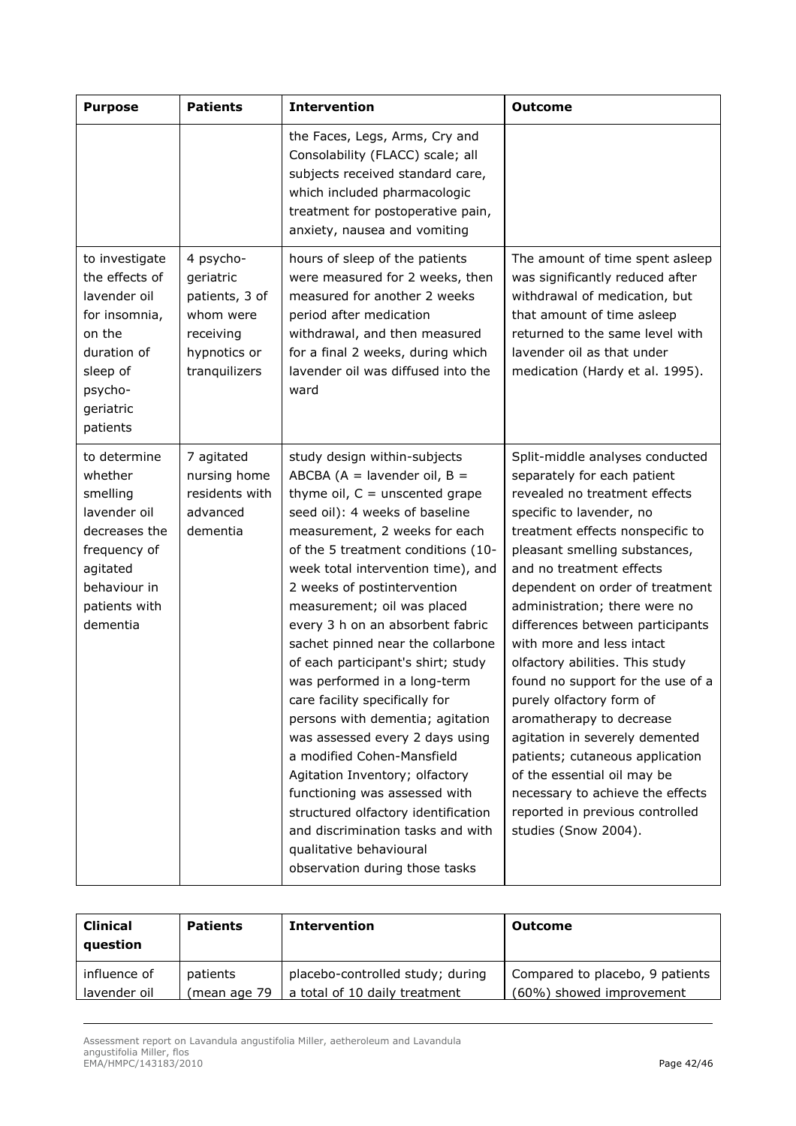| <b>Purpose</b>                                                                                                                                | <b>Patients</b>                                                                                     | <b>Intervention</b>                                                                                                                                                                                                                                                                                                                                                                                                                                                                                                                                                                                                                                                                                                                                                                                                  | <b>Outcome</b>                                                                                                                                                                                                                                                                                                                                                                                                                                                                                                                                                                                                                                                                                       |
|-----------------------------------------------------------------------------------------------------------------------------------------------|-----------------------------------------------------------------------------------------------------|----------------------------------------------------------------------------------------------------------------------------------------------------------------------------------------------------------------------------------------------------------------------------------------------------------------------------------------------------------------------------------------------------------------------------------------------------------------------------------------------------------------------------------------------------------------------------------------------------------------------------------------------------------------------------------------------------------------------------------------------------------------------------------------------------------------------|------------------------------------------------------------------------------------------------------------------------------------------------------------------------------------------------------------------------------------------------------------------------------------------------------------------------------------------------------------------------------------------------------------------------------------------------------------------------------------------------------------------------------------------------------------------------------------------------------------------------------------------------------------------------------------------------------|
|                                                                                                                                               |                                                                                                     | the Faces, Legs, Arms, Cry and<br>Consolability (FLACC) scale; all<br>subjects received standard care,<br>which included pharmacologic<br>treatment for postoperative pain,<br>anxiety, nausea and vomiting                                                                                                                                                                                                                                                                                                                                                                                                                                                                                                                                                                                                          |                                                                                                                                                                                                                                                                                                                                                                                                                                                                                                                                                                                                                                                                                                      |
| to investigate<br>the effects of<br>lavender oil<br>for insomnia,<br>on the<br>duration of<br>sleep of<br>psycho-<br>geriatric<br>patients    | 4 psycho-<br>geriatric<br>patients, 3 of<br>whom were<br>receiving<br>hypnotics or<br>tranquilizers | hours of sleep of the patients<br>were measured for 2 weeks, then<br>measured for another 2 weeks<br>period after medication<br>withdrawal, and then measured<br>for a final 2 weeks, during which<br>lavender oil was diffused into the<br>ward                                                                                                                                                                                                                                                                                                                                                                                                                                                                                                                                                                     | The amount of time spent asleep<br>was significantly reduced after<br>withdrawal of medication, but<br>that amount of time asleep<br>returned to the same level with<br>lavender oil as that under<br>medication (Hardy et al. 1995).                                                                                                                                                                                                                                                                                                                                                                                                                                                                |
| to determine<br>whether<br>smelling<br>lavender oil<br>decreases the<br>frequency of<br>agitated<br>behaviour in<br>patients with<br>dementia | 7 agitated<br>nursing home<br>residents with<br>advanced<br>dementia                                | study design within-subjects<br>ABCBA ( $A =$ lavender oil, $B =$<br>thyme oil, $C =$ unscented grape<br>seed oil): 4 weeks of baseline<br>measurement, 2 weeks for each<br>of the 5 treatment conditions (10-<br>week total intervention time), and<br>2 weeks of postintervention<br>measurement; oil was placed<br>every 3 h on an absorbent fabric<br>sachet pinned near the collarbone<br>of each participant's shirt; study<br>was performed in a long-term<br>care facility specifically for<br>persons with dementia; agitation<br>was assessed every 2 days using<br>a modified Cohen-Mansfield<br>Agitation Inventory; olfactory<br>functioning was assessed with<br>structured olfactory identification<br>and discrimination tasks and with<br>qualitative behavioural<br>observation during those tasks | Split-middle analyses conducted<br>separately for each patient<br>revealed no treatment effects<br>specific to lavender, no<br>treatment effects nonspecific to<br>pleasant smelling substances,<br>and no treatment effects<br>dependent on order of treatment<br>administration; there were no<br>differences between participants<br>with more and less intact<br>olfactory abilities. This study<br>found no support for the use of a<br>purely olfactory form of<br>aromatherapy to decrease<br>agitation in severely demented<br>patients; cutaneous application<br>of the essential oil may be<br>necessary to achieve the effects<br>reported in previous controlled<br>studies (Snow 2004). |

| <b>Clinical</b><br>question | <b>Patients</b> | <b>Intervention</b>              | Outcome                         |
|-----------------------------|-----------------|----------------------------------|---------------------------------|
| influence of                | patients        | placebo-controlled study; during | Compared to placebo, 9 patients |
| lavender oil                | (mean age 79    | a total of 10 daily treatment    | (60%) showed improvement        |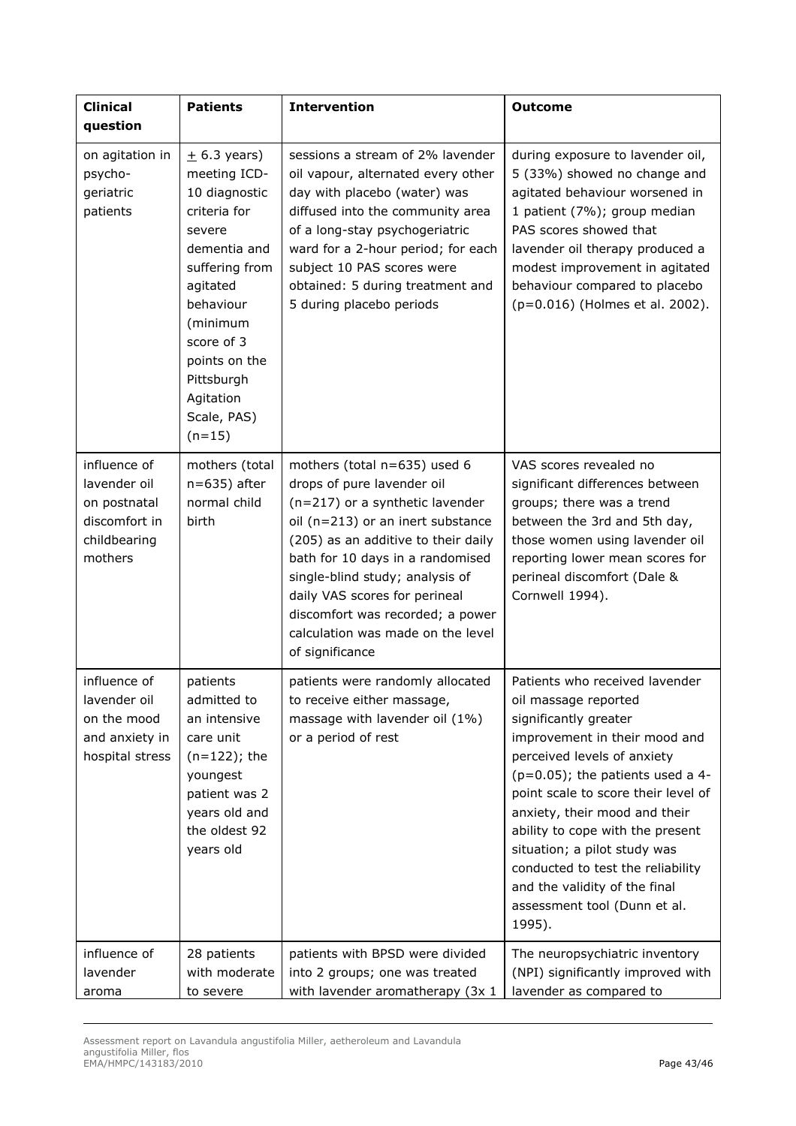| <b>Clinical</b><br>question                                                              | <b>Patients</b>                                                                                                                                                                                                                         | <b>Intervention</b>                                                                                                                                                                                                                                                                                                                                                           | <b>Outcome</b>                                                                                                                                                                                                                                                                                                                                                                                                                                     |
|------------------------------------------------------------------------------------------|-----------------------------------------------------------------------------------------------------------------------------------------------------------------------------------------------------------------------------------------|-------------------------------------------------------------------------------------------------------------------------------------------------------------------------------------------------------------------------------------------------------------------------------------------------------------------------------------------------------------------------------|----------------------------------------------------------------------------------------------------------------------------------------------------------------------------------------------------------------------------------------------------------------------------------------------------------------------------------------------------------------------------------------------------------------------------------------------------|
| on agitation in<br>psycho-<br>geriatric<br>patients                                      | $\pm$ 6.3 years)<br>meeting ICD-<br>10 diagnostic<br>criteria for<br>severe<br>dementia and<br>suffering from<br>agitated<br>behaviour<br>(minimum<br>score of 3<br>points on the<br>Pittsburgh<br>Agitation<br>Scale, PAS)<br>$(n=15)$ | sessions a stream of 2% lavender<br>oil vapour, alternated every other<br>day with placebo (water) was<br>diffused into the community area<br>of a long-stay psychogeriatric<br>ward for a 2-hour period; for each<br>subject 10 PAS scores were<br>obtained: 5 during treatment and<br>5 during placebo periods                                                              | during exposure to lavender oil,<br>5 (33%) showed no change and<br>agitated behaviour worsened in<br>1 patient (7%); group median<br>PAS scores showed that<br>lavender oil therapy produced a<br>modest improvement in agitated<br>behaviour compared to placebo<br>(p=0.016) (Holmes et al. 2002).                                                                                                                                              |
| influence of<br>lavender oil<br>on postnatal<br>discomfort in<br>childbearing<br>mothers | mothers (total<br>$n=635$ ) after<br>normal child<br>birth                                                                                                                                                                              | mothers (total n=635) used 6<br>drops of pure lavender oil<br>(n=217) or a synthetic lavender<br>oil (n=213) or an inert substance<br>(205) as an additive to their daily<br>bath for 10 days in a randomised<br>single-blind study; analysis of<br>daily VAS scores for perineal<br>discomfort was recorded; a power<br>calculation was made on the level<br>of significance | VAS scores revealed no<br>significant differences between<br>groups; there was a trend<br>between the 3rd and 5th day,<br>those women using lavender oil<br>reporting lower mean scores for<br>perineal discomfort (Dale &<br>Cornwell 1994).                                                                                                                                                                                                      |
| influence of<br>lavender oil<br>on the mood<br>and anxiety in<br>hospital stress         | patients<br>admitted to<br>an intensive<br>care unit<br>$(n=122)$ ; the<br>youngest<br>patient was 2<br>years old and<br>the oldest 92<br>years old                                                                                     | patients were randomly allocated<br>to receive either massage,<br>massage with lavender oil (1%)<br>or a period of rest                                                                                                                                                                                                                                                       | Patients who received lavender<br>oil massage reported<br>significantly greater<br>improvement in their mood and<br>perceived levels of anxiety<br>$(p=0.05)$ ; the patients used a 4-<br>point scale to score their level of<br>anxiety, their mood and their<br>ability to cope with the present<br>situation; a pilot study was<br>conducted to test the reliability<br>and the validity of the final<br>assessment tool (Dunn et al.<br>1995). |
| influence of<br>lavender<br>aroma                                                        | 28 patients<br>with moderate<br>to severe                                                                                                                                                                                               | patients with BPSD were divided<br>into 2 groups; one was treated<br>with lavender aromatherapy (3x 1                                                                                                                                                                                                                                                                         | The neuropsychiatric inventory<br>(NPI) significantly improved with<br>lavender as compared to                                                                                                                                                                                                                                                                                                                                                     |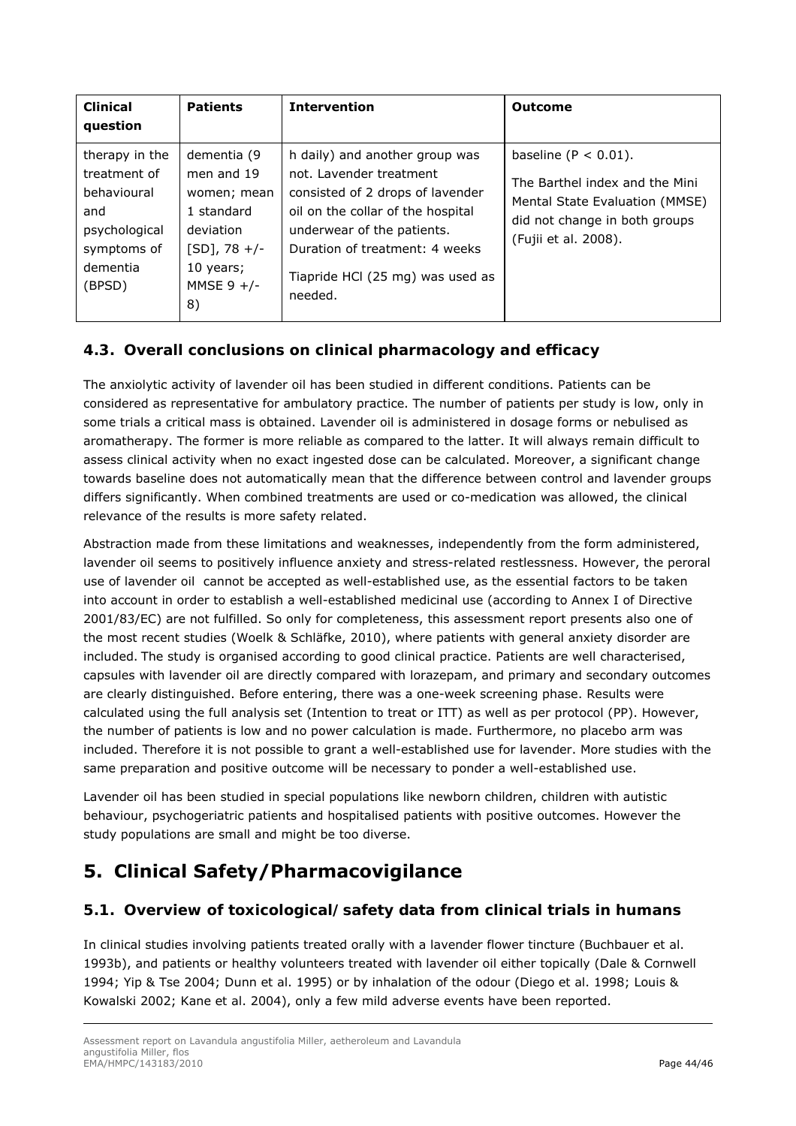| <b>Clinical</b><br>question                                                                                | <b>Patients</b>                                                                                                          | <b>Intervention</b>                                                                                                                                                                                                                               | <b>Outcome</b>                                                                                                                                       |
|------------------------------------------------------------------------------------------------------------|--------------------------------------------------------------------------------------------------------------------------|---------------------------------------------------------------------------------------------------------------------------------------------------------------------------------------------------------------------------------------------------|------------------------------------------------------------------------------------------------------------------------------------------------------|
| therapy in the<br>treatment of<br>behavioural<br>and<br>psychological<br>symptoms of<br>dementia<br>(BPSD) | dementia (9<br>men and 19<br>women; mean<br>1 standard<br>deviation<br>$[SD], 78 +/-$<br>10 years;<br>MMSE $9 +/-$<br>8) | h daily) and another group was<br>not. Lavender treatment<br>consisted of 2 drops of lavender<br>oil on the collar of the hospital<br>underwear of the patients.<br>Duration of treatment: 4 weeks<br>Tiapride HCl (25 mg) was used as<br>needed. | baseline $(P < 0.01)$ .<br>The Barthel index and the Mini<br>Mental State Evaluation (MMSE)<br>did not change in both groups<br>(Fujii et al. 2008). |

# *4.3. Overall conclusions on clinical pharmacology and efficacy*

The anxiolytic activity of lavender oil has been studied in different conditions. Patients can be considered as representative for ambulatory practice. The number of patients per study is low, only in some trials a critical mass is obtained. Lavender oil is administered in dosage forms or nebulised as aromatherapy. The former is more reliable as compared to the latter. It will always remain difficult to assess clinical activity when no exact ingested dose can be calculated. Moreover, a significant change towards baseline does not automatically mean that the difference between control and lavender groups differs significantly. When combined treatments are used or co-medication was allowed, the clinical relevance of the results is more safety related.

Abstraction made from these limitations and weaknesses, independently from the form administered, lavender oil seems to positively influence anxiety and stress-related restlessness. However, the peroral use of lavender oil cannot be accepted as well-established use, as the essential factors to be taken into account in order to establish a well-established medicinal use (according to Annex I of Directive 2001/83/EC) are not fulfilled. So only for completeness, this assessment report presents also one of the most recent studies (Woelk & Schläfke, 2010), where patients with general anxiety disorder are included. The study is organised according to good clinical practice. Patients are well characterised, capsules with lavender oil are directly compared with lorazepam, and primary and secondary outcomes are clearly distinguished. Before entering, there was a one-week screening phase. Results were calculated using the full analysis set (Intention to treat or ITT) as well as per protocol (PP). However, the number of patients is low and no power calculation is made. Furthermore, no placebo arm was included. Therefore it is not possible to grant a well-established use for lavender. More studies with the same preparation and positive outcome will be necessary to ponder a well-established use.

Lavender oil has been studied in special populations like newborn children, children with autistic behaviour, psychogeriatric patients and hospitalised patients with positive outcomes. However the study populations are small and might be too diverse.

# **5. Clinical Safety/Pharmacovigilance**

# *5.1. Overview of toxicological/safety data from clinical trials in humans*

In clinical studies involving patients treated orally with a lavender flower tincture (Buchbauer *et al*. 1993b), and patients or healthy volunteers treated with lavender oil either topically (Dale & Cornwell 1994; Yip & Tse 2004; Dunn *et al*. 1995) or by inhalation of the odour (Diego *et al*. 1998; Louis & Kowalski 2002; Kane *et al*. 2004), only a few mild adverse events have been reported.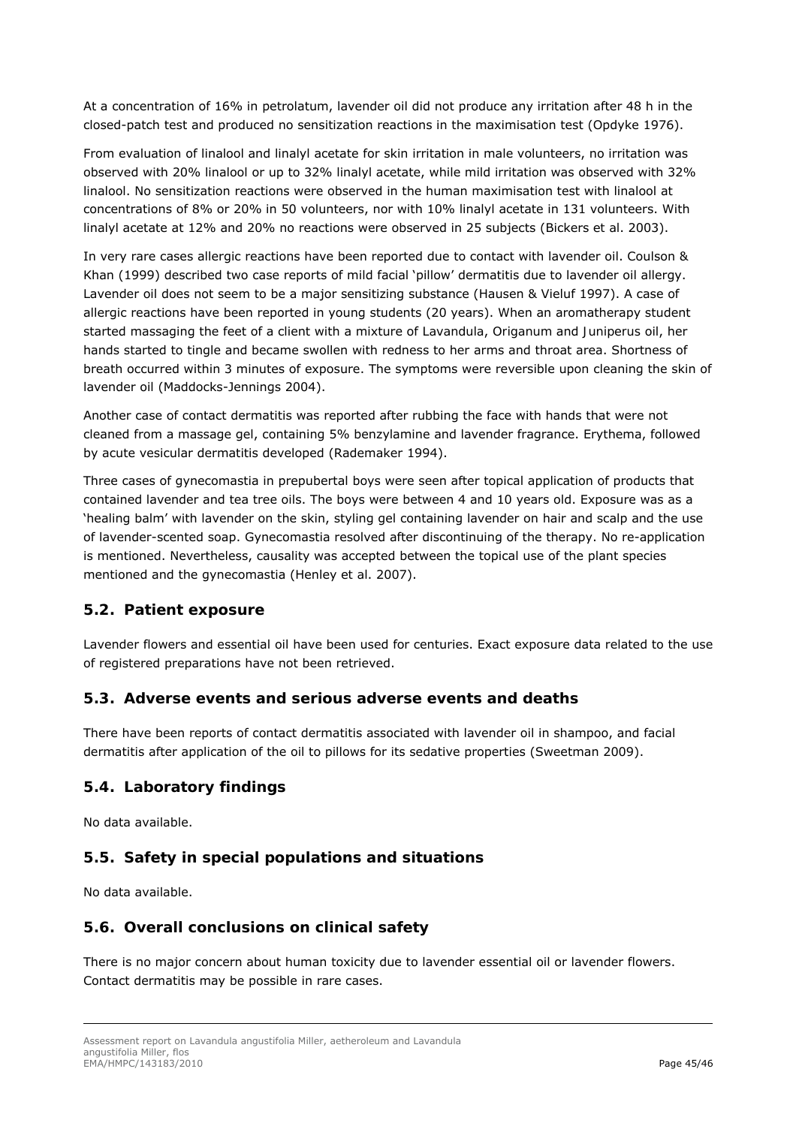At a concentration of 16% in petrolatum, lavender oil did not produce any irritation after 48 h in the closed-patch test and produced no sensitization reactions in the maximisation test (Opdyke 1976).

From evaluation of linalool and linalyl acetate for skin irritation in male volunteers, no irritation was observed with 20% linalool or up to 32% linalyl acetate, while mild irritation was observed with 32% linalool. No sensitization reactions were observed in the human maximisation test with linalool at concentrations of 8% or 20% in 50 volunteers, nor with 10% linalyl acetate in 131 volunteers. With linalyl acetate at 12% and 20% no reactions were observed in 25 subjects (Bickers *et al*. 2003).

In very rare cases allergic reactions have been reported due to contact with lavender oil. Coulson & Khan (1999) described two case reports of mild facial 'pillow' dermatitis due to lavender oil allergy. Lavender oil does not seem to be a major sensitizing substance (Hausen & Vieluf 1997). A case of allergic reactions have been reported in young students (20 years). When an aromatherapy student started massaging the feet of a client with a mixture of *Lavandula*, *Origanum* and *Juniperus* oil, her hands started to tingle and became swollen with redness to her arms and throat area. Shortness of breath occurred within 3 minutes of exposure. The symptoms were reversible upon cleaning the skin of lavender oil (Maddocks-Jennings 2004).

Another case of contact dermatitis was reported after rubbing the face with hands that were not cleaned from a massage gel, containing 5% benzylamine and lavender fragrance. Erythema, followed by acute vesicular dermatitis developed (Rademaker 1994).

Three cases of gynecomastia in prepubertal boys were seen after topical application of products that contained lavender and tea tree oils. The boys were between 4 and 10 years old. Exposure was as a 'healing balm' with lavender on the skin, styling gel containing lavender on hair and scalp and the use of lavender-scented soap. Gynecomastia resolved after discontinuing of the therapy. No re-application is mentioned. Nevertheless, causality was accepted between the topical use of the plant species mentioned and the gynecomastia (Henley *et al*. 2007).

## *5.2. Patient exposure*

Lavender flowers and essential oil have been used for centuries. Exact exposure data related to the use of registered preparations have not been retrieved.

## *5.3. Adverse events and serious adverse events and deaths*

There have been reports of contact dermatitis associated with lavender oil in shampoo, and facial dermatitis after application of the oil to pillows for its sedative properties (Sweetman 2009).

## *5.4. Laboratory findings*

No data available.

# *5.5. Safety in special populations and situations*

No data available.

## *5.6. Overall conclusions on clinical safety*

There is no major concern about human toxicity due to lavender essential oil or lavender flowers. Contact dermatitis may be possible in rare cases.